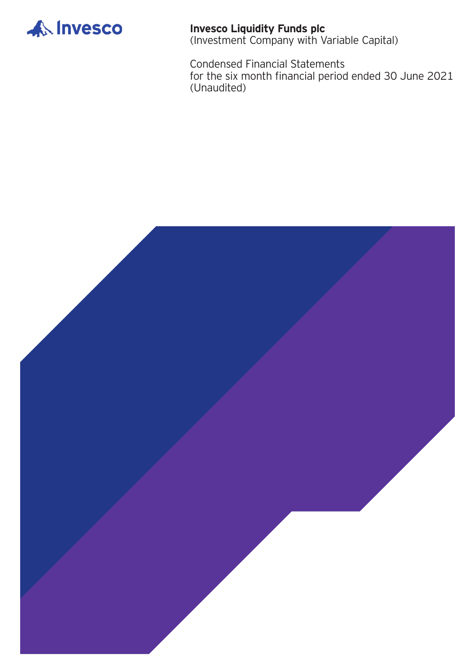

**Invesco Liquidity Funds plc** (Investment Company with Variable Capital)

Condensed Financial Statements for the six month financial period ended 30 June 2021 (Unaudited)

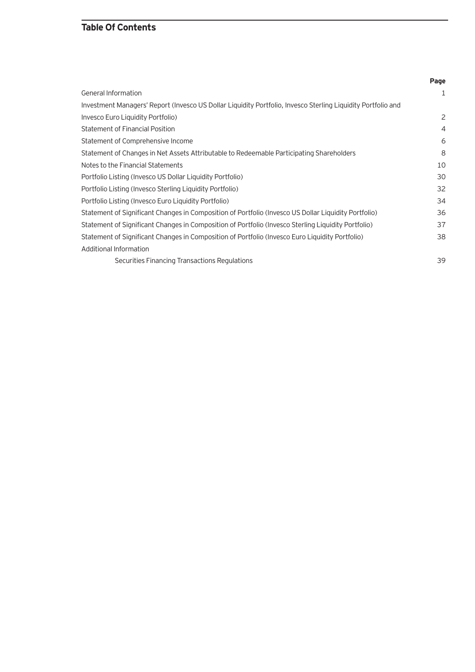# **Table Of Contents**

|                                                                                                              | Page           |
|--------------------------------------------------------------------------------------------------------------|----------------|
| <b>General Information</b>                                                                                   | 1              |
| Investment Managers' Report (Invesco US Dollar Liquidity Portfolio, Invesco Sterling Liquidity Portfolio and |                |
| Invesco Euro Liquidity Portfolio)                                                                            | 2              |
| <b>Statement of Financial Position</b>                                                                       | $\overline{4}$ |
| Statement of Comprehensive Income                                                                            | 6              |
| Statement of Changes in Net Assets Attributable to Redeemable Participating Shareholders                     | 8              |
| Notes to the Financial Statements                                                                            | 10             |
| Portfolio Listing (Invesco US Dollar Liquidity Portfolio)                                                    | 30             |
| Portfolio Listing (Invesco Sterling Liquidity Portfolio)                                                     | 32             |
| Portfolio Listing (Invesco Euro Liquidity Portfolio)                                                         | 34             |
| Statement of Significant Changes in Composition of Portfolio (Invesco US Dollar Liquidity Portfolio)         | 36             |
| Statement of Significant Changes in Composition of Portfolio (Invesco Sterling Liguidity Portfolio)          | 37             |
| Statement of Significant Changes in Composition of Portfolio (Invesco Euro Liquidity Portfolio)              | 38             |
| Additional Information                                                                                       |                |
| Securities Financing Transactions Regulations                                                                | 39             |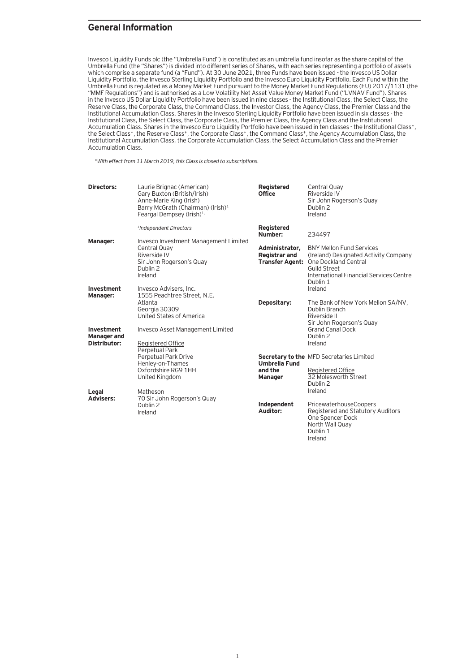### **General Information**

Invesco Liquidity Funds plc (the "Umbrella Fund") is constituted as an umbrella fund insofar as the share capital of the Umbrella Fund (the "Shares") is divided into different series of Shares, with each series representing a portfolio of assets which comprise a separate fund (a "Fund"). At 30 June 2021, three Funds have been issued - the Invesco US Dollar Liquidity Portfolio, the Invesco Sterling Liquidity Portfolio and the Invesco Euro Liquidity Portfolio. Each Fund within the Umbrella Fund is regulated as a Money Market Fund pursuant to the Money Market Fund Regulations (EU) 2017/1131 (the "MMF Regulations") and is authorised as a Low Volatility Net Asset Value Money Market Fund ("LVNAV Fund"). Shares in the Invesco US Dollar Liquidity Portfolio have been issued in nine classes - the Institutional Class, the Select Class, the Reserve Class, the Corporate Class, the Command Class, the Investor Class, the Agency Class, the Premier Class and the Institutional Accumulation Class. Shares in the Invesco Sterling Liquidity Portfolio have been issued in six classes - the Institutional Class, the Select Class, the Corporate Class, the Premier Class, the Agency Class and the Institutional Accumulation Class. Shares in the Invesco Euro Liquidity Portfolio have been issued in ten classes - the Institutional Class\*, the Select Class\*, the Reserve Class\*, the Corporate Class\*, the Command Class\*, the Agency Accumulation Class, the Institutional Accumulation Class, the Corporate Accumulation Class, the Select Accumulation Class and the Premier Accumulation Class.

\*With effect from 11 March 2019, this Class is closed to subscriptions.

| Directors:                           | Laurie Brignac (American)<br>Gary Buxton (British/Irish)<br>Anne-Marie King (Irish)<br>Barry McGrath (Chairman) (Irish) <sup>1</sup><br>Feargal Dempsey (Irish) $1$ , | Registered<br><b>Office</b>                                      | Central Quay<br>Riverside IV<br>Sir John Rogerson's Quay<br>Dublin 2<br>Ireland                                                                                                |
|--------------------------------------|-----------------------------------------------------------------------------------------------------------------------------------------------------------------------|------------------------------------------------------------------|--------------------------------------------------------------------------------------------------------------------------------------------------------------------------------|
|                                      | <sup>1</sup> Independent Directors                                                                                                                                    | <b>Registered</b><br>Number:                                     | 234497                                                                                                                                                                         |
| Manager:                             | Invesco Investment Management Limited<br>Central Quay<br>Riverside IV<br>Sir John Rogerson's Quay<br>Dublin 2<br>Ireland                                              | Administrator,<br><b>Registrar and</b><br><b>Transfer Agent:</b> | <b>BNY Mellon Fund Services</b><br>(Ireland) Designated Activity Company<br>One Dockland Central<br><b>Guild Street</b><br>International Financial Services Centre<br>Dublin 1 |
| Investment<br>Manager:<br>Investment | Invesco Advisers, Inc.<br>1555 Peachtree Street, N.E.<br>Atlanta<br>Georgia 30309<br>United States of America<br>Invesco Asset Management Limited                     | Depositary:                                                      | Ireland<br>The Bank of New York Mellon SA/NV,<br>Dublin Branch<br>Riverside II<br>Sir John Rogerson's Quay<br><b>Grand Canal Dock</b><br>Dublin 2                              |
| <b>Manager</b> and<br>Distributor:   | Registered Office<br>Perpetual Park<br>Perpetual Park Drive<br>Henley-on-Thames<br>Oxfordshire RG9 1HH<br>United Kingdom                                              | <b>Umbrella Fund</b><br>and the<br><b>Manager</b>                | Ireland<br><b>Secretary to the MFD Secretaries Limited</b><br>Registered Office<br>32 Molesworth Street<br>Dublin 2                                                            |
| Legal<br><b>Advisers:</b>            | Matheson<br>70 Sir John Rogerson's Quay<br>Dublin 2<br>Ireland                                                                                                        | Independent<br>Auditor:                                          | Ireland<br>PricewaterhouseCoopers<br>Registered and Statutory Auditors<br>One Spencer Dock<br>North Wall Quay<br>Dublin 1                                                      |

Ireland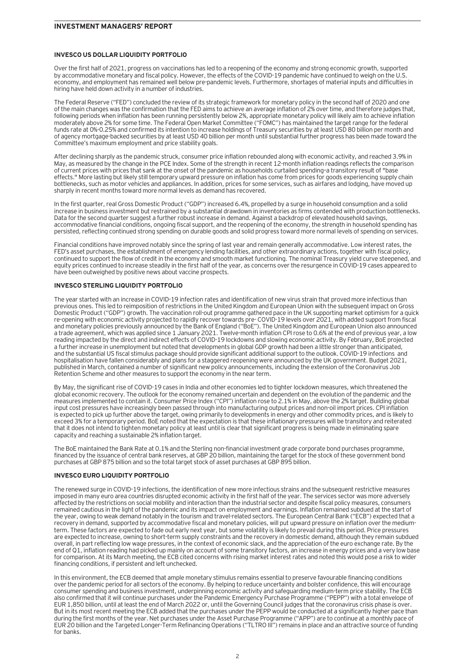### **INVESCO US DOLLAR LIQUIDITY PORTFOLIO**

Over the first half of 2021, progress on vaccinations has led to a reopening of the economy and strong economic growth, supported by accommodative monetary and fiscal policy. However, the effects of the COVID-19 pandemic have continued to weigh on the U.S. economy, and employment has remained well below pre-pandemic levels. Furthermore, shortages of material inputs and difficulties in hiring have held down activity in a number of industries.

The Federal Reserve ("FED") concluded the review of its strategic framework for monetary policy in the second half of 2020 and one of the main changes was the confirmation that the FED aims to achieve an average inflation of 2% over time, and therefore judges that, following periods when inflation has been running persistently below 2%, appropriate monetary policy will likely aim to achieve inflation moderately above 2% for some time. The Federal Open Market Committee ("FOMC") has maintained the target range for the federal funds rate at 0%-0.25% and confirmed its intention to increase holdings of Treasury securities by at least USD 80 billion per month and of agency mortgage-backed securities by at least USD 40 billion per month until substantial further progress has been made toward the Committee's maximum employment and price stability goals.

After declining sharply as the pandemic struck, consumer price inflation rebounded along with economic activity, and reached 3.9% in May, as measured by the change in the PCE Index. Some of the strength in recent 12-month inflation readings reflects the comparison of current prices with prices that sank at the onset of the pandemic as households curtailed spending—a transitory result of "base effects." More lasting but likely still temporary upward pressure on inflation has come from prices for goods experiencing supply chain bottlenecks, such as motor vehicles and appliances. In addition, prices for some services, such as airfares and lodging, have moved up sharply in recent months toward more normal levels as demand has recovered.

In the first quarter, real Gross Domestic Product ("GDP") increased 6.4%, propelled by a surge in household consumption and a solid increase in business investment but restrained by a substantial drawdown in inventories as firms contended with production bottlenecks. Data for the second quarter suggest a further robust increase in demand. Against a backdrop of elevated household savings, accommodative financial conditions, ongoing fiscal support, and the reopening of the economy, the strength in household spending has persisted, reflecting continued strong spending on durable goods and solid progress toward more normal levels of spending on services.

Financial conditions have improved notably since the spring of last year and remain generally accommodative. Low interest rates, the FED's asset purchases, the establishment of emergency lending facilities, and other extraordinary actions, together with fiscal policy, continued to support the flow of credit in the economy and smooth market functioning. The nominal Treasury yield curve steepened, and equity prices continued to increase steadily in the first half of the year, as concerns over the resurgence in COVID-19 cases appeared to have been outweighed by positive news about vaccine prospects.

### **INVESCO STERLING LIQUIDITY PORTFOLIO**

The year started with an increase in COVID-19 infection rates and identification of new virus strain that proved more infectious than previous ones. This led to reimposition of restrictions in the United Kingdom and European Union with the subsequent impact on Gross Domestic Product ("GDP") growth. The vaccination roll-out programme gathered pace in the UK supporting market optimism for a quick re-opening with economic activity projected to rapidly recover towards pre- COVID-19 levels over 2021, with added support from fiscal and monetary policies previously announced by the Bank of England ("BoE"). The United Kingdom and European Union also announced a trade agreement, which was applied since 1 January 2021. Twelve-month inflation CPI rose to 0.6% at the end of previous year, a low reading impacted by the direct and indirect effects of COVID-19 lockdowns and slowing economic activity. By February, BoE projected a further increase in unemployment but noted that developments in global GDP growth had been a little stronger than anticipated, and the substantial US fiscal stimulus package should provide significant additional support to the outlook. COVID-19 infections and hospitalisation have fallen considerably and plans for a staggered reopening were announced by the UK government. Budget 2021, published in March, contained a number of significant new policy announcements, including the extension of the Coronavirus Job Retention Scheme and other measures to support the economy in the near term.

By May, the significant rise of COVID-19 cases in India and other economies led to tighter lockdown measures, which threatened the global economic recovery. The outlook for the economy remained uncertain and dependent on the evolution of the pandemic and the measures implemented to contain it. Consumer Price Index ("CPI") inflation rose to 2.1% in May, above the 2% target. Building global input cost pressures have increasingly been passed through into manufacturing output prices and non-oil import prices. CPI inflation is expected to pick up further above the target, owing primarily to developments in energy and other commodity prices, and is likely to exceed 3% for a temporary period. BoE noted that the expectation is that these inflationary pressures will be transitory and reiterated that it does not intend to tighten monetary policy at least until is clear that significant progress is being made in eliminating spare capacity and reaching a sustainable 2% inflation target.

The BoE maintained the Bank Rate at 0.1% and the Sterling non-financial investment grade corporate bond purchases programme, financed by the issuance of central bank reserves, at GBP 20 billion, maintaining the target for the stock of these government bond purchases at GBP 875 billion and so the total target stock of asset purchases at GBP 895 billion.

### **INVESCO EURO LIQUIDITY PORTFOLIO**

The renewed surge in COVID-19 infections, the identification of new more infectious strains and the subsequent restrictive measures imposed in many euro area countries disrupted economic activity in the first half of the year. The services sector was more adversely affected by the restrictions on social mobility and interaction than the industrial sector and despite fiscal policy measures, consumers remained cautious in the light of the pandemic and its impact on employment and earnings. Inflation remained subdued at the start of the year, owing to weak demand notably in the tourism and travel-related sectors. The European Central Bank ("ECB") expected that a recovery in demand, supported by accommodative fiscal and monetary policies, will put upward pressure on inflation over the mediumterm. These factors are expected to fade out early next year, but some volatility is likely to prevail during this period. Price pressures are expected to increase, owning to short-term supply constraints and the recovery in domestic demand, although they remain subdued overall, in part reflecting low wage pressures, in the context of economic slack, and the appreciation of the euro exchange rate. By the end of Q1, inflation reading had picked up mainly on account of some transitory factors, an increase in energy prices and a very low base for comparison. At its March meeting, the ECB cited concerns with rising market interest rates and noted this would pose a risk to wider financing conditions, if persistent and left unchecked.

In this environment, the ECB deemed that ample monetary stimulus remains essential to preserve favourable financing conditions over the pandemic period for all sectors of the economy. By helping to reduce uncertainty and bolster confidence, this will encourage consumer spending and business investment, underpinning economic activity and safeguarding medium-term price stability. The ECB also confirmed that it will continue purchases under the Pandemic Emergency Purchase Programme ("PEPP") with a total envelope of EUR 1,850 billion, until at least the end of March 2022 or, until the Governing Council judges that the coronavirus crisis phase is over. But in its most recent meeting the ECB added that the purchases under the PEPP would be conducted at a significantly higher pace than during the first months of the year. Net purchases under the Asset Purchase Programme ("APP") are to continue at a monthly pace of EUR 20 billion and the Targeted Longer-Term Refinancing Operations ("TLTRO III") remains in place and an attractive source of funding for banks.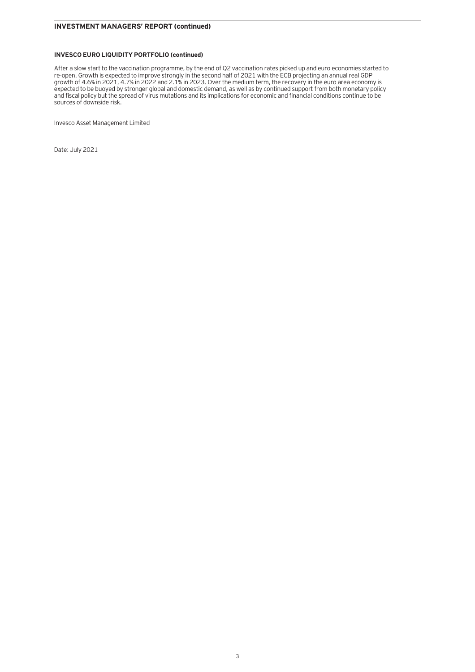### **INVESCO EURO LIQUIDITY PORTFOLIO (continued)**

After a slow start to the vaccination programme, by the end of Q2 vaccination rates picked up and euro economies started to re-open. Growth is expected to improve strongly in the second half of 2021 with the ECB projecting an annual real GDP growth of 4.6% in 2021, 4.7% in 2022 and 2.1% in 2023. Over the medium term, the recovery in the euro area economy is expected to be buoyed by stronger global and domestic demand, as well as by continued support from both monetary policy and fiscal policy but the spread of virus mutations and its implications for economic and financial conditions continue to be sources of downside risk.

Invesco Asset Management Limited

Date: July 2021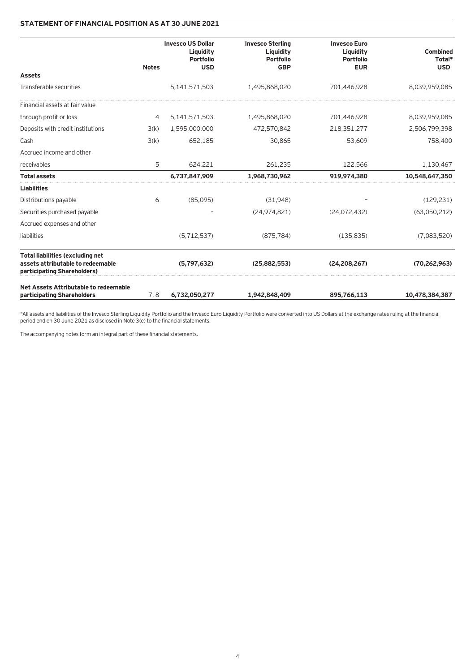# **STATEMENT OF FINANCIAL POSITION AS AT 30 JUNE 2021**

|                                                                                                             |              | <b>Invesco US Dollar</b><br>Liquidity<br>Portfolio | <b>Invesco Sterling</b><br>Liquidity<br><b>Portfolio</b> | <b>Invesco Euro</b><br>Liquidity<br>Portfolio | Combined<br>Total* |
|-------------------------------------------------------------------------------------------------------------|--------------|----------------------------------------------------|----------------------------------------------------------|-----------------------------------------------|--------------------|
| <b>Assets</b>                                                                                               | <b>Notes</b> | <b>USD</b>                                         | <b>GBP</b>                                               | <b>EUR</b>                                    | <b>USD</b>         |
|                                                                                                             |              |                                                    |                                                          |                                               |                    |
| Transferable securities                                                                                     |              | 5,141,571,503                                      | 1,495,868,020                                            | 701,446,928                                   | 8,039,959,085      |
| Financial assets at fair value                                                                              |              |                                                    |                                                          |                                               |                    |
| through profit or loss                                                                                      | 4            | 5,141,571,503                                      | 1,495,868,020                                            | 701,446,928                                   | 8,039,959,085      |
| Deposits with credit institutions                                                                           | 3(k)         | 1,595,000,000                                      | 472,570,842                                              | 218,351,277                                   | 2,506,799,398      |
| Cash                                                                                                        | 3(k)         | 652.185                                            | 30,865                                                   | 53,609                                        | 758,400            |
| Accrued income and other                                                                                    |              |                                                    |                                                          |                                               |                    |
| receivables                                                                                                 | 5            | 624.221                                            | 261,235                                                  | 122,566                                       | 1,130,467          |
| <b>Total assets</b>                                                                                         |              | 6,737,847,909                                      | 1,968,730,962                                            | 919,974,380                                   | 10,548,647,350     |
| <b>Liabilities</b>                                                                                          |              |                                                    |                                                          |                                               |                    |
| Distributions payable                                                                                       | 6            | (85.095)                                           | (31.948)                                                 |                                               | (129.231)          |
| Securities purchased payable                                                                                |              |                                                    | (24, 974, 821)                                           | (24,072,432)                                  | (63,050,212)       |
| Accrued expenses and other                                                                                  |              |                                                    |                                                          |                                               |                    |
| liabilities                                                                                                 |              | (5, 712, 537)                                      | (875, 784)                                               | (135, 835)                                    | (7.083.520)        |
| <b>Total liabilities (excluding net</b><br>assets attributable to redeemable<br>participating Shareholders) |              | (5,797,632)                                        | (25,882,553)                                             | (24, 208, 267)                                | (70, 262, 963)     |
| Net Assets Attributable to redeemable<br>participating Shareholders                                         | 7.8          | 6,732,050,277                                      | 1,942,848,409                                            | 895,766,113                                   | 10,478,384,387     |

\*All assets and liabilities of the Invesco Sterling Liquidity Portfolio and the Invesco Euro Liquidity Portfolio were converted into US Dollars at the exchange rates ruling at the financial period end on 30 June 2021 as disclosed in Note 3(e) to the financial statements.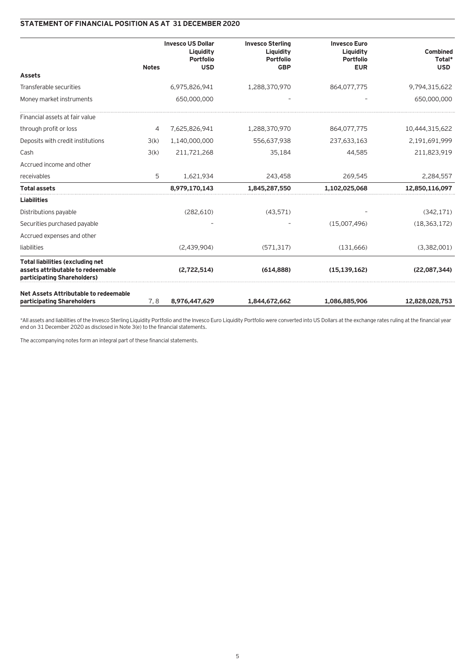# **STATEMENT OF FINANCIAL POSITION AS AT 31 DECEMBER 2020**

|                                                                                                             |              | <b>Invesco US Dollar</b><br>Liquidity<br>Portfolio | <b>Invesco Sterling</b><br>Liquidity<br>Portfolio | <b>Invesco Euro</b><br>Liquidity<br><b>Portfolio</b> | Combined<br>Total* |
|-------------------------------------------------------------------------------------------------------------|--------------|----------------------------------------------------|---------------------------------------------------|------------------------------------------------------|--------------------|
| <b>Assets</b>                                                                                               | <b>Notes</b> | <b>USD</b>                                         | <b>GBP</b>                                        | <b>EUR</b>                                           | <b>USD</b>         |
| Transferable securities                                                                                     |              | 6,975,826,941                                      | 1,288,370,970                                     | 864,077,775                                          | 9,794,315,622      |
| Money market instruments                                                                                    |              | 650,000,000                                        |                                                   |                                                      | 650,000,000        |
| Financial assets at fair value                                                                              |              |                                                    |                                                   |                                                      |                    |
| through profit or loss                                                                                      | 4            | 7,625,826,941                                      | 1,288,370,970                                     | 864,077,775                                          | 10,444,315,622     |
| Deposits with credit institutions                                                                           | 3(k)         | 1,140,000,000                                      | 556,637,938                                       | 237,633,163                                          | 2,191,691,999      |
| Cash                                                                                                        | 3(k)         | 211,721,268                                        | 35,184                                            | 44,585                                               | 211,823,919        |
| Accrued income and other                                                                                    |              |                                                    |                                                   |                                                      |                    |
| receivables                                                                                                 | 5            | 1,621,934                                          | 243,458                                           | 269,545                                              | 2,284,557          |
| <b>Total assets</b>                                                                                         |              | 8,979,170,143                                      | 1,845,287,550                                     | 1,102,025,068                                        | 12,850,116,097     |
| <b>Liabilities</b>                                                                                          |              |                                                    |                                                   |                                                      |                    |
| Distributions payable                                                                                       |              | (282, 610)                                         | (43, 571)                                         |                                                      | (342, 171)         |
| Securities purchased payable                                                                                |              |                                                    |                                                   | (15,007,496)                                         | (18, 363, 172)     |
| Accrued expenses and other                                                                                  |              |                                                    |                                                   |                                                      |                    |
| liabilities                                                                                                 |              | (2,439,904)                                        | (571, 317)                                        | (131,666)                                            | (3,382,001)        |
| <b>Total liabilities (excluding net</b><br>assets attributable to redeemable<br>participating Shareholders) |              | (2,722,514)                                        | (614.888)                                         | (15, 139, 162)                                       | (22,087,344)       |
| Net Assets Attributable to redeemable<br>participating Shareholders                                         | 7,8          | 8,976,447,629                                      | 1,844,672,662                                     | 1,086,885,906                                        | 12,828,028,753     |

\*All assets and liabilities of the Invesco Sterling Liquidity Portfolio and the Invesco Euro Liquidity Portfolio were converted into US Dollars at the exchange rates ruling at the financial year end on 31 December 2020 as disclosed in Note 3(e) to the financial statements.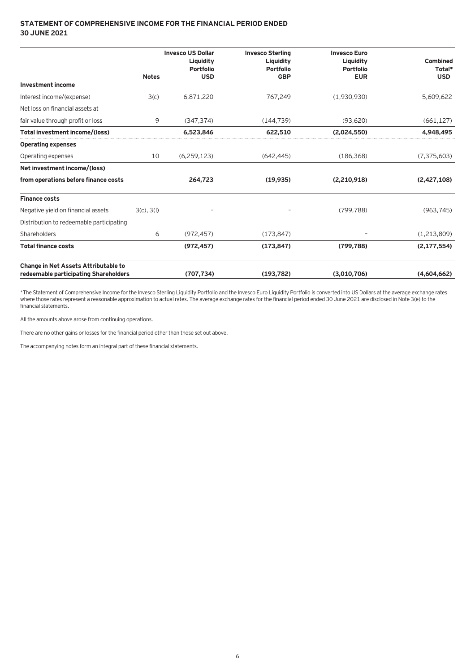### **STATEMENT OF COMPREHENSIVE INCOME FOR THE FINANCIAL PERIOD ENDED 30 JUNE 2021**

|                                                                                      |                 | <b>Invesco US Dollar</b><br>Liquidity<br><b>Portfolio</b> | <b>Invesco Sterling</b><br>Liquidity<br><b>Portfolio</b> | <b>Invesco Euro</b><br>Liquidity<br><b>Portfolio</b> | Combined<br>Total* |
|--------------------------------------------------------------------------------------|-----------------|-----------------------------------------------------------|----------------------------------------------------------|------------------------------------------------------|--------------------|
| <b>Investment income</b>                                                             | <b>Notes</b>    | <b>USD</b>                                                | <b>GBP</b>                                               | <b>EUR</b>                                           | <b>USD</b>         |
| Interest income/(expense)                                                            | 3(c)            | 6,871,220                                                 | 767,249                                                  | (1,930,930)                                          | 5,609,622          |
| Net loss on financial assets at                                                      |                 |                                                           |                                                          |                                                      |                    |
| fair value through profit or loss                                                    | 9               | (347.374)                                                 | (144, 739)                                               | (93,620)                                             | (661, 127)         |
| Total investment income/(loss)                                                       |                 | 6,523,846                                                 | 622,510                                                  | (2,024,550)                                          | 4,948,495          |
| <b>Operating expenses</b>                                                            |                 |                                                           |                                                          |                                                      |                    |
| Operating expenses                                                                   | 10              | (6,259,123)                                               | (642.445)                                                | (186, 368)                                           | (7,375,603)        |
| Net investment income/(loss)                                                         |                 |                                                           |                                                          |                                                      |                    |
| from operations before finance costs                                                 |                 | 264,723                                                   | (19, 935)                                                | (2,210,918)                                          | (2,427,108)        |
| <b>Finance costs</b>                                                                 |                 |                                                           |                                                          |                                                      |                    |
| Negative yield on financial assets                                                   | $3(c)$ , $3(l)$ |                                                           |                                                          | (799, 788)                                           | (963, 745)         |
| Distribution to redeemable participating                                             |                 |                                                           |                                                          |                                                      |                    |
| Shareholders                                                                         | 6               | (972, 457)                                                | (173, 847)                                               |                                                      | (1,213,809)        |
| <b>Total finance costs</b>                                                           |                 | (972, 457)                                                | (173, 847)                                               | (799.788)                                            | (2, 177, 554)      |
| <b>Change in Net Assets Attributable to</b><br>redeemable participating Shareholders |                 | (707, 734)                                                | (193, 782)                                               | (3,010,706)                                          | (4.604.662)        |

\*The Statement of Comprehensive Income for the Invesco Sterling Liquidity Portfolio and the Invesco Euro Liquidity Portfolio is converted into US Dollars at the average exchange rates where those rates represent a reasonable approximation to actual rates. The average exchange rates for the financial period ended 30 June 2021 are disclosed in Note 3(e) to the financial statements.

All the amounts above arose from continuing operations.

There are no other gains or losses for the financial period other than those set out above.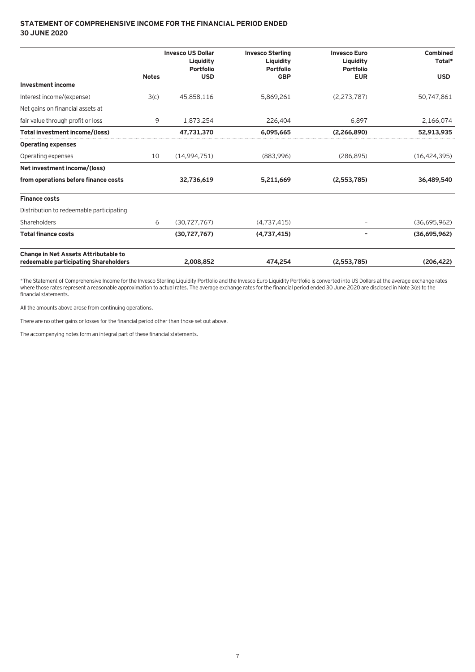### **STATEMENT OF COMPREHENSIVE INCOME FOR THE FINANCIAL PERIOD ENDED 30 JUNE 2020**

|                                                                                      |              | <b>Invesco US Dollar</b><br>Liquidity<br><b>Portfolio</b> | <b>Invesco Sterling</b><br>Liquidity<br><b>Portfolio</b> | <b>Invesco Euro</b><br>Liquidity<br><b>Portfolio</b> | <b>Combined</b><br>Total* |
|--------------------------------------------------------------------------------------|--------------|-----------------------------------------------------------|----------------------------------------------------------|------------------------------------------------------|---------------------------|
| <b>Investment income</b>                                                             | <b>Notes</b> | <b>USD</b>                                                | <b>GBP</b>                                               | <b>EUR</b>                                           | <b>USD</b>                |
|                                                                                      |              |                                                           |                                                          |                                                      |                           |
| Interest income/(expense)                                                            | 3(c)         | 45,858,116                                                | 5,869,261                                                | (2, 273, 787)                                        | 50,747,861                |
| Net gains on financial assets at                                                     |              |                                                           |                                                          |                                                      |                           |
| fair value through profit or loss                                                    | 9            | 1,873,254                                                 | 226,404                                                  | 6,897                                                | 2,166,074                 |
| Total investment income/(loss)                                                       |              | 47,731,370                                                | 6,095,665                                                | (2,266,890)                                          | 52,913,935                |
| <b>Operating expenses</b>                                                            |              |                                                           |                                                          |                                                      |                           |
| Operating expenses                                                                   | 10           | (14,994,751)                                              | (883,996)                                                | (286.895)                                            | (16, 424, 395)            |
| Net investment income/(loss)                                                         |              |                                                           |                                                          |                                                      |                           |
| from operations before finance costs                                                 |              | 32,736,619                                                | 5,211,669                                                | (2,553,785)                                          | 36,489,540                |
| <b>Finance costs</b>                                                                 |              |                                                           |                                                          |                                                      |                           |
| Distribution to redeemable participating                                             |              |                                                           |                                                          |                                                      |                           |
| Shareholders                                                                         | 6            | (30, 727, 767)                                            | (4,737,415)                                              |                                                      | (36,695,962)              |
| <b>Total finance costs</b>                                                           |              | (30, 727, 767)                                            | (4,737,415)                                              | -                                                    | (36,695,962)              |
| <b>Change in Net Assets Attributable to</b><br>redeemable participating Shareholders |              | 2.008.852                                                 | 474.254                                                  | (2.553.785)                                          | (206, 422)                |

\*The Statement of Comprehensive Income for the Invesco Sterling Liquidity Portfolio and the Invesco Euro Liquidity Portfolio is converted into US Dollars at the average exchange rates where those rates represent a reasonable approximation to actual rates. The average exchange rates for the financial period ended 30 June 2020 are disclosed in Note 3(e) to the financial statements.

All the amounts above arose from continuing operations.

There are no other gains or losses for the financial period other than those set out above.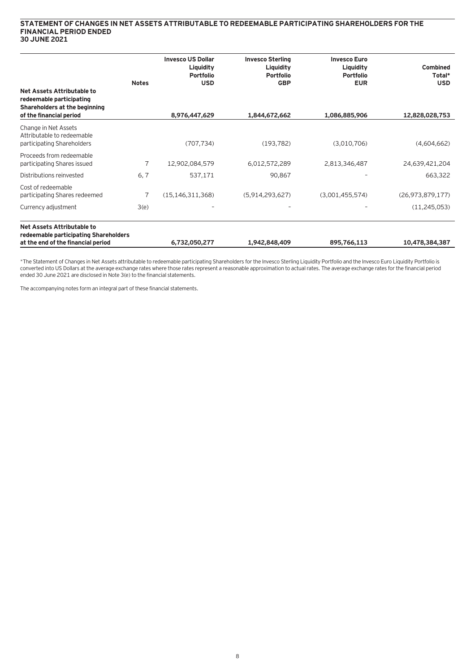### **STATEMENT OF CHANGES IN NET ASSETS ATTRIBUTABLE TO REDEEMABLE PARTICIPATING SHAREHOLDERS FOR THE FINANCIAL PERIOD ENDED 30 JUNE 2021**

|                                                                                                                    | <b>Notes</b> | <b>Invesco US Dollar</b><br>Liquidity<br><b>Portfolio</b><br><b>USD</b> | <b>Invesco Sterling</b><br>Liquidity<br><b>Portfolio</b><br><b>GBP</b> | <b>Invesco Euro</b><br>Liquidity<br><b>Portfolio</b><br><b>EUR</b> | <b>Combined</b><br>Total*<br><b>USD</b> |
|--------------------------------------------------------------------------------------------------------------------|--------------|-------------------------------------------------------------------------|------------------------------------------------------------------------|--------------------------------------------------------------------|-----------------------------------------|
| Net Assets Attributable to<br>redeemable participating<br>Shareholders at the beginning<br>of the financial period |              | 8,976,447,629                                                           | 1,844,672,662                                                          | 1,086,885,906                                                      | 12,828,028,753                          |
| Change in Net Assets<br>Attributable to redeemable<br>participating Shareholders                                   |              | (707, 734)                                                              | (193, 782)                                                             | (3,010,706)                                                        | (4,604,662)                             |
| Proceeds from redeemable<br>participating Shares issued                                                            | 7            | 12,902,084,579                                                          | 6,012,572,289                                                          | 2,813,346,487                                                      | 24,639,421,204                          |
| Distributions reinvested                                                                                           | 6, 7         | 537,171                                                                 | 90,867                                                                 |                                                                    | 663,322                                 |
| Cost of redeemable<br>participating Shares redeemed                                                                | 7            | (15, 146, 311, 368)                                                     | (5,914,293,627)                                                        | (3,001,455,574)                                                    | (26, 973, 879, 177)                     |
| Currency adjustment                                                                                                | 3(e)         |                                                                         |                                                                        |                                                                    | (11, 245, 053)                          |
| Net Assets Attributable to<br>redeemable participating Shareholders                                                |              |                                                                         |                                                                        |                                                                    |                                         |

\*The Statement of Changes in Net Assets attributable to redeemable participating Shareholders for the Invesco Sterling Liquidity Portfolio and the Invesco Euro Liquidity Portfolio is converted into US Dollars at the average exchange rates where those rates represent a reasonable approximation to actual rates. The average exchange rates for the financial period ended 30 June 2021 are disclosed in Note 3(e) to the financial statements.

**at the end of the financial period 6,732,050,277 1,942,848,409 895,766,113 10,478,384,387**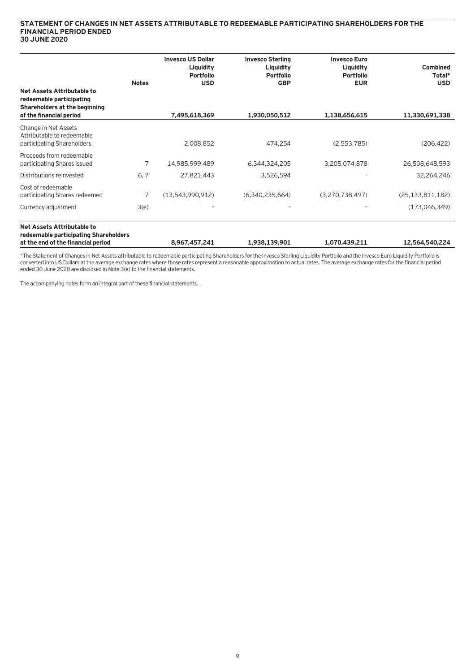### **STATEMENT OF CHANGES IN NET ASSETS ATTRIBUTABLE TO REDEEMABLE PARTICIPATING SHAREHOLDERS FOR THE FINANCIAL PERIOD ENDED 30 JUNE 2020**

| Net Assets Attributable to<br>redeemable participating<br>Shareholders at the beginning<br>of the financial period | <b>Notes</b> | <b>Invesco US Dollar</b><br>Liquidity<br><b>Portfolio</b><br><b>USD</b><br>7,495,618,369 | <b>Invesco Sterling</b><br>Liquidity<br><b>Portfolio</b><br><b>GBP</b><br>1,930,050,512 | <b>Invesco Euro</b><br>Liquidity<br><b>Portfolio</b><br><b>EUR</b><br>1,138,656,615 | <b>Combined</b><br>Total*<br><b>USD</b><br>11,330,691,338 |
|--------------------------------------------------------------------------------------------------------------------|--------------|------------------------------------------------------------------------------------------|-----------------------------------------------------------------------------------------|-------------------------------------------------------------------------------------|-----------------------------------------------------------|
| Change in Net Assets<br>Attributable to redeemable<br>participating Shareholders                                   |              | 2,008,852                                                                                | 474,254                                                                                 | (2,553,785)                                                                         | (206, 422)                                                |
| Proceeds from redeemable<br>participating Shares issued                                                            | 7            | 14,985,999,489                                                                           | 6,344,324,205                                                                           | 3,205,074,878                                                                       | 26,508,648,593                                            |
| Distributions reinvested                                                                                           | 6, 7         | 27,821,443                                                                               | 3,526,594                                                                               |                                                                                     | 32,264,246                                                |
| Cost of redeemable<br>participating Shares redeemed                                                                | 7            | (13,543,990,912)                                                                         | (6,340,235,664)                                                                         | (3,270,738,497)                                                                     | (25, 133, 811, 182)                                       |
| Currency adjustment                                                                                                | 3(e)         |                                                                                          |                                                                                         |                                                                                     | (173,046,349)                                             |
| <b>Net Assets Attributable to</b>                                                                                  |              |                                                                                          |                                                                                         |                                                                                     |                                                           |

**redeemable participating Shareholders at the end of the financial period 8,967,457,241 1,938,139,901 1,070,439,211 12,564,540,224**

\*The Statement of Changes in Net Assets attributable to redeemable participating Shareholders for the Invesco Sterling Liquidity Portfolio and the Invesco Euro Liquidity Portfolio is converted into US Dollars at the average exchange rates where those rates represent a reasonable approximation to actual rates. The average exchange rates for the financial period ended 30 June 2020 are disclosed in Note 3(e) to the financial statements.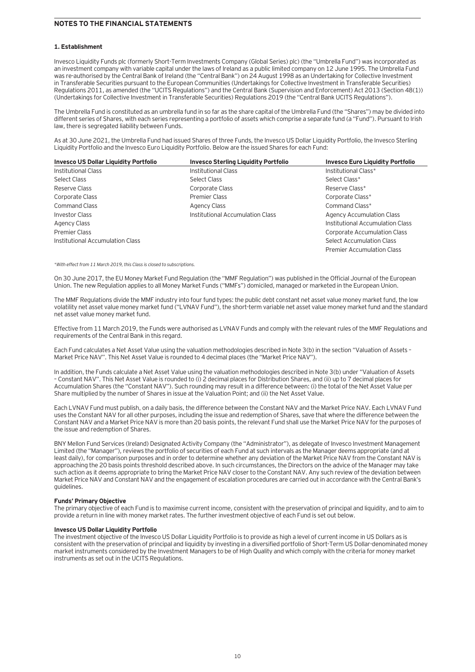### **NOTES TO THE FINANCIAL STATEMENTS**

### **1. Establishment**

Invesco Liquidity Funds plc (formerly Short-Term Investments Company (Global Series) plc) (the "Umbrella Fund") was incorporated as an investment company with variable capital under the laws of Ireland as a public limited company on 12 June 1995. The Umbrella Fund was re-authorised by the Central Bank of Ireland (the "Central Bank") on 24 August 1998 as an Undertaking for Collective Investment in Transferable Securities pursuant to the European Communities (Undertakings for Collective Investment in Transferable Securities) Regulations 2011, as amended (the "UCITS Regulations") and the Central Bank (Supervision and Enforcement) Act 2013 (Section 48(1)) (Undertakings for Collective Investment in Transferable Securities) Regulations 2019 (the "Central Bank UCITS Regulations").

The Umbrella Fund is constituted as an umbrella fund in so far as the share capital of the Umbrella Fund (the "Shares") may be divided into different series of Shares, with each series representing a portfolio of assets which comprise a separate fund (a "Fund"). Pursuant to Irish law, there is segregated liability between Funds.

As at 30 June 2021, the Umbrella Fund had issued Shares of three Funds, the Invesco US Dollar Liquidity Portfolio, the Invesco Sterling Liquidity Portfolio and the Invesco Euro Liquidity Portfolio. Below are the issued Shares for each Fund:

| <b>Invesco US Dollar Liquidity Portfolio</b> | <b>Invesco Sterling Liquidity Portfolio</b> | <b>Invesco Euro Liquidity Portfolio</b> |
|----------------------------------------------|---------------------------------------------|-----------------------------------------|
| Institutional Class                          | Institutional Class                         | Institutional Class*                    |
| Select Class                                 | Select Class                                | Select Class*                           |
| Reserve Class                                | Corporate Class                             | Reserve Class*                          |
| Corporate Class                              | <b>Premier Class</b>                        | Corporate Class*                        |
| <b>Command Class</b>                         | <b>Agency Class</b>                         | Command Class*                          |
| Investor Class                               | Institutional Accumulation Class            | <b>Agency Accumulation Class</b>        |
| Agency Class                                 |                                             | Institutional Accumulation Class        |
| Premier Class                                |                                             | <b>Corporate Accumulation Class</b>     |
| Institutional Accumulation Class             |                                             | <b>Select Accumulation Class</b>        |
|                                              |                                             | <b>Premier Accumulation Class</b>       |

\*With effect from 11 March 2019, this Class is closed to subscriptions.

On 30 June 2017, the EU Money Market Fund Regulation (the "MMF Regulation") was published in the Official Journal of the European Union. The new Regulation applies to all Money Market Funds ("MMFs") domiciled, managed or marketed in the European Union.

The MMF Regulations divide the MMF industry into four fund types: the public debt constant net asset value money market fund, the low volatility net asset value money market fund ("LVNAV Fund"), the short-term variable net asset value money market fund and the standard net asset value money market fund.

Effective from 11 March 2019, the Funds were authorised as LVNAV Funds and comply with the relevant rules of the MMF Regulations and requirements of the Central Bank in this regard.

Each Fund calculates a Net Asset Value using the valuation methodologies described in Note 3(b) in the section "Valuation of Assets – Market Price NAV". This Net Asset Value is rounded to 4 decimal places (the "Market Price NAV").

In addition, the Funds calculate a Net Asset Value using the valuation methodologies described in Note 3(b) under "Valuation of Assets – Constant NAV". This Net Asset Value is rounded to (i) 2 decimal places for Distribution Shares, and (ii) up to 7 decimal places for Accumulation Shares (the "Constant NAV"). Such rounding may result in a difference between: (i) the total of the Net Asset Value per Share multiplied by the number of Shares in issue at the Valuation Point; and (ii) the Net Asset Value.

Each LVNAV Fund must publish, on a daily basis, the difference between the Constant NAV and the Market Price NAV. Each LVNAV Fund uses the Constant NAV for all other purposes, including the issue and redemption of Shares, save that where the difference between the Constant NAV and a Market Price NAV is more than 20 basis points, the relevant Fund shall use the Market Price NAV for the purposes of the issue and redemption of Shares.

BNY Mellon Fund Services (Ireland) Designated Activity Company (the "Administrator"), as delegate of Invesco Investment Management Limited (the "Manager"), reviews the portfolio of securities of each Fund at such intervals as the Manager deems appropriate (and at least daily), for comparison purposes and in order to determine whether any deviation of the Market Price NAV from the Constant NAV is approaching the 20 basis points threshold described above. In such circumstances, the Directors on the advice of the Manager may take such action as it deems appropriate to bring the Market Price NAV closer to the Constant NAV. Any such review of the deviation between Market Price NAV and Constant NAV and the engagement of escalation procedures are carried out in accordance with the Central Bank's guidelines.

### **Funds' Primary Objective**

The primary objective of each Fund is to maximise current income, consistent with the preservation of principal and liquidity, and to aim to provide a return in line with money market rates. The further investment objective of each Fund is set out below.

### **Invesco US Dollar Liquidity Portfolio**

The investment objective of the Invesco US Dollar Liquidity Portfolio is to provide as high a level of current income in US Dollars as is consistent with the preservation of principal and liquidity by investing in a diversified portfolio of Short-Term US Dollar-denominated money market instruments considered by the Investment Managers to be of High Quality and which comply with the criteria for money market instruments as set out in the UCITS Regulations.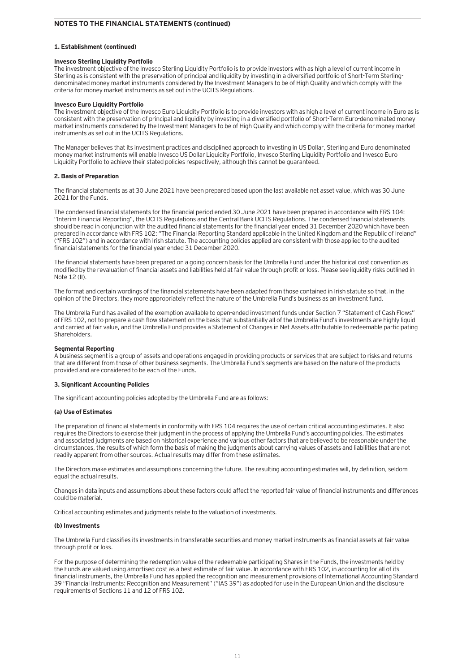### **1. Establishment (continued)**

### **Invesco Sterling Liquidity Portfolio**

The investment objective of the Invesco Sterling Liquidity Portfolio is to provide investors with as high a level of current income in Sterling as is consistent with the preservation of principal and liquidity by investing in a diversified portfolio of Short-Term Sterlingdenominated money market instruments considered by the Investment Managers to be of High Quality and which comply with the criteria for money market instruments as set out in the UCITS Regulations.

### **Invesco Euro Liquidity Portfolio**

The investment objective of the Invesco Euro Liquidity Portfolio is to provide investors with as high a level of current income in Euro as is consistent with the preservation of principal and liquidity by investing in a diversified portfolio of Short-Term Euro-denominated money market instruments considered by the Investment Managers to be of High Quality and which comply with the criteria for money market instruments as set out in the UCITS Regulations.

The Manager believes that its investment practices and disciplined approach to investing in US Dollar, Sterling and Euro denominated money market instruments will enable Invesco US Dollar Liquidity Portfolio, Invesco Sterling Liquidity Portfolio and Invesco Euro Liquidity Portfolio to achieve their stated policies respectively, although this cannot be guaranteed.

### **2. Basis of Preparation**

The financial statements as at 30 June 2021 have been prepared based upon the last available net asset value, which was 30 June 2021 for the Funds.

The condensed financial statements for the financial period ended 30 June 2021 have been prepared in accordance with FRS 104: "Interim Financial Reporting", the UCITS Regulations and the Central Bank UCITS Regulations. The condensed financial statements should be read in conjunction with the audited financial statements for the financial year ended 31 December 2020 which have been prepared in accordance with FRS 102: "The Financial Reporting Standard applicable in the United Kingdom and the Republic of Ireland" ("FRS 102") and in accordance with Irish statute. The accounting policies applied are consistent with those applied to the audited financial statements for the financial year ended 31 December 2020.

The financial statements have been prepared on a going concern basis for the Umbrella Fund under the historical cost convention as modified by the revaluation of financial assets and liabilities held at fair value through profit or loss. Please see liquidity risks outlined in Note 12 (II).

The format and certain wordings of the financial statements have been adapted from those contained in Irish statute so that, in the opinion of the Directors, they more appropriately reflect the nature of the Umbrella Fund's business as an investment fund.

The Umbrella Fund has availed of the exemption available to open-ended investment funds under Section 7 "Statement of Cash Flows" of FRS 102, not to prepare a cash flow statement on the basis that substantially all of the Umbrella Fund's investments are highly liquid and carried at fair value, and the Umbrella Fund provides a Statement of Changes in Net Assets attributable to redeemable participating Shareholders.

### **Segmental Reporting**

A business segment is a group of assets and operations engaged in providing products or services that are subject to risks and returns that are different from those of other business segments. The Umbrella Fund's segments are based on the nature of the products provided and are considered to be each of the Funds.

### **3. Significant Accounting Policies**

The significant accounting policies adopted by the Umbrella Fund are as follows:

### **(a) Use of Estimates**

The preparation of financial statements in conformity with FRS 104 requires the use of certain critical accounting estimates. It also requires the Directors to exercise their judgment in the process of applying the Umbrella Fund's accounting policies. The estimates and associated judgments are based on historical experience and various other factors that are believed to be reasonable under the circumstances, the results of which form the basis of making the judgments about carrying values of assets and liabilities that are not readily apparent from other sources. Actual results may differ from these estimates.

The Directors make estimates and assumptions concerning the future. The resulting accounting estimates will, by definition, seldom equal the actual results.

Changes in data inputs and assumptions about these factors could affect the reported fair value of financial instruments and differences could be material.

Critical accounting estimates and judgments relate to the valuation of investments.

### **(b) Investments**

The Umbrella Fund classifies its investments in transferable securities and money market instruments as financial assets at fair value through profit or loss.

For the purpose of determining the redemption value of the redeemable participating Shares in the Funds, the investments held by the Funds are valued using amortised cost as a best estimate of fair value. In accordance with FRS 102, in accounting for all of its financial instruments, the Umbrella Fund has applied the recognition and measurement provisions of International Accounting Standard 39 "Financial Instruments: Recognition and Measurement" ("IAS 39") as adopted for use in the European Union and the disclosure requirements of Sections 11 and 12 of FRS 102.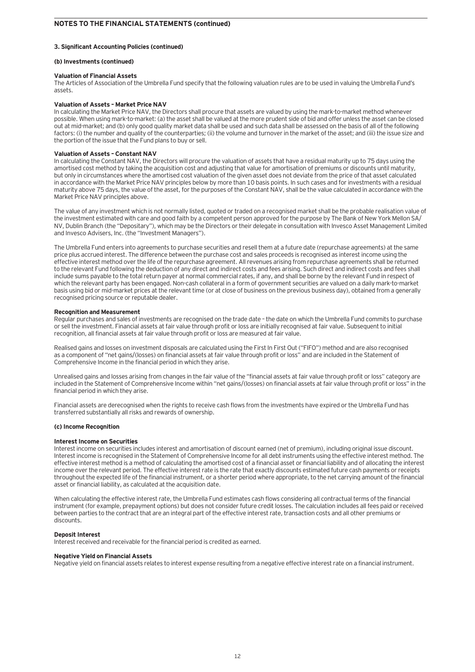### **3. Significant Accounting Policies (continued)**

### **(b) Investments (continued)**

### **Valuation of Financial Assets**

The Articles of Association of the Umbrella Fund specify that the following valuation rules are to be used in valuing the Umbrella Fund's assets.

### **Valuation of Assets – Market Price NAV**

In calculating the Market Price NAV, the Directors shall procure that assets are valued by using the mark-to-market method whenever possible. When using mark-to-market: (a) the asset shall be valued at the more prudent side of bid and offer unless the asset can be closed out at mid-market; and (b) only good quality market data shall be used and such data shall be assessed on the basis of all of the following factors: (i) the number and quality of the counterparties; (ii) the volume and turnover in the market of the asset; and (iii) the issue size and the portion of the issue that the Fund plans to buy or sell.

### **Valuation of Assets – Constant NAV**

In calculating the Constant NAV, the Directors will procure the valuation of assets that have a residual maturity up to 75 days using the amortised cost method by taking the acquisition cost and adjusting that value for amortisation of premiums or discounts until maturity, but only in circumstances where the amortised cost valuation of the given asset does not deviate from the price of that asset calculated in accordance with the Market Price NAV principles below by more than 10 basis points. In such cases and for investments with a residual maturity above 75 days, the value of the asset, for the purposes of the Constant NAV, shall be the value calculated in accordance with the Market Price NAV principles above.

The value of any investment which is not normally listed, quoted or traded on a recognised market shall be the probable realisation value of the investment estimated with care and good faith by a competent person approved for the purpose by The Bank of New York Mellon SA/ NV, Dublin Branch (the "Depositary"), which may be the Directors or their delegate in consultation with Invesco Asset Management Limited and Invesco Advisers, Inc. (the "Investment Managers").

The Umbrella Fund enters into agreements to purchase securities and resell them at a future date (repurchase agreements) at the same price plus accrued interest. The difference between the purchase cost and sales proceeds is recognised as interest income using the effective interest method over the life of the repurchase agreement. All revenues arising from repurchase agreements shall be returned to the relevant Fund following the deduction of any direct and indirect costs and fees arising. Such direct and indirect costs and fees shall include sums payable to the total return payer at normal commercial rates, if any, and shall be borne by the relevant Fund in respect of which the relevant party has been engaged. Non-cash collateral in a form of government securities are valued on a daily mark-to-market basis using bid or mid-market prices at the relevant time (or at close of business on the previous business day), obtained from a generally recognised pricing source or reputable dealer.

### **Recognition and Measurement**

Regular purchases and sales of investments are recognised on the trade date – the date on which the Umbrella Fund commits to purchase or sell the investment. Financial assets at fair value through profit or loss are initially recognised at fair value. Subsequent to initial recognition, all financial assets at fair value through profit or loss are measured at fair value.

Realised gains and losses on investment disposals are calculated using the First In First Out ("FIFO") method and are also recognised as a component of "net gains/(losses) on financial assets at fair value through profit or loss" and are included in the Statement of Comprehensive Income in the financial period in which they arise.

Unrealised gains and losses arising from changes in the fair value of the "financial assets at fair value through profit or loss" category are included in the Statement of Comprehensive Income within "net gains/(losses) on financial assets at fair value through profit or loss" in the financial period in which they arise.

Financial assets are derecognised when the rights to receive cash flows from the investments have expired or the Umbrella Fund has transferred substantially all risks and rewards of ownership.

### **(c) Income Recognition**

### **Interest Income on Securities**

Interest income on securities includes interest and amortisation of discount earned (net of premium), including original issue discount. Interest income is recognised in the Statement of Comprehensive Income for all debt instruments using the effective interest method. The effective interest method is a method of calculating the amortised cost of a financial asset or financial liability and of allocating the interest income over the relevant period. The effective interest rate is the rate that exactly discounts estimated future cash payments or receipts throughout the expected life of the financial instrument, or a shorter period where appropriate, to the net carrying amount of the financial asset or financial liability, as calculated at the acquisition date.

When calculating the effective interest rate, the Umbrella Fund estimates cash flows considering all contractual terms of the financial instrument (for example, prepayment options) but does not consider future credit losses. The calculation includes all fees paid or received between parties to the contract that are an integral part of the effective interest rate, transaction costs and all other premiums or discounts.

### **Deposit Interest**

Interest received and receivable for the financial period is credited as earned.

### **Negative Yield on Financial Assets**

Negative yield on financial assets relates to interest expense resulting from a negative effective interest rate on a financial instrument.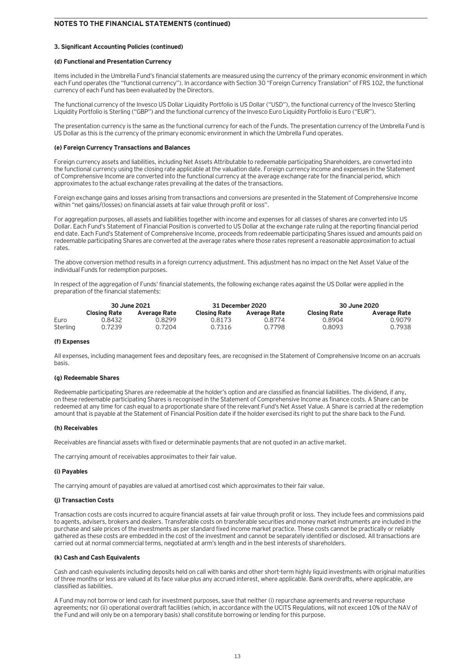### **3. Significant Accounting Policies (continued)**

### **(d) Functional and Presentation Currency**

Items included in the Umbrella Fund's financial statements are measured using the currency of the primary economic environment in which each Fund operates (the "functional currency"). In accordance with Section 30 "Foreign Currency Translation" of FRS 102, the functional currency of each Fund has been evaluated by the Directors.

The functional currency of the Invesco US Dollar Liquidity Portfolio is US Dollar ("USD"), the functional currency of the Invesco Sterling Liquidity Portfolio is Sterling ("GBP") and the functional currency of the Invesco Euro Liquidity Portfolio is Euro ("EUR").

The presentation currency is the same as the functional currency for each of the Funds. The presentation currency of the Umbrella Fund is US Dollar as this is the currency of the primary economic environment in which the Umbrella Fund operates.

### **(e) Foreign Currency Transactions and Balances**

Foreign currency assets and liabilities, including Net Assets Attributable to redeemable participating Shareholders, are converted into the functional currency using the closing rate applicable at the valuation date. Foreign currency income and expenses in the Statement of Comprehensive Income are converted into the functional currency at the average exchange rate for the financial period, which approximates to the actual exchange rates prevailing at the dates of the transactions.

Foreign exchange gains and losses arising from transactions and conversions are presented in the Statement of Comprehensive Income within "net gains/(losses) on financial assets at fair value through profit or loss".

For aggregation purposes, all assets and liabilities together with income and expenses for all classes of shares are converted into US Dollar. Each Fund's Statement of Financial Position is converted to US Dollar at the exchange rate ruling at the reporting financial period end date. Each Fund's Statement of Comprehensive Income, proceeds from redeemable participating Shares issued and amounts paid on redeemable participating Shares are converted at the average rates where those rates represent a reasonable approximation to actual rates.

The above conversion method results in a foreign currency adjustment. This adjustment has no impact on the Net Asset Value of the individual Funds for redemption purposes.

In respect of the aggregation of Funds' financial statements, the following exchange rates against the US Dollar were applied in the preparation of the financial statements:

|          | 30 June 2021        |              | 31 December 2020    |              | 30 June 2020        |              |
|----------|---------------------|--------------|---------------------|--------------|---------------------|--------------|
|          | <b>Closing Rate</b> | Average Rate | <b>Closing Rate</b> | Average Rate | <b>Closing Rate</b> | Average Rate |
| Euro     | 0.8432              | 0.8299       | 0.8173              | 0.8774       | 0.8904              | 0.9079       |
| Sterling | 0.7239              | 0.7204       | 0.7316              | 0.7798       | 0.8093              | 0.7938       |

### **(f) Expenses**

All expenses, including management fees and depositary fees, are recognised in the Statement of Comprehensive Income on an accruals basis.

### **(g) Redeemable Shares**

Redeemable participating Shares are redeemable at the holder's option and are classified as financial liabilities. The dividend, if any, on these redeemable participating Shares is recognised in the Statement of Comprehensive Income as finance costs. A Share can be redeemed at any time for cash equal to a proportionate share of the relevant Fund's Net Asset Value. A Share is carried at the redemption amount that is payable at the Statement of Financial Position date if the holder exercised its right to put the share back to the Fund.

### **(h) Receivables**

Receivables are financial assets with fixed or determinable payments that are not quoted in an active market.

The carrying amount of receivables approximates to their fair value.

### **(i) Payables**

The carrying amount of payables are valued at amortised cost which approximates to their fair value.

### **(j) Transaction Costs**

Transaction costs are costs incurred to acquire financial assets at fair value through profit or loss. They include fees and commissions paid to agents, advisers, brokers and dealers. Transferable costs on transferable securities and money market instruments are included in the purchase and sale prices of the investments as per standard fixed income market practice. These costs cannot be practically or reliably gathered as these costs are embedded in the cost of the investment and cannot be separately identified or disclosed. All transactions are carried out at normal commercial terms, negotiated at arm's length and in the best interests of shareholders.

### **(k) Cash and Cash Equivalents**

Cash and cash equivalents including deposits held on call with banks and other short-term highly liquid investments with original maturities of three months or less are valued at its face value plus any accrued interest, where applicable. Bank overdrafts, where applicable, are classified as liabilities.

A Fund may not borrow or lend cash for investment purposes, save that neither (i) repurchase agreements and reverse repurchase agreements; nor (ii) operational overdraft facilities (which, in accordance with the UCITS Regulations, will not exceed 10% of the NAV of the Fund and will only be on a temporary basis) shall constitute borrowing or lending for this purpose.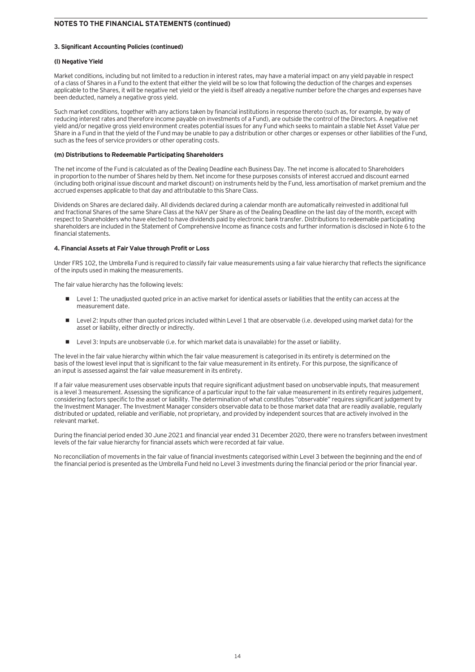### **3. Significant Accounting Policies (continued)**

### **(l) Negative Yield**

Market conditions, including but not limited to a reduction in interest rates, may have a material impact on any yield payable in respect of a class of Shares in a Fund to the extent that either the yield will be so low that following the deduction of the charges and expenses applicable to the Shares, it will be negative net yield or the yield is itself already a negative number before the charges and expenses have been deducted, namely a negative gross yield.

Such market conditions, together with any actions taken by financial institutions in response thereto (such as, for example, by way of reducing interest rates and therefore income payable on investments of a Fund), are outside the control of the Directors. A negative net yield and/or negative gross yield environment creates potential issues for any Fund which seeks to maintain a stable Net Asset Value per Share in a Fund in that the yield of the Fund may be unable to pay a distribution or other charges or expenses or other liabilities of the Fund, such as the fees of service providers or other operating costs.

### **(m) Distributions to Redeemable Participating Shareholders**

The net income of the Fund is calculated as of the Dealing Deadline each Business Day. The net income is allocated to Shareholders in proportion to the number of Shares held by them. Net income for these purposes consists of interest accrued and discount earned (including both original issue discount and market discount) on instruments held by the Fund, less amortisation of market premium and the accrued expenses applicable to that day and attributable to this Share Class.

Dividends on Shares are declared daily. All dividends declared during a calendar month are automatically reinvested in additional full and fractional Shares of the same Share Class at the NAV per Share as of the Dealing Deadline on the last day of the month, except with respect to Shareholders who have elected to have dividends paid by electronic bank transfer. Distributions to redeemable participating shareholders are included in the Statement of Comprehensive Income as finance costs and further information is disclosed in Note 6 to the financial statements.

### **4. Financial Assets at Fair Value through Profit or Loss**

Under FRS 102, the Umbrella Fund is required to classify fair value measurements using a fair value hierarchy that reflects the significance of the inputs used in making the measurements.

The fair value hierarchy has the following levels:

- **•** Level 1: The unadjusted quoted price in an active market for identical assets or liabilities that the entity can access at the measurement date.
- Level 2: Inputs other than quoted prices included within Level 1 that are observable (i.e. developed using market data) for the asset or liability, either directly or indirectly.
- Level 3: Inputs are unobservable (i.e. for which market data is unavailable) for the asset or liability.

The level in the fair value hierarchy within which the fair value measurement is categorised in its entirety is determined on the basis of the lowest level input that is significant to the fair value measurement in its entirety. For this purpose, the significance of an input is assessed against the fair value measurement in its entirety.

If a fair value measurement uses observable inputs that require significant adjustment based on unobservable inputs, that measurement is a level 3 measurement. Assessing the significance of a particular input to the fair value measurement in its entirety requires judgement. considering factors specific to the asset or liability. The determination of what constitutes "observable" requires significant judgement by the Investment Manager. The Investment Manager considers observable data to be those market data that are readily available, regularly distributed or updated, reliable and verifiable, not proprietary, and provided by independent sources that are actively involved in the relevant market.

During the financial period ended 30 June 2021 and financial year ended 31 December 2020, there were no transfers between investment levels of the fair value hierarchy for financial assets which were recorded at fair value.

No reconciliation of movements in the fair value of financial investments categorised within Level 3 between the beginning and the end of the financial period is presented as the Umbrella Fund held no Level 3 investments during the financial period or the prior financial year.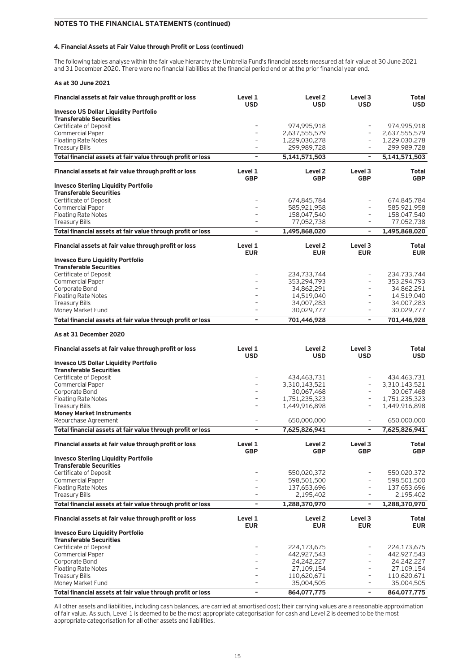### **4. Financial Assets at Fair Value through Profit or Loss (continued)**

The following tables analyse within the fair value hierarchy the Umbrella Fund's financial assets measured at fair value at 30 June 2021 and 31 December 2020. There were no financial liabilities at the financial period end or at the prior financial year end.

|  |  |  |  | As at 30 June 2021 |
|--|--|--|--|--------------------|
|--|--|--|--|--------------------|

| Financial assets at fair value through profit or loss                                | Level 1<br><b>USD</b>        | Level <sub>2</sub><br><b>USD</b> | Level 3<br><b>USD</b>                                | Total<br><b>USD</b>          |
|--------------------------------------------------------------------------------------|------------------------------|----------------------------------|------------------------------------------------------|------------------------------|
| <b>Invesco US Dollar Liquidity Portfolio</b>                                         |                              |                                  |                                                      |                              |
| <b>Transferable Securities</b>                                                       |                              |                                  | $\overline{\phantom{a}}$                             |                              |
| Certificate of Deposit<br><b>Commercial Paper</b>                                    |                              | 974,995,918<br>2,637,555,579     | $\overline{\phantom{a}}$                             | 974,995,918<br>2,637,555,579 |
| <b>Floating Rate Notes</b>                                                           | $\overline{a}$               | 1,229,030,278                    | $\overline{\phantom{a}}$                             | 1,229,030,278                |
| <b>Treasury Bills</b>                                                                | $\overline{a}$               | 299,989,728                      | $\overline{\phantom{a}}$                             | 299,989,728                  |
| Total financial assets at fair value through profit or loss                          | $\qquad \qquad \blacksquare$ | 5,141,571,503                    | $\overline{\phantom{a}}$                             | 5,141,571,503                |
| Financial assets at fair value through profit or loss                                | Level 1<br><b>GBP</b>        | Level <sub>2</sub><br><b>GBP</b> | Level 3<br><b>GBP</b>                                | Total<br><b>GBP</b>          |
| <b>Invesco Sterling Liquidity Portfolio</b>                                          |                              |                                  |                                                      |                              |
| <b>Transferable Securities</b>                                                       |                              |                                  |                                                      |                              |
| Certificate of Deposit<br><b>Commercial Paper</b>                                    |                              | 674,845,784<br>585,921,958       | $\overline{\phantom{m}}$                             | 674,845,784<br>585,921,958   |
| <b>Floating Rate Notes</b>                                                           |                              | 158,047,540                      | $\overline{\phantom{a}}$                             | 158,047,540                  |
| <b>Treasury Bills</b>                                                                |                              | 77,052,738                       | $\overline{\phantom{a}}$                             | 77,052,738                   |
| Total financial assets at fair value through profit or loss                          | ÷                            | 1,495,868,020                    | $\overline{\phantom{a}}$                             | 1,495,868,020                |
| Financial assets at fair value through profit or loss                                | Level 1<br><b>EUR</b>        | Level <sub>2</sub><br><b>EUR</b> | Level 3<br><b>EUR</b>                                | Total<br><b>EUR</b>          |
| <b>Invesco Euro Liquidity Portfolio</b>                                              |                              |                                  |                                                      |                              |
| <b>Transferable Securities</b>                                                       |                              |                                  |                                                      |                              |
| Certificate of Deposit<br><b>Commercial Paper</b>                                    |                              | 234,733,744<br>353,294,793       | $\overline{a}$<br>$\overline{\phantom{m}}$           | 234,733,744<br>353,294,793   |
| Corporate Bond                                                                       |                              | 34,862,291                       | $\overline{\phantom{m}}$                             | 34,862,291                   |
| <b>Floating Rate Notes</b>                                                           |                              | 14,519,040                       | $\overline{\phantom{m}}$                             | 14,519,040                   |
| <b>Treasury Bills</b>                                                                |                              | 34,007,283                       | $\overline{\phantom{m}}$<br>$\overline{a}$           | 34,007,283                   |
| Money Market Fund<br>Total financial assets at fair value through profit or loss     | ÷                            | 30,029,777<br>701,446,928        | $\overline{\phantom{a}}$                             | 30,029,777<br>701,446,928    |
|                                                                                      |                              |                                  |                                                      |                              |
| As at 31 December 2020                                                               |                              |                                  |                                                      |                              |
| Financial assets at fair value through profit or loss                                | Level 1<br><b>USD</b>        | Level <sub>2</sub><br><b>USD</b> | Level 3<br><b>USD</b>                                | Total<br><b>USD</b>          |
| <b>Invesco US Dollar Liquidity Portfolio</b>                                         |                              |                                  |                                                      |                              |
| <b>Transferable Securities</b>                                                       |                              |                                  |                                                      |                              |
| Certificate of Deposit<br><b>Commercial Paper</b>                                    |                              | 434,463,731<br>3,310,143,521     | $\overline{\phantom{0}}$<br>$\overline{\phantom{a}}$ | 434,463,731<br>3,310,143,521 |
| Corporate Bond                                                                       |                              | 30,067,468                       | $\overline{\phantom{a}}$                             | 30,067,468                   |
| <b>Floating Rate Notes</b>                                                           |                              | 1,751,235,323                    | $\overline{\phantom{a}}$                             | 1,751,235,323                |
| <b>Treasury Bills</b>                                                                | $\overline{a}$               | 1,449,916,898                    | $\overline{\phantom{a}}$                             | 1,449,916,898                |
| <b>Money Market Instruments</b><br>Repurchase Agreement                              | $\overline{a}$               | 650,000,000                      | $\overline{\phantom{a}}$                             | 650,000,000                  |
| Total financial assets at fair value through profit or loss                          | ÷                            | 7,625,826,941                    | $\overline{\phantom{a}}$                             | 7,625,826,941                |
| Financial assets at fair value through profit or loss                                | Level 1                      | Level <sub>2</sub>               | Level 3                                              | <b>Total</b>                 |
| <b>Invesco Sterling Liquidity Portfolio</b>                                          | GBP                          | GBP                              | <b>GBP</b>                                           | GBP                          |
| <b>Transferable Securities</b>                                                       |                              |                                  |                                                      |                              |
| Certificate of Deposit                                                               |                              |                                  |                                                      | 550,020,372                  |
| <b>Commercial Paper</b><br><b>Floating Rate Notes</b>                                |                              | 550,020,372                      |                                                      |                              |
|                                                                                      |                              | 598,501,500                      | $\overline{a}$                                       | 598,501,500                  |
|                                                                                      | $\overline{a}$               | 137,653,696                      | $\overline{\phantom{m}}$<br>$\overline{\phantom{a}}$ | 137,653,696                  |
| <b>Treasury Bills</b><br>Total financial assets at fair value through profit or loss | ÷                            | 2,195,402<br>1,288,370,970       | $\overline{\phantom{a}}$                             | 2,195,402<br>1,288,370,970   |
| Financial assets at fair value through profit or loss                                | Level 1                      | Level <sub>2</sub>               | Level 3                                              | Total                        |
|                                                                                      | <b>EUR</b>                   | <b>EUR</b>                       | <b>EUR</b>                                           | <b>EUR</b>                   |
| <b>Invesco Euro Liquidity Portfolio</b><br><b>Transferable Securities</b>            |                              |                                  |                                                      |                              |
| Certificate of Deposit                                                               |                              | 224,173,675                      |                                                      | 224,173,675                  |
| <b>Commercial Paper</b>                                                              |                              | 442,927,543                      | $\overline{\phantom{m}}$                             | 442,927,543                  |
| Corporate Bond                                                                       |                              | 24,242,227                       | $\qquad \qquad -$                                    | 24,242,227                   |
| <b>Floating Rate Notes</b>                                                           |                              | 27,109,154                       | $\overline{\phantom{a}}$<br>$\overline{\phantom{a}}$ | 27,109,154                   |
| <b>Treasury Bills</b><br>Money Market Fund                                           |                              | 110,620,671<br>35,004,505        | $\overline{\phantom{a}}$                             | 110,620,671<br>35,004,505    |

All other assets and liabilities, including cash balances, are carried at amortised cost; their carrying values are a reasonable approximation of fair value. As such, Level 1 is deemed to be the most appropriate categorisation for cash and Level 2 is deemed to be the most appropriate categorisation for all other assets and liabilities.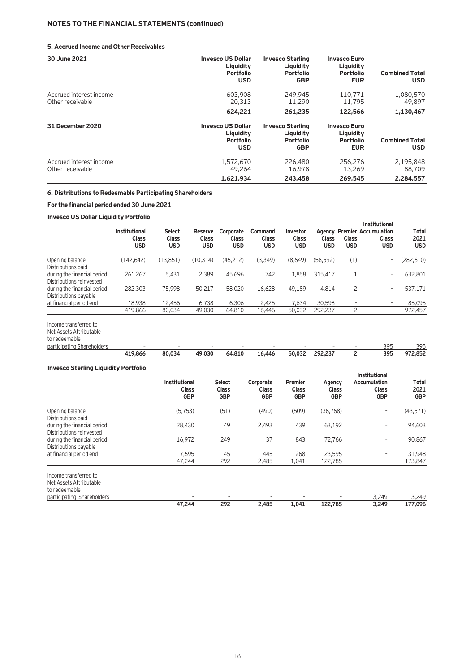### **5. Accrued Income and Other Receivables**

| 30 June 2021                                | <b>Invesco US Dollar</b><br>Liquidity<br><b>Portfolio</b><br><b>USD</b> | <b>Invesco Sterling</b><br>Liquidity<br><b>Portfolio</b><br><b>GBP</b> | <b>Invesco Euro</b><br>Liquidity<br><b>Portfolio</b><br><b>EUR</b> | <b>Combined Total</b><br><b>USD</b> |
|---------------------------------------------|-------------------------------------------------------------------------|------------------------------------------------------------------------|--------------------------------------------------------------------|-------------------------------------|
| Accrued interest income<br>Other receivable | 603,908<br>20,313                                                       | 249,945<br>11,290                                                      | 110.771<br>11,795                                                  | 1,080,570<br>49.897                 |
|                                             | 624,221                                                                 | 261,235                                                                | 122,566                                                            | 1,130,467                           |
| 31 December 2020                            | <b>Invesco US Dollar</b><br>Liquidity<br><b>Portfolio</b><br><b>USD</b> | <b>Invesco Sterling</b><br>Liauidity<br><b>Portfolio</b><br><b>GBP</b> | <b>Invesco Euro</b><br>Liquidity<br><b>Portfolio</b><br><b>EUR</b> | <b>Combined Total</b><br><b>USD</b> |
| Accrued interest income<br>Other receivable | 1,572,670<br>49.264                                                     | 226,480<br>16,978                                                      | 256.276<br>13,269                                                  | 2,195,848<br>88,709                 |
|                                             | 1,621,934                                                               | 243,458                                                                | 269,545                                                            | 2.284.557                           |

### **6. Distributions to Redeemable Participating Shareholders**

### **For the financial period ended 30 June 2021**

### **Invesco US Dollar Liquidity Portfolio**

|                                                         | <b>Institutional</b><br><b>Class</b><br><b>USD</b> | <b>Select</b><br><b>Class</b><br><b>USD</b> | Reserve<br><b>Class</b><br><b>USD</b> | Corporate<br><b>Class</b><br><b>USD</b> | <b>Command</b><br><b>Class</b><br><b>USD</b> | Investor<br><b>Class</b><br><b>USD</b> | <b>Class</b><br>USD | Class<br><b>USD</b>      | <b>Institutional</b><br><b>Agency Premier Accumulation</b><br><b>Class</b><br><b>USD</b> | Total<br>2021<br><b>USD</b> |
|---------------------------------------------------------|----------------------------------------------------|---------------------------------------------|---------------------------------------|-----------------------------------------|----------------------------------------------|----------------------------------------|---------------------|--------------------------|------------------------------------------------------------------------------------------|-----------------------------|
| Opening balance<br>Distributions paid                   | (142, 642)                                         | (13, 851)                                   | (10.314)                              | (45, 212)                               | (3,349)                                      | (8,649)                                | (58,592)            | (1)                      |                                                                                          | (282, 610)                  |
| during the financial period<br>Distributions reinvested | 261.267                                            | 5.431                                       | 2.389                                 | 45.696                                  | 742                                          | 1.858                                  | 315.417             |                          | ۰                                                                                        | 632,801                     |
| during the financial period<br>Distributions payable    | 282,303                                            | 75,998                                      | 50.217                                | 58,020                                  | 16.628                                       | 49.189                                 | 4.814               | 2                        | ۰.                                                                                       | 537,171                     |
| at financial period end                                 | 18,938                                             | 12,456                                      | 6.738                                 | 6.306                                   | 2.425                                        | 7.634                                  | 30,598              | $\overline{\phantom{a}}$ | ۰.                                                                                       | 85,095                      |
|                                                         | 419,866                                            | 80,034                                      | 49,030                                | 64,810                                  | 16,446                                       | 50,032                                 | 292,237             | 2                        | ۰.                                                                                       | 972,457                     |

Income transferred to

Net Assets Attributable to redeemable

| participating Shareholders |         |        | -      |        | -      |        | -                       | - | $\sim$ $\sim$<br>J. | 305<br>--- |
|----------------------------|---------|--------|--------|--------|--------|--------|-------------------------|---|---------------------|------------|
|                            | 419.866 | 80.034 | 49,030 | 64,810 | 16.446 | 50.032 | 292 237<br>. . <u>.</u> |   | 395                 | 972.852    |

### **Invesco Sterling Liquidity Portfolio**

|                                                                   | <b>Institutional</b><br><b>Class</b><br><b>GBP</b> | <b>Select</b><br><b>Class</b><br><b>GBP</b> | Corporate<br><b>Class</b><br><b>GBP</b> | Premier<br><b>Class</b><br><b>GBP</b> | Agency<br><b>Class</b><br><b>GBP</b> | <b>Institutional</b><br>Accumulation<br><b>Class</b><br><b>GBP</b> | Total<br>2021<br><b>GBP</b> |
|-------------------------------------------------------------------|----------------------------------------------------|---------------------------------------------|-----------------------------------------|---------------------------------------|--------------------------------------|--------------------------------------------------------------------|-----------------------------|
| Opening balance<br>Distributions paid                             | (5, 753)                                           | (51)                                        | (490)                                   | (509)                                 | (36, 768)                            | ٠.                                                                 | (43, 571)                   |
| during the financial period<br>Distributions reinvested           | 28,430                                             | 49                                          | 2,493                                   | 439                                   | 63,192                               | ٠.                                                                 | 94,603                      |
| during the financial period<br>Distributions payable              | 16,972                                             | 249                                         | 37                                      | 843                                   | 72.766                               | ٠.                                                                 | 90,867                      |
| at financial period end                                           | 7.595                                              | 45                                          | 445                                     | 268                                   | 23.595                               | ۰                                                                  | 31,948                      |
|                                                                   | 47.244                                             | 292                                         | 2,485                                   | 1,041                                 | 122,785                              | ۰                                                                  | 173,847                     |
| Income transferred to<br>Net Assets Attributable<br>to redeemable |                                                    |                                             |                                         |                                       |                                      |                                                                    |                             |
| participating Shareholders                                        |                                                    |                                             |                                         |                                       |                                      | 3,249                                                              | 3,249                       |
|                                                                   | 47.244                                             | 292                                         | 2,485                                   | 1,041                                 | 122,785                              | 3,249                                                              | 177,096                     |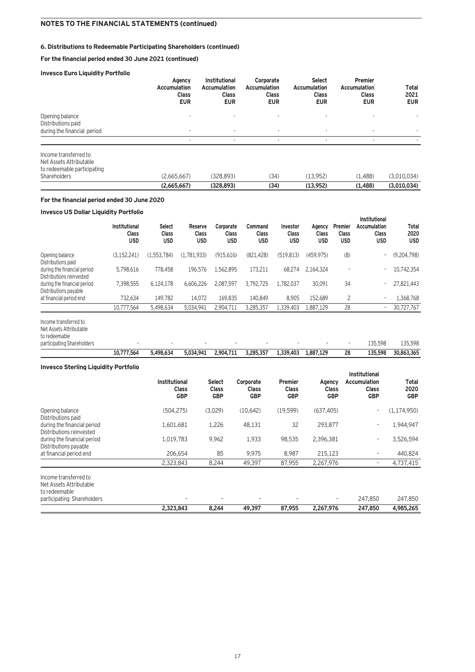### **6. Distributions to Redeemable Participating Shareholders (continued)**

### **For the financial period ended 30 June 2021 (continued)**

### **Invesco Euro Liquidity Portfolio**

|                                                                                                 | Agency<br><b>Accumulation</b><br><b>Class</b><br><b>EUR</b> | <b>Institutional</b><br><b>Accumulation</b><br><b>Class</b><br><b>EUR</b> | Corporate<br><b>Accumulation</b><br><b>Class</b><br><b>EUR</b> | <b>Select</b><br><b>Accumulation</b><br><b>Class</b><br><b>EUR</b> | <b>Premier</b><br><b>Accumulation</b><br><b>Class</b><br><b>EUR</b> | <b>Total</b><br>2021<br><b>EUR</b> |
|-------------------------------------------------------------------------------------------------|-------------------------------------------------------------|---------------------------------------------------------------------------|----------------------------------------------------------------|--------------------------------------------------------------------|---------------------------------------------------------------------|------------------------------------|
| Opening balance<br>Distributions paid<br>during the financial period                            | ۰.                                                          |                                                                           | $\overline{\phantom{a}}$                                       |                                                                    |                                                                     |                                    |
|                                                                                                 |                                                             |                                                                           | $\overline{\phantom{a}}$                                       | ٠                                                                  | ۰                                                                   |                                    |
| Income transferred to<br>Net Assets Attributable<br>to redeemable participating<br>Shareholders | (2,665,667)                                                 | (328, 893)                                                                | (34)                                                           | (13.952)                                                           | (1.488)                                                             | (3,010,034)                        |
|                                                                                                 | (2,665,667)                                                 | (328, 893)                                                                | (34)                                                           | (13,952)                                                           | (1,488)                                                             | (3,010,034)                        |

### **For the financial period ended 30 June 2020**

### **Invesco US Dollar Liquidity Portfolio**

|                                                         | Institutional<br><b>Class</b><br><b>USD</b> | <b>Select</b><br><b>Class</b><br><b>USD</b> | <b>Reserve</b><br><b>Class</b><br><b>USD</b> | Corporate<br><b>Class</b><br><b>USD</b> | Command<br><b>Class</b><br><b>USD</b> | Investor<br>Class<br><b>USD</b> | Agency<br><b>Class</b><br><b>USD</b> | <b>Premier</b><br><b>Class</b><br><b>USD</b> | Institutional<br>Accumulation<br>Class<br><b>USD</b> | Total<br>2020<br><b>USD</b> |
|---------------------------------------------------------|---------------------------------------------|---------------------------------------------|----------------------------------------------|-----------------------------------------|---------------------------------------|---------------------------------|--------------------------------------|----------------------------------------------|------------------------------------------------------|-----------------------------|
| Opening balance<br>Distributions paid                   | (3.152.241)                                 | (1.553.784)                                 | (1.781.933)                                  | (915.616)                               | (821.428)                             | (519.813)                       | (459.975)                            | (8)                                          | ۰                                                    | (9,204,798)                 |
| during the financial period<br>Distributions reinvested | 5.798.616                                   | 778,458                                     | 196.576                                      | 1.562.895                               | 173.211                               | 68.274                          | 2.164.324                            | $\overline{\phantom{a}}$                     | $\overline{a}$                                       | 10,742,354                  |
| during the financial period<br>Distributions payable    | 7.398.555                                   | 6.124.178                                   | 6.606.226                                    | 2.087.597                               | 3.792.725                             | 1.782.037                       | 30,091                               | 34                                           | ٠                                                    | 27,821,443                  |
| at financial period end                                 | 732.634                                     | 149.782                                     | 14.072                                       | 169.835                                 | 140.849                               | 8.905                           | 152.689                              | $\overline{c}$                               | ٠                                                    | 1,368,768                   |
|                                                         | 10.777.564                                  | 5,498,634                                   | 5.034.941                                    | 2.904.711                               | 3,285,357                             | 1,339,403                       | 1.887.129                            | 28                                           | ٠                                                    | 30,727,767                  |
| Income transferred to<br>Net Assets Attributable        |                                             |                                             |                                              |                                         |                                       |                                 |                                      |                                              |                                                      |                             |

participating Shareholders – – – – – - – – 135,598 135,598

# **10,777,564 5,498,634 5,034,941 2,904,711 3,285,357 1,339,403 1,887,129 28 135,598 30,863,365**

to redeemable

| <b>Invesco Sterling Liquidity Portfolio</b>                       |                                                    |                                      |                                         |                                              |                                      |                                                                           |                             |
|-------------------------------------------------------------------|----------------------------------------------------|--------------------------------------|-----------------------------------------|----------------------------------------------|--------------------------------------|---------------------------------------------------------------------------|-----------------------------|
|                                                                   | <b>Institutional</b><br><b>Class</b><br><b>GBP</b> | <b>Select</b><br>Class<br><b>GBP</b> | Corporate<br><b>Class</b><br><b>GBP</b> | <b>Premier</b><br><b>Class</b><br><b>GBP</b> | Agency<br><b>Class</b><br><b>GBP</b> | <b>Institutional</b><br><b>Accumulation</b><br><b>Class</b><br><b>GBP</b> | Total<br>2020<br><b>GBP</b> |
| Opening balance<br>Distributions paid                             | (504, 275)                                         | (3,029)                              | (10,642)                                | (19, 599)                                    | (637, 405)                           | $\overline{\phantom{a}}$                                                  | (1, 174, 950)               |
| during the financial period<br>Distributions reinvested           | 1,601,681                                          | 1,226                                | 48,131                                  | 32                                           | 293,877                              | $\overline{\phantom{a}}$                                                  | 1,944,947                   |
| during the financial period<br>Distributions payable              | 1,019,783                                          | 9,962                                | 1,933                                   | 98,535                                       | 2,396,381                            | $\overline{\phantom{a}}$                                                  | 3,526,594                   |
| at financial period end                                           | 206.654                                            | 85                                   | 9,975                                   | 8,987                                        | 215,123                              | $\overline{\phantom{a}}$                                                  | 440,824                     |
|                                                                   | 2,323,843                                          | 8,244                                | 49,397                                  | 87,955                                       | 2,267,976                            | $\overline{\phantom{a}}$                                                  | 4,737,415                   |
| Income transferred to<br>Net Assets Attributable<br>to redeemable |                                                    |                                      |                                         |                                              |                                      |                                                                           |                             |
| participating Shareholders                                        |                                                    |                                      |                                         |                                              | $\qquad \qquad -$                    | 247,850                                                                   | 247,850                     |
|                                                                   | 2,323,843                                          | 8,244                                | 49,397                                  | 87,955                                       | 2,267,976                            | 247,850                                                                   | 4,985,265                   |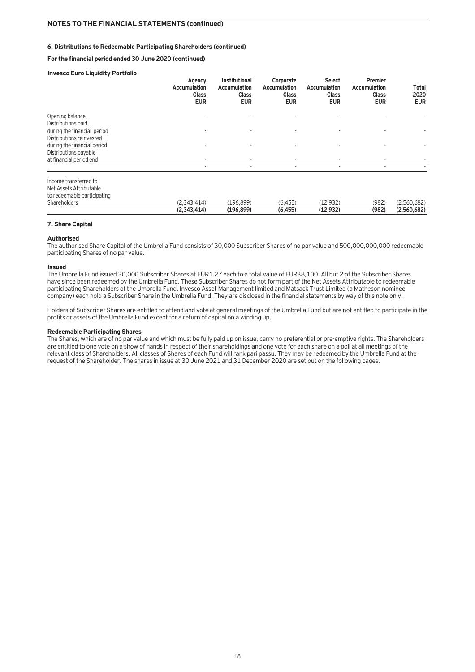### **6. Distributions to Redeemable Participating Shareholders (continued)**

**For the financial period ended 30 June 2020 (continued)**

### **Invesco Euro Liquidity Portfolio**

|                                                                                                 | Agency<br><b>Accumulation</b><br><b>Class</b><br><b>EUR</b> | Institutional<br><b>Accumulation</b><br><b>Class</b><br><b>EUR</b> | Corporate<br><b>Accumulation</b><br><b>Class</b><br><b>EUR</b> | <b>Select</b><br><b>Accumulation</b><br><b>Class</b><br><b>EUR</b> | Premier<br><b>Accumulation</b><br><b>Class</b><br><b>EUR</b> | Total<br>2020<br><b>EUR</b> |
|-------------------------------------------------------------------------------------------------|-------------------------------------------------------------|--------------------------------------------------------------------|----------------------------------------------------------------|--------------------------------------------------------------------|--------------------------------------------------------------|-----------------------------|
| Opening balance<br>Distributions paid<br>during the financial period                            | $\overline{\phantom{a}}$                                    |                                                                    | $\overline{\phantom{a}}$                                       | ۰                                                                  |                                                              |                             |
| Distributions reinvested<br>during the financial period<br>Distributions payable                |                                                             |                                                                    |                                                                |                                                                    |                                                              |                             |
| at financial period end                                                                         | ۰<br>٠                                                      |                                                                    |                                                                | $\overline{\phantom{a}}$<br>٠                                      | ٠                                                            |                             |
| Income transferred to<br>Net Assets Attributable<br>to redeemable participating<br>Shareholders | (2,343,414)<br>(2,343,414)                                  | (196, 899)<br>(196, 899)                                           | (6, 455)<br>(6, 455)                                           | (12, 932)<br>(12, 932)                                             | (982)<br>(982)                                               | (2,560,682)<br>(2,560,682)  |
|                                                                                                 |                                                             |                                                                    |                                                                |                                                                    |                                                              |                             |

### **7. Share Capital**

### **Authorised**

The authorised Share Capital of the Umbrella Fund consists of 30,000 Subscriber Shares of no par value and 500,000,000,000 redeemable participating Shares of no par value.

### **Issued**

The Umbrella Fund issued 30,000 Subscriber Shares at EUR1.27 each to a total value of EUR38,100. All but 2 of the Subscriber Shares have since been redeemed by the Umbrella Fund. These Subscriber Shares do not form part of the Net Assets Attributable to redeemable participating Shareholders of the Umbrella Fund. Invesco Asset Management limited and Matsack Trust Limited (a Matheson nominee company) each hold a Subscriber Share in the Umbrella Fund. They are disclosed in the financial statements by way of this note only.

Holders of Subscriber Shares are entitled to attend and vote at general meetings of the Umbrella Fund but are not entitled to participate in the profits or assets of the Umbrella Fund except for a return of capital on a winding up.

### **Redeemable Participating Shares**

The Shares, which are of no par value and which must be fully paid up on issue, carry no preferential or pre-emptive rights. The Shareholders are entitled to one vote on a show of hands in respect of their shareholdings and one vote for each share on a poll at all meetings of the relevant class of Shareholders. All classes of Shares of each Fund will rank pari passu. They may be redeemed by the Umbrella Fund at the request of the Shareholder. The shares in issue at 30 June 2021 and 31 December 2020 are set out on the following pages.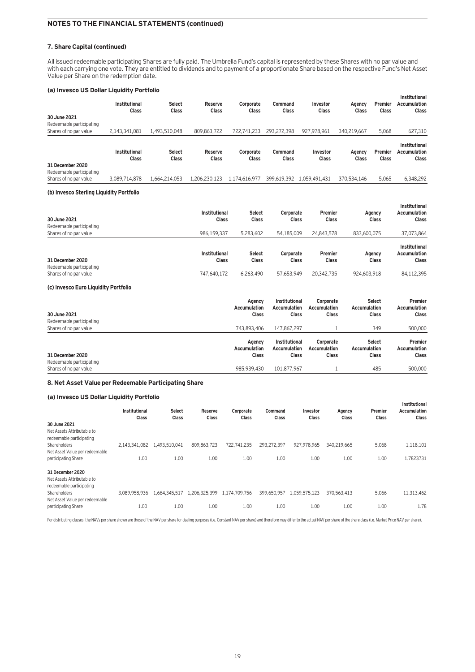### **7. Share Capital (continued)**

All issued redeemable participating Shares are fully paid. The Umbrella Fund's capital is represented by these Shares with no par value and with each carrying one vote. They are entitled to dividends and to payment of a proportionate Share based on the respective Fund's Net Asset Value per Share on the redemption date.

### **(a) Invesco US Dollar Liquidity Portfolio**

|                                                                        | Institutional<br>Class | <b>Select</b><br>Class | Reserve<br>Class | Corporate<br>Class | Command<br><b>Class</b> | Investor<br>Class | Agency<br><b>Class</b> | Premier<br>Class | <b>Institutional</b><br><b>Accumulation</b><br>Class |
|------------------------------------------------------------------------|------------------------|------------------------|------------------|--------------------|-------------------------|-------------------|------------------------|------------------|------------------------------------------------------|
| 30 June 2021                                                           |                        |                        |                  |                    |                         |                   |                        |                  |                                                      |
| Redeemable participating                                               |                        |                        |                  |                    |                         |                   |                        |                  |                                                      |
| Shares of no par value                                                 | 2.143.341.081          | 1.493.510.048          | 809.863.722      | 722.741.233        | 293.272.398             | 927,978,961       | 340.219.667            | 5,068            | 627,310                                              |
|                                                                        | Institutional<br>Class | <b>Select</b><br>Class | Reserve<br>Class | Corporate<br>Class | Command<br><b>Class</b> | Investor<br>Class | Agency<br><b>Class</b> | Premier<br>Class | Institutional<br><b>Accumulation</b><br>Class        |
| 31 December 2020<br>Redeemable participating<br>Shares of no par value | 3.089.714.878          | 1.664.214.053          | 1.206.230.123    | 1.174.616.977      | 399.619.392             | 1.059.491.431     | 370.534.146            | 5,065            | 6,348,292                                            |
|                                                                        |                        |                        |                  |                    |                         |                   |                        |                  |                                                      |
| (h) Invoces Charling Liquidity Derthelia                               |                        |                        |                  |                    |                         |                   |                        |                  |                                                      |

### **(b) Invesco Sterling Liquidity Portfolio**

| 30 June 2021<br>Redeemable participating     | Institutional<br>Class | <b>Select</b><br><b>Class</b> | Corporate<br>Class | <b>Premier</b><br>Class | Agency<br>Class | Institutional<br><b>Accumulation</b><br><b>Class</b> |
|----------------------------------------------|------------------------|-------------------------------|--------------------|-------------------------|-----------------|------------------------------------------------------|
| Shares of no par value                       | 986.159.337            | 5.283.602                     | 54.185.009         | 24.843.578              | 833.600.075     | 37,073,864                                           |
| 31 December 2020<br>Redeemable participating | Institutional<br>Class | <b>Select</b><br>Class        | Corporate<br>Class | Premier<br>Class        | Agency<br>Class | Institutional<br><b>Accumulation</b><br><b>Class</b> |
| Shares of no par value                       | 747.640.172            | 6.263.490                     | 57.653.949         | 20.342.735              | 924.603.918     | 84,112,395                                           |

### **(c) Invesco Euro Liquidity Portfolio**

| 30 June 2021<br>Redeemable participating | Agency<br>Accumulation<br><b>Class</b> | Institutional<br><b>Accumulation</b><br>Class | Corporate<br><b>Accumulation</b><br>Class | <b>Select</b><br>Accumulation<br>Class | Premier<br>Accumulation<br>Class        |
|------------------------------------------|----------------------------------------|-----------------------------------------------|-------------------------------------------|----------------------------------------|-----------------------------------------|
| Shares of no par value                   | 743.893.406                            | 147.867.297                                   |                                           | 349                                    | 500,000                                 |
| 31 December 2020                         | Agency<br>Accumulation<br><b>Class</b> | Institutional<br><b>Accumulation</b><br>Class | Corporate<br><b>Accumulation</b><br>Class | <b>Select</b><br>Accumulation<br>Class | Premier<br><b>Accumulation</b><br>Class |
| Redeemable participating                 | 985.939.430                            | 101.877.967                                   |                                           | 485                                    | 500,000                                 |
| Shares of no par value                   |                                        |                                               |                                           |                                        |                                         |

### **8. Net Asset Value per Redeemable Participating Share**

### **(a) Invesco US Dollar Liquidity Portfolio**

|                                                                            | Institutional<br>Class | <b>Select</b><br>Class | Reserve<br>Class | Corporate<br>Class | Command<br>Class | Investor<br>Class | Agency<br>Class | Premier<br>Class | Institutional<br>Accumulation<br>Class |
|----------------------------------------------------------------------------|------------------------|------------------------|------------------|--------------------|------------------|-------------------|-----------------|------------------|----------------------------------------|
| 30 June 2021<br>Net Assets Attributable to<br>redeemable participating     |                        |                        |                  |                    |                  |                   |                 |                  |                                        |
| <b>Shareholders</b>                                                        | 2.143.341.082          | 1,493,510,041          | 809.863.723      | 722.741.235        | 293.272.397      | 927.978.965       | 340.219.665     | 5,068            | 1,118,101                              |
| Net Asset Value per redeemable                                             |                        |                        |                  |                    |                  |                   |                 |                  |                                        |
| participating Share                                                        | 1.00                   | 1.00                   | 1.00             | 1.00               | 1.00             | 1.00              | 1.00            | 1.00             | 1.7823731                              |
| 31 December 2020<br>Net Assets Attributable to<br>redeemable participating |                        |                        |                  |                    |                  |                   |                 |                  |                                        |
| Shareholders<br>Net Asset Value per redeemable                             | 3.089.958.936          | 1.664.345.517          | 1.206.325.399    | 1.174.709.756      | 399.650.957      | 1.059.575.123     | 370.563.413     | 5,066            | 11.313.462                             |
| participating Share                                                        | 1.00                   | 1.00                   | 1.00             | 1.00               | 1.00             | 1.00              | 1.00            | 1.00             | 1.78                                   |

For distributing classes, the NAVs per share shown are those of the NAV per share for dealing purposes (i.e. Constant NAV per share) and therefore may differ to the actual NAV per share of the share class (i.e. Market Pric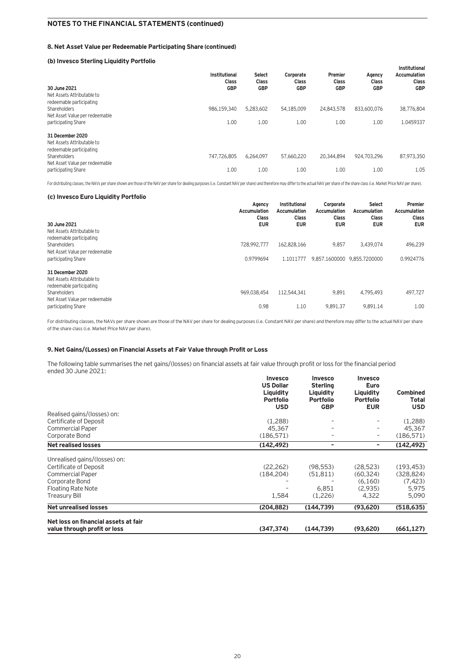### **8. Net Asset Value per Redeemable Participating Share (continued)**

### **(b) Invesco Sterling Liquidity Portfolio**

| 30 June 2021<br>Net Assets Attributable to<br>redeemable participating     | Institutional<br>Class<br><b>GBP</b> | <b>Select</b><br><b>Class</b><br><b>GBP</b> | Corporate<br><b>Class</b><br>GBP | Premier<br><b>Class</b><br><b>GBP</b> | Agency<br>Class<br><b>GBP</b> | Institutional<br>Accumulation<br>Class<br><b>GBP</b> |
|----------------------------------------------------------------------------|--------------------------------------|---------------------------------------------|----------------------------------|---------------------------------------|-------------------------------|------------------------------------------------------|
| Shareholders<br>Net Asset Value per redeemable                             | 986.159.340                          | 5,283,602                                   | 54,185,009                       | 24.843.578                            | 833,600,076                   | 38,776,804                                           |
| participating Share                                                        | 1.00                                 | 1.00                                        | 1.00                             | 1.00                                  | 1.00                          | 1.0459337                                            |
| 31 December 2020<br>Net Assets Attributable to<br>redeemable participating |                                      |                                             |                                  |                                       |                               |                                                      |
| Shareholders<br>Net Asset Value per redeemable                             | 747.726.805                          | 6,264,097                                   | 57.660.220                       | 20,344,894                            | 924.703.296                   | 87,973,350                                           |
| participating Share                                                        | 1.00                                 | 1.00                                        | 1.00                             | 1.00                                  | 1.00                          | 1.05                                                 |

For distributing classes, the NAVs per share shown are those of the NAV per share for dealing purposes (i.e. Constant NAV per share) and therefore may differ to the actual NAV per share of the share class (i.e. Market Pric

### **(c) Invesco Euro Liquidity Portfolio**

| 30 June 2021<br>Net Assets Attributable to                                                                                                          | Agency<br>Accumulation<br><b>Class</b><br><b>EUR</b> | Institutional<br>Accumulation<br><b>Class</b><br><b>EUR</b> | Corporate<br>Accumulation<br><b>Class</b><br><b>EUR</b> | <b>Select</b><br>Accumulation<br><b>Class</b><br><b>EUR</b> | <b>Premier</b><br><b>Accumulation</b><br><b>Class</b><br><b>EUR</b> |
|-----------------------------------------------------------------------------------------------------------------------------------------------------|------------------------------------------------------|-------------------------------------------------------------|---------------------------------------------------------|-------------------------------------------------------------|---------------------------------------------------------------------|
| redeemable participating<br>Shareholders<br>Net Asset Value per redeemable<br>participating Share                                                   | 728.992.777<br>0.9799694                             | 162.828.166<br>1.1011777                                    | 9,857<br>9.857.1600000                                  | 3.439.074<br>9.855.7200000                                  | 496.239<br>0.9924776                                                |
| 31 December 2020<br>Net Assets Attributable to<br>redeemable participating<br>Shareholders<br>Net Asset Value per redeemable<br>participating Share | 969.038.454<br>0.98                                  | 112,544,341<br>1.10                                         | 9,891<br>9.891.37                                       | 4.795.493<br>9.891.14                                       | 497,727<br>1.00                                                     |

For distributing classes, the NAVs per share shown are those of the NAV per share for dealing purposes (i.e. Constant NAV per share) and therefore may differ to the actual NAV per share of the share class (i.e. Market Price NAV per share).

### **9. Net Gains/(Losses) on Financial Assets at Fair Value through Profit or Loss**

The following table summarises the net gains/(losses) on financial assets at fair value through profit or loss for the financial period ended 30 June 2021:

|                                                                      | <b>Invesco</b><br><b>US Dollar</b><br>Liquidity<br><b>Portfolio</b><br><b>USD</b> | <b>Invesco</b><br><b>Sterling</b><br>Liquidity<br><b>Portfolio</b><br><b>GBP</b> | <b>Invesco</b><br><b>Euro</b><br>Liquidity<br>Portfolio<br><b>EUR</b> | <b>Combined</b><br>Total<br><b>USD</b> |
|----------------------------------------------------------------------|-----------------------------------------------------------------------------------|----------------------------------------------------------------------------------|-----------------------------------------------------------------------|----------------------------------------|
| Realised gains/(losses) on:                                          |                                                                                   |                                                                                  |                                                                       |                                        |
| Certificate of Deposit                                               | (1,288)                                                                           | $\qquad \qquad -$                                                                | ۰.                                                                    | (1,288)                                |
| <b>Commercial Paper</b>                                              | 45,367                                                                            | -                                                                                | ۰.                                                                    | 45,367                                 |
| Corporate Bond                                                       | (186, 571)                                                                        | -                                                                                | ۰.                                                                    | (186, 571)                             |
| <b>Net realised losses</b>                                           | (142, 492)                                                                        | ۰                                                                                | ۰                                                                     | (142, 492)                             |
| Unrealised gains/(losses) on:<br>Certificate of Deposit              | (22, 262)                                                                         | (98, 553)                                                                        | (28, 523)                                                             | (193, 453)                             |
| <b>Commercial Paper</b>                                              | (184, 204)                                                                        | (51, 811)                                                                        | (60, 324)                                                             | (328, 824)                             |
| Corporate Bond                                                       |                                                                                   |                                                                                  | (6,160)                                                               | (7, 423)                               |
| Floating Rate Note                                                   |                                                                                   | 6,851                                                                            | (2,935)                                                               | 5,975                                  |
| <b>Treasury Bill</b>                                                 | 1,584                                                                             | (1,226)                                                                          | 4,322                                                                 | 5,090                                  |
| <b>Net unrealised losses</b>                                         | (204,882)                                                                         | (144, 739)                                                                       | (93,620)                                                              | (518, 635)                             |
|                                                                      |                                                                                   |                                                                                  |                                                                       |                                        |
| Net loss on financial assets at fair<br>value through profit or loss | (347, 374)                                                                        | (144, 739)                                                                       | (93,620)                                                              | (661, 127)                             |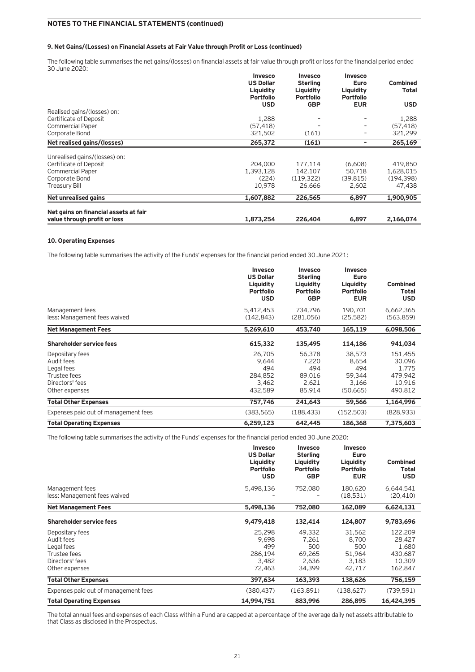### **9. Net Gains/(Losses) on Financial Assets at Fair Value through Profit or Loss (continued)**

The following table summarises the net gains/(losses) on financial assets at fair value through profit or loss for the financial period ended 30 June 2020:

|                                       | <b>Invesco</b><br><b>US Dollar</b><br>Liquidity<br><b>Portfolio</b><br><b>USD</b> | <b>Invesco</b><br><b>Sterling</b><br>Liquidity<br><b>Portfolio</b><br><b>GBP</b> | <b>Invesco</b><br>Euro<br>Liquidity<br><b>Portfolio</b><br><b>EUR</b> | Combined<br><b>Total</b><br><b>USD</b> |
|---------------------------------------|-----------------------------------------------------------------------------------|----------------------------------------------------------------------------------|-----------------------------------------------------------------------|----------------------------------------|
| Realised gains/(losses) on:           |                                                                                   |                                                                                  |                                                                       |                                        |
| Certificate of Deposit                | 1,288                                                                             |                                                                                  |                                                                       | 1,288                                  |
| <b>Commercial Paper</b>               | (57, 418)                                                                         |                                                                                  |                                                                       | (57, 418)                              |
| Corporate Bond                        | 321,502                                                                           | (161)                                                                            | -                                                                     | 321,299                                |
| Net realised gains/(losses)           | 265,372                                                                           | (161)                                                                            | -                                                                     | 265,169                                |
| Unrealised gains/(losses) on:         |                                                                                   |                                                                                  |                                                                       |                                        |
| Certificate of Deposit                | 204,000                                                                           | 177.114                                                                          | (6.608)                                                               | 419,850                                |
| <b>Commercial Paper</b>               | 1,393,128                                                                         | 142.107                                                                          | 50,718                                                                | 1,628,015                              |
| Corporate Bond                        | (224)                                                                             | (119.322)                                                                        | (39, 815)                                                             | (194, 398)                             |
| Treasury Bill                         | 10.978                                                                            | 26.666                                                                           | 2,602                                                                 | 47,438                                 |
| Net unrealised gains                  | 1,607,882                                                                         | 226,565                                                                          | 6,897                                                                 | 1,900,905                              |
| Net gains on financial assets at fair |                                                                                   |                                                                                  |                                                                       |                                        |
| value through profit or loss          | 1,873,254                                                                         | 226,404                                                                          | 6,897                                                                 | 2.166.074                              |

### **10. Operating Expenses**

The following table summarises the activity of the Funds' expenses for the financial period ended 30 June 2021:

|                                                                                                  | <b>Invesco</b><br><b>US Dollar</b><br>Liquidity<br><b>Portfolio</b><br><b>USD</b> | <b>Invesco</b><br><b>Sterling</b><br>Liquidity<br><b>Portfolio</b><br><b>GBP</b> | <b>Invesco</b><br>Euro<br>Liquidity<br><b>Portfolio</b><br><b>EUR</b> | <b>Combined</b><br><b>Total</b><br><b>USD</b>              |
|--------------------------------------------------------------------------------------------------|-----------------------------------------------------------------------------------|----------------------------------------------------------------------------------|-----------------------------------------------------------------------|------------------------------------------------------------|
| Management fees<br>less: Management fees waived                                                  | 5,412,453<br>(142, 843)                                                           | 734.796<br>(281,056)                                                             | 190.701<br>(25, 582)                                                  | 6,662,365<br>(563, 859)                                    |
| <b>Net Management Fees</b>                                                                       | 5,269,610                                                                         | 453,740                                                                          | 165,119                                                               | 6,098,506                                                  |
| <b>Shareholder service fees</b>                                                                  | 615,332                                                                           | 135,495                                                                          | 114,186                                                               | 941,034                                                    |
| Depositary fees<br>Audit fees<br>Legal fees<br>Trustee fees<br>Directors' fees<br>Other expenses | 26,705<br>9,644<br>494<br>284,852<br>3,462<br>432,589                             | 56,378<br>7,220<br>494<br>89,016<br>2,621<br>85,914                              | 38,573<br>8,654<br>494<br>59,344<br>3,166<br>(50, 665)                | 151,455<br>30,096<br>1,775<br>479,942<br>10,916<br>490,812 |
| Total Other Expenses                                                                             | 757,746                                                                           | 241,643                                                                          | 59,566                                                                | 1,164,996                                                  |
| Expenses paid out of management fees                                                             | (383, 565)                                                                        | (188, 433)                                                                       | (152, 503)                                                            | (828, 933)                                                 |
| <b>Total Operating Expenses</b>                                                                  | 6.259.123                                                                         | 642,445                                                                          | 186,368                                                               | 7,375,603                                                  |

The following table summarises the activity of the Funds' expenses for the financial period ended 30 June 2020:

|                                                                                                  | <b>Invesco</b><br><b>US Dollar</b><br>Liquidity<br><b>Portfolio</b><br><b>USD</b> | <b>Invesco</b><br><b>Sterling</b><br>Liquidity<br><b>Portfolio</b><br><b>GBP</b> | <b>Invesco</b><br><b>Euro</b><br>Liquidity<br><b>Portfolio</b><br><b>EUR</b> | <b>Combined</b><br><b>Total</b><br><b>USD</b>              |
|--------------------------------------------------------------------------------------------------|-----------------------------------------------------------------------------------|----------------------------------------------------------------------------------|------------------------------------------------------------------------------|------------------------------------------------------------|
| Management fees<br>less: Management fees waived                                                  | 5,498,136                                                                         | 752,080                                                                          | 180,620<br>(18,531)                                                          | 6,644,541<br>(20, 410)                                     |
| <b>Net Management Fees</b>                                                                       | 5,498,136                                                                         | 752,080                                                                          | 162,089                                                                      | 6,624,131                                                  |
| <b>Shareholder service fees</b>                                                                  | 9,479,418                                                                         | 132,414                                                                          | 124,807                                                                      | 9,783,696                                                  |
| Depositary fees<br>Audit fees<br>Legal fees<br>Trustee fees<br>Directors' fees<br>Other expenses | 25.298<br>9,698<br>499<br>286,194<br>3,482<br>72,463                              | 49.332<br>7,261<br>500<br>69,265<br>2,636<br>34,399                              | 31.562<br>8.700<br>500<br>51,964<br>3.183<br>42,717                          | 122.209<br>28,427<br>1,680<br>430,687<br>10,309<br>162,847 |
| <b>Total Other Expenses</b>                                                                      | 397,634                                                                           | 163,393                                                                          | 138,626                                                                      | 756,159                                                    |
| Expenses paid out of management fees                                                             | (380.437)                                                                         | (163.891)                                                                        | (138, 627)                                                                   | (739, 591)                                                 |
| <b>Total Operating Expenses</b>                                                                  | 14,994,751                                                                        | 883,996                                                                          | 286,895                                                                      | 16,424,395                                                 |

The total annual fees and expenses of each Class within a Fund are capped at a percentage of the average daily net assets attributable to that Class as disclosed in the Prospectus.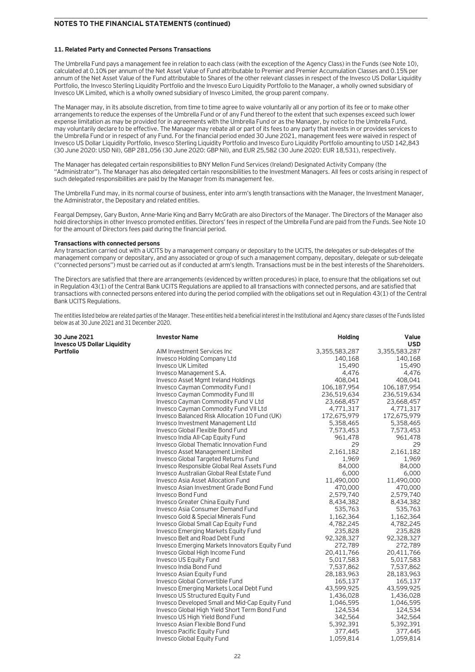### **11. Related Party and Connected Persons Transactions**

The Umbrella Fund pays a management fee in relation to each class (with the exception of the Agency Class) in the Funds (see Note 10), calculated at 0.10% per annum of the Net Asset Value of Fund attributable to Premier and Premier Accumulation Classes and 0.15% per annum of the Net Asset Value of the Fund attributable to Shares of the other relevant classes in respect of the Invesco US Dollar Liquidity Portfolio, the Invesco Sterling Liquidity Portfolio and the Invesco Euro Liquidity Portfolio to the Manager, a wholly owned subsidiary of Invesco UK Limited, which is a wholly owned subsidiary of Invesco Limited, the group parent company.

The Manager may, in its absolute discretion, from time to time agree to waive voluntarily all or any portion of its fee or to make other arrangements to reduce the expenses of the Umbrella Fund or of any Fund thereof to the extent that such expenses exceed such lower expense limitation as may be provided for in agreements with the Umbrella Fund or as the Manager, by notice to the Umbrella Fund, may voluntarily declare to be effective. The Manager may rebate all or part of its fees to any party that invests in or provides services to the Umbrella Fund or in respect of any Fund. For the financial period ended 30 June 2021, management fees were waived in respect of Invesco US Dollar Liquidity Portfolio, Invesco Sterling Liquidity Portfolio and Invesco Euro Liquidity Portfolio amounting to USD 142,843 (30 June 2020: USD Nil), GBP 281,056 (30 June 2020: GBP Nil), and EUR 25,582 (30 June 2020: EUR 18,531), respectively.

The Manager has delegated certain responsibilities to BNY Mellon Fund Services (Ireland) Designated Activity Company (the "Administrator"). The Manager has also delegated certain responsibilities to the Investment Managers. All fees or costs arising in respect of such delegated responsibilities are paid by the Manager from its management fee.

The Umbrella Fund may, in its normal course of business, enter into arm's length transactions with the Manager, the Investment Manager, the Administrator, the Depositary and related entities.

Feargal Dempsey, Gary Buxton, Anne-Marie King and Barry McGrath are also Directors of the Manager. The Directors of the Manager also hold directorships in other Invesco promoted entities. Directors' fees in respect of the Umbrella Fund are paid from the Funds. See Note 10 for the amount of Directors fees paid during the financial period.

### **Transactions with connected persons**

Any transaction carried out with a UCITS by a management company or depositary to the UCITS, the delegates or sub-delegates of the management company or depositary, and any associated or group of such a management company, depositary, delegate or sub-delegate ("connected persons") must be carried out as if conducted at arm's length. Transactions must be in the best interests of the Shareholders.

The Directors are satisfied that there are arrangements (evidenced by written procedures) in place, to ensure that the obligations set out in Regulation 43(1) of the Central Bank UCITS Regulations are applied to all transactions with connected persons, and are satisfied that transactions with connected persons entered into during the period complied with the obligations set out in Regulation 43(1) of the Central Bank UCITS Regulations.

The entities listed below are related parties of the Manager. These entities held a beneficial interest in the Institutional and Agency share classes of the Funds listed below as at 30 June 2021 and 31 December 2020.

| 30 June 2021<br><b>Invesco US Dollar Liquidity</b> | <b>Investor Name</b>                            | <b>Holding</b> | Value<br><b>USD</b> |
|----------------------------------------------------|-------------------------------------------------|----------------|---------------------|
| <b>Portfolio</b>                                   | AIM Investment Services Inc                     | 3,355,583,287  | 3,355,583,287       |
|                                                    | Invesco Holding Company Ltd                     | 140,168        | 140,168             |
|                                                    | Invesco UK Limited                              | 15,490         | 15,490              |
|                                                    | Invesco Management S.A.                         | 4,476          | 4,476               |
|                                                    | <b>Invesco Asset Mgmt Ireland Holdings</b>      | 408,041        | 408,041             |
|                                                    | <b>Invesco Cayman Commodity Fund I</b>          | 106,187,954    | 106,187,954         |
|                                                    | Invesco Cayman Commodity Fund III               | 236,519,634    | 236,519,634         |
|                                                    | Invesco Cayman Commodity Fund V Ltd             | 23,668,457     | 23,668,457          |
|                                                    | Invesco Cayman Commodity Fund VII Ltd           | 4,771,317      | 4,771,317           |
|                                                    | Invesco Balanced Risk Allocation 10 Fund (UK)   | 172,675,979    | 172,675,979         |
|                                                    | Invesco Investment Management Ltd               | 5,358,465      | 5,358,465           |
|                                                    | Invesco Global Flexible Bond Fund               | 7,573,453      | 7,573,453           |
|                                                    | Invesco India All-Cap Equity Fund               | 961,478        | 961,478             |
|                                                    | <b>Invesco Global Thematic Innovation Fund</b>  | 29             | 29                  |
|                                                    | <b>Invesco Asset Management Limited</b>         | 2,161,182      | 2,161,182           |
|                                                    | Invesco Global Targeted Returns Fund            | 1,969          | 1,969               |
|                                                    | Invesco Responsible Global Real Assets Fund     | 84,000         | 84,000              |
|                                                    | Invesco Australian Global Real Estate Fund      | 6,000          | 6,000               |
|                                                    | <b>Invesco Asia Asset Allocation Fund</b>       | 11,490,000     | 11,490,000          |
|                                                    | Invesco Asian Investment Grade Bond Fund        | 470,000        | 470,000             |
|                                                    | Invesco Bond Fund                               | 2,579,740      | 2,579,740           |
|                                                    | Invesco Greater China Equity Fund               | 8,434,382      | 8,434,382           |
|                                                    | Invesco Asia Consumer Demand Fund               | 535,763        | 535,763             |
|                                                    | Invesco Gold & Special Minerals Fund            | 1,162,364      | 1,162,364           |
|                                                    | Invesco Global Small Cap Equity Fund            | 4,782,245      | 4,782,245           |
|                                                    | Invesco Emerging Markets Equity Fund            | 235,828        | 235,828             |
|                                                    | Invesco Belt and Road Debt Fund                 | 92,328,327     | 92,328,327          |
|                                                    | Invesco Emerging Markets Innovators Equity Fund | 272,789        | 272,789             |
|                                                    | Invesco Global High Income Fund                 | 20,411,766     | 20,411,766          |
|                                                    | Invesco US Equity Fund                          | 5,017,583      | 5,017,583           |
|                                                    | Invesco India Bond Fund                         | 7,537,862      | 7,537,862           |
|                                                    | <b>Invesco Asian Equity Fund</b>                | 28,183,963     | 28,183,963          |
|                                                    | Invesco Global Convertible Fund                 | 165,137        | 165,137             |
|                                                    | Invesco Emerging Markets Local Debt Fund        | 43,599,925     | 43,599,925          |
|                                                    | Invesco US Structured Equity Fund               | 1,436,028      | 1,436,028           |
|                                                    | Invesco Developed Small and Mid-Cap Equity Fund | 1,046,595      | 1,046,595           |
|                                                    | Invesco Global High Yield Short Term Bond Fund  | 124,534        | 124,534             |
|                                                    | Invesco US High Yield Bond Fund                 | 342,564        | 342,564             |
|                                                    | Invesco Asian Flexible Bond Fund                | 5,392,391      | 5,392,391           |
|                                                    | Invesco Pacific Equity Fund                     | 377,445        | 377,445             |
|                                                    | Invesco Global Equity Fund                      | 1,059,814      | 1,059,814           |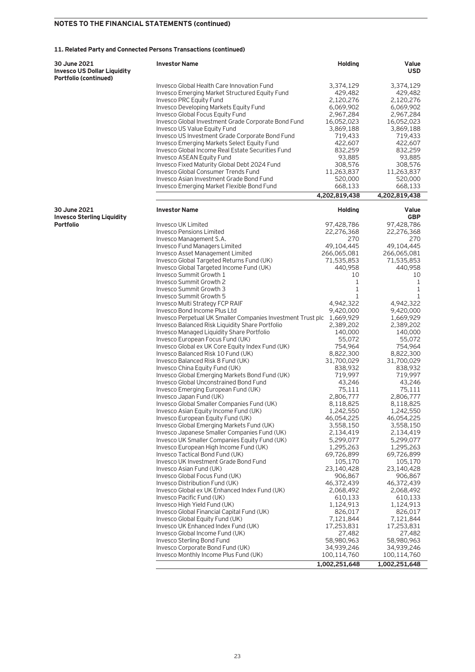### **11. Related Party and Connected Persons Transactions (continued)**

| 30 June 2021<br><b>Invesco US Dollar Liquidity</b> | <b>Investor Name</b>                                                  | <b>Holding</b> | Value<br><b>USD</b> |
|----------------------------------------------------|-----------------------------------------------------------------------|----------------|---------------------|
| Portfolio (continued)                              |                                                                       |                |                     |
|                                                    | Invesco Global Health Care Innovation Fund                            | 3,374,129      | 3,374,129           |
|                                                    | Invesco Emerging Market Structured Equity Fund                        | 429,482        | 429,482             |
|                                                    | Invesco PRC Equity Fund                                               | 2,120,276      | 2,120,276           |
|                                                    | Invesco Developing Markets Equity Fund                                | 6,069,902      | 6,069,902           |
|                                                    | Invesco Global Focus Equity Fund                                      | 2,967,284      | 2,967,284           |
|                                                    | Invesco Global Investment Grade Corporate Bond Fund                   | 16,052,023     | 16,052,023          |
|                                                    | Invesco US Value Equity Fund                                          | 3,869,188      | 3,869,188           |
|                                                    |                                                                       |                |                     |
|                                                    | Invesco US Investment Grade Corporate Bond Fund                       | 719,433        | 719,433             |
|                                                    | <b>Invesco Emerging Markets Select Equity Fund</b>                    | 422,607        | 422,607             |
|                                                    | Invesco Global Income Real Estate Securities Fund                     | 832,259        | 832,259             |
|                                                    | Invesco ASEAN Equity Fund                                             | 93,885         | 93,885              |
|                                                    | Invesco Fixed Maturity Global Debt 2024 Fund                          | 308,576        | 308,576             |
|                                                    | <b>Invesco Global Consumer Trends Fund</b>                            | 11,263,837     | 11,263,837          |
|                                                    | Invesco Asian Investment Grade Bond Fund                              | 520,000        | 520,000             |
|                                                    | Invesco Emerging Market Flexible Bond Fund                            | 668,133        | 668,133             |
|                                                    |                                                                       | 4,202,819,438  | 4,202,819,438       |
| 30 June 2021<br><b>Invesco Sterling Liquidity</b>  | <b>Investor Name</b>                                                  | <b>Holding</b> | Value<br><b>GBP</b> |
| Portfolio                                          | Invesco UK Limited                                                    | 97,428,786     | 97,428,786          |
|                                                    | <b>Invesco Pensions Limited</b>                                       | 22,276,368     | 22,276,368          |
|                                                    | Invesco Management S.A.                                               | 270            | 270                 |
|                                                    | <b>Invesco Fund Managers Limited</b>                                  | 49,104,445     | 49,104,445          |
|                                                    |                                                                       |                |                     |
|                                                    | Invesco Asset Management Limited                                      | 266,065,081    | 266,065,081         |
|                                                    | Invesco Global Targeted Returns Fund (UK)                             | 71,535,853     | 71,535,853          |
|                                                    | Invesco Global Targeted Income Fund (UK)                              | 440,958        | 440,958             |
|                                                    | Invesco Summit Growth 1                                               | 10             | 10                  |
|                                                    | <b>Invesco Summit Growth 2</b>                                        | 1              | 1                   |
|                                                    | Invesco Summit Growth 3                                               | $\mathbf{1}$   | 1                   |
|                                                    | <b>Invesco Summit Growth 5</b>                                        | 1              | 1                   |
|                                                    | Invesco Multi Strategy FCP RAIF                                       | 4,942,322      | 4,942,322           |
|                                                    | Invesco Bond Income Plus Ltd                                          | 9,420,000      | 9,420,000           |
|                                                    | Invesco Perpetual UK Smaller Companies Investment Trust plc 1,669,929 |                | 1,669,929           |
|                                                    |                                                                       |                |                     |
|                                                    | Invesco Balanced Risk Liquidity Share Portfolio                       | 2,389,202      | 2,389,202           |
|                                                    | Invesco Managed Liquidity Share Portfolio                             | 140,000        | 140,000             |
|                                                    | Invesco European Focus Fund (UK)                                      | 55,072         | 55,072              |
|                                                    | Invesco Global ex UK Core Equity Index Fund (UK)                      | 754,964        | 754,964             |
|                                                    | Invesco Balanced Risk 10 Fund (UK)                                    | 8,822,300      | 8,822,300           |
|                                                    | Invesco Balanced Risk 8 Fund (UK)                                     | 31,700,029     | 31,700,029          |
|                                                    | Invesco China Equity Fund (UK)                                        | 838,932        | 838,932             |
|                                                    | Invesco Global Emerging Markets Bond Fund (UK)                        | 719,997        | 719,997             |
|                                                    | Invesco Global Unconstrained Bond Fund                                | 43,246         | 43,246              |
|                                                    |                                                                       |                |                     |
|                                                    | Invesco Emerging European Fund (UK)                                   | 75,111         | 75,111              |
|                                                    | Invesco Japan Fund (UK)                                               | 2,806,777      | 2,806,777           |
|                                                    | Invesco Global Smaller Companies Fund (UK)                            | 8,118,825      | 8,118,825           |
|                                                    | Invesco Asian Equity Income Fund (UK)                                 | 1,242,550      | 1,242,550           |
|                                                    | Invesco European Equity Fund (UK)                                     | 46,054,225     | 46,054,225          |
|                                                    | Invesco Global Emerging Markets Fund (UK)                             | 3,558,150      | 3,558,150           |
|                                                    | Invesco Japanese Smaller Companies Fund (UK)                          | 2,134,419      | 2,134,419           |
|                                                    | Invesco UK Smaller Companies Equity Fund (UK)                         | 5,299,077      | 5,299,077           |
|                                                    | Invesco European High Income Fund (UK)                                | 1,295,263      | 1,295,263           |
|                                                    |                                                                       |                |                     |
|                                                    | Invesco Tactical Bond Fund (UK)                                       | 69,726,899     | 69,726,899          |
|                                                    | Invesco UK Investment Grade Bond Fund                                 | 105,170        | 105,170             |
|                                                    | Invesco Asian Fund (UK)                                               | 23,140,428     | 23,140,428          |
|                                                    | Invesco Global Focus Fund (UK)                                        | 906,867        | 906,867             |
|                                                    | Invesco Distribution Fund (UK)                                        | 46,372,439     | 46,372,439          |
|                                                    | Invesco Global ex UK Enhanced Index Fund (UK)                         | 2,068,492      | 2,068,492           |
|                                                    | Invesco Pacific Fund (UK)                                             | 610,133        | 610,133             |
|                                                    | Invesco High Yield Fund (UK)                                          | 1,124,913      | 1,124,913           |
|                                                    |                                                                       |                |                     |
|                                                    | Invesco Global Financial Capital Fund (UK)                            | 826,017        | 826,017             |
|                                                    | Invesco Global Equity Fund (UK)                                       | 7,121,844      | 7,121,844           |
|                                                    | Invesco UK Enhanced Index Fund (UK)                                   | 17,253,831     | 17,253,831          |
|                                                    | Invesco Global Income Fund (UK)                                       | 27,482         | 27,482              |
|                                                    | Invesco Sterling Bond Fund                                            | 58,980,963     | 58,980,963          |
|                                                    | Invesco Corporate Bond Fund (UK)                                      | 34,939,246     | 34,939,246          |
|                                                    | Invesco Monthly Income Plus Fund (UK)                                 | 100,114,760    | 100,114,760         |
|                                                    |                                                                       |                |                     |
|                                                    |                                                                       | 1,002,251,648  | 1,002,251,648       |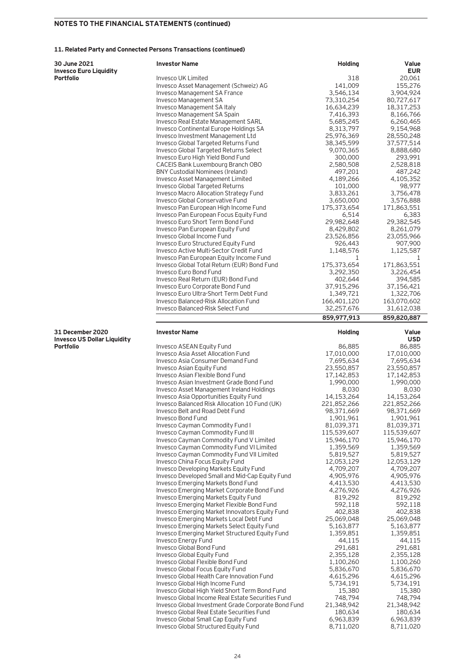### **11. Related Party and Connected Persons Transactions (continued)**

| 30 June 2021                                                  | <b>Investor Name</b>                                                                    | <b>Holding</b>            | Value                     |
|---------------------------------------------------------------|-----------------------------------------------------------------------------------------|---------------------------|---------------------------|
| Invesco Euro Liquidity<br>Portfolio                           | Invesco UK Limited                                                                      | 318                       | <b>EUR</b>                |
|                                                               | Invesco Asset Management (Schweiz) AG                                                   | 141,009                   | 20,061<br>155,276         |
|                                                               | Invesco Management SA France                                                            | 3,546,134                 | 3,904,924                 |
|                                                               | Invesco Management SA                                                                   | 73,310,254                | 80,727,617                |
|                                                               | Invesco Management SA Italy                                                             | 16,634,239                | 18,317,253                |
|                                                               | Invesco Management SA Spain                                                             | 7,416,393                 | 8,166,766                 |
|                                                               | Invesco Real Estate Management SARL                                                     | 5,685,245                 | 6,260,465                 |
|                                                               | Invesco Continental Europe Holdings SA                                                  | 8,313,797                 | 9,154,968                 |
|                                                               | Invesco Investment Management Ltd                                                       | 25,976,369                | 28,550,248                |
|                                                               | Invesco Global Targeted Returns Fund                                                    | 38,345,599                | 37,577,514                |
|                                                               | Invesco Global Targeted Returns Select                                                  | 9,070,365                 | 8,888,680                 |
|                                                               | Invesco Euro High Yield Bond Fund                                                       | 300,000                   | 293,991                   |
|                                                               | CACEIS Bank Luxembourg Branch OBO                                                       | 2,580,508                 | 2,528,818                 |
|                                                               | <b>BNY Custodial Nominees (Ireland)</b>                                                 | 497,201                   | 487,242                   |
|                                                               | Invesco Asset Management Limited                                                        | 4,189,266                 | 4,105,352                 |
|                                                               | Invesco Global Targeted Returns                                                         | 101,000                   | 98,977                    |
|                                                               | Invesco Macro Allocation Strategy Fund                                                  | 3,833,261                 | 3,756,478                 |
|                                                               | Invesco Global Conservative Fund                                                        | 3,650,000                 | 3,576,888                 |
|                                                               | Invesco Pan European High Income Fund                                                   | 175,373,654               | 171,863,551               |
|                                                               | Invesco Pan European Focus Equity Fund                                                  | 6,514                     | 6,383                     |
|                                                               | Invesco Euro Short Term Bond Fund                                                       | 29,982,648                | 29,382,545                |
|                                                               | Invesco Pan European Equity Fund                                                        | 8,429,802                 | 8,261,079                 |
|                                                               | Invesco Global Income Fund                                                              | 23,526,856                | 23,055,966                |
|                                                               | Invesco Euro Structured Equity Fund                                                     | 926,443                   | 907,900                   |
|                                                               | Invesco Active Multi-Sector Credit Fund                                                 | 1,148,576                 | 1,125,587                 |
|                                                               | Invesco Pan European Equity Income Fund                                                 | 1                         | 1                         |
|                                                               | Invesco Global Total Return (EUR) Bond Fund                                             | 175,373,654               | 171,863,551               |
|                                                               | Invesco Euro Bond Fund                                                                  | 3,292,350                 | 3,226,454                 |
|                                                               | Invesco Real Return (EUR) Bond Fund                                                     | 402,644                   | 394,585                   |
|                                                               | Invesco Euro Corporate Bond Fund                                                        | 37,915,296                | 37,156,421                |
|                                                               | Invesco Euro Ultra-Short Term Debt Fund<br><b>Invesco Balanced-Risk Allocation Fund</b> | 1,349,721                 | 1,322,706                 |
|                                                               | Invesco Balanced-Risk Select Fund                                                       | 166,401,120<br>32,257,676 | 163,070,602<br>31,612,038 |
|                                                               |                                                                                         |                           |                           |
|                                                               |                                                                                         | 859,977,913               | 859,820,887               |
| <b>31 December 2020</b><br><b>Invesco US Dollar Liquidity</b> | <b>Investor Name</b>                                                                    | <b>Holding</b>            | Value<br><b>USD</b>       |
| Portfolio                                                     | Invesco ASEAN Equity Fund                                                               | 86,885                    | 86,885                    |
|                                                               | Invesco Asia Asset Allocation Fund                                                      | 17,010,000                | 17,010,000                |
|                                                               | Invesco Asia Consumer Demand Fund                                                       | 7,695,634                 | 7,695,634                 |
|                                                               |                                                                                         |                           |                           |
|                                                               | Invesco Asian Equity Fund                                                               | 23,550,857                | 23,550,857                |
|                                                               | Invesco Asian Flexible Bond Fund                                                        | 17,142,853                | 17,142,853                |
|                                                               | Invesco Asian Investment Grade Bond Fund                                                | 1,990,000                 | 1,990,000                 |
|                                                               | Invesco Asset Management Ireland Holdings                                               | 8,030                     | 8,030                     |
|                                                               | Invesco Asia Opportunities Equity Fund                                                  | 14,153,264                | 14,153,264                |
|                                                               | Invesco Balanced Risk Allocation 10 Fund (UK)                                           | 221,852,266               | 221,852,266               |
|                                                               | Invesco Belt and Road Debt Fund                                                         | 98,371,669                | 98,371,669                |
|                                                               | Invesco Bond Fund                                                                       | 1,901,961                 | 1,901,961                 |
|                                                               | Invesco Cayman Commodity Fund I                                                         | 81,039,371                | 81,039,371                |
|                                                               | Invesco Cayman Commodity Fund III                                                       | 115,539,607               | 115,539,607               |
|                                                               | Invesco Cayman Commodity Fund V Limited                                                 | 15,946,170                | 15,946,170                |
|                                                               | Invesco Cayman Commodity Fund VI Limited                                                | 1,359,569                 | 1,359,569                 |
|                                                               | <b>Invesco Cayman Commodity Fund VII Limited</b>                                        | 5,819,527                 | 5,819,527                 |
|                                                               | Invesco China Focus Equity Fund                                                         | 12,053,129                | 12,053,129                |
|                                                               | Invesco Developing Markets Equity Fund                                                  | 4,709,207                 | 4,709,207                 |
|                                                               | Invesco Developed Small and Mid-Cap Equity Fund                                         | 4,905,976                 | 4,905,976                 |
|                                                               | Invesco Emerging Markets Bond Fund                                                      | 4,413,530                 | 4,413,530                 |
|                                                               | Invesco Emerging Market Corporate Bond Fund                                             | 4,276,926                 | 4,276,926                 |
|                                                               | Invesco Emerging Markets Equity Fund<br>Invesco Emerging Market Flexible Bond Fund      | 819,292                   | 819,292                   |
|                                                               | Invesco Emerging Market Innovators Equity Fund                                          | 592,118<br>402,838        | 592,118<br>402,838        |
|                                                               | Invesco Emerging Markets Local Debt Fund                                                | 25,069,048                | 25,069,048                |
|                                                               | Invesco Emerging Markets Select Equity Fund                                             | 5,163,877                 | 5,163,877                 |
|                                                               | Invesco Emerging Market Structured Equity Fund                                          | 1,359,851                 | 1,359,851                 |
|                                                               | <b>Invesco Energy Fund</b>                                                              | 44,115                    | 44,115                    |
|                                                               | Invesco Global Bond Fund                                                                | 291,681                   | 291,681                   |
|                                                               | Invesco Global Equity Fund                                                              | 2,355,128                 | 2,355,128                 |
|                                                               | Invesco Global Flexible Bond Fund                                                       | 1,100,260                 | 1,100,260                 |
|                                                               | Invesco Global Focus Equity Fund                                                        | 5,836,670                 | 5,836,670                 |
|                                                               | Invesco Global Health Care Innovation Fund                                              | 4,615,296                 | 4,615,296                 |
|                                                               | Invesco Global High Income Fund                                                         | 5,734,191                 | 5,734,191                 |
|                                                               | Invesco Global High Yield Short Term Bond Fund                                          | 15,380                    | 15,380                    |
|                                                               | Invesco Global Income Real Estate Securities Fund                                       | 748,794                   | 748,794                   |
|                                                               | Invesco Global Investment Grade Corporate Bond Fund                                     | 21,348,942                | 21,348,942                |
|                                                               | Invesco Global Real Estate Securities Fund                                              | 180,634                   | 180,634                   |
|                                                               | Invesco Global Small Cap Equity Fund<br>Invesco Global Structured Equity Fund           | 6,963,839<br>8,711,020    | 6,963,839<br>8,711,020    |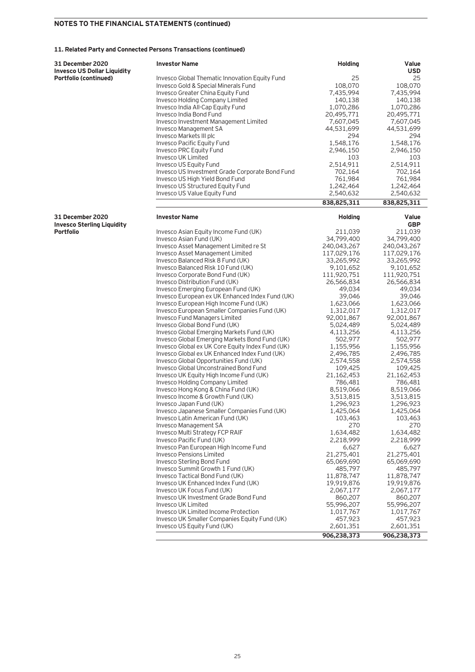### **11. Related Party and Connected Persons Transactions (continued)**

| <b>31 December 2020</b>            | <b>Investor Name</b>                             | <b>Holding</b> | Value       |
|------------------------------------|--------------------------------------------------|----------------|-------------|
| <b>Invesco US Dollar Liquidity</b> |                                                  |                | <b>USD</b>  |
| Portfolio (continued)              | Invesco Global Thematic Innovation Equity Fund   | 25             | 25          |
|                                    | Invesco Gold & Special Minerals Fund             | 108,070        | 108,070     |
|                                    | Invesco Greater China Equity Fund                | 7,435,994      | 7,435,994   |
|                                    | <b>Invesco Holding Company Limited</b>           | 140,138        | 140,138     |
|                                    | Invesco India All-Cap Equity Fund                | 1,070,286      | 1,070,286   |
|                                    | Invesco India Bond Fund                          | 20,495,771     | 20,495,771  |
|                                    | Invesco Investment Management Limited            | 7,607,045      | 7,607,045   |
|                                    | Invesco Management SA                            | 44,531,699     | 44,531,699  |
|                                    | Invesco Markets III plc                          | 294            | 294         |
|                                    | Invesco Pacific Equity Fund                      | 1,548,176      | 1,548,176   |
|                                    | Invesco PRC Equity Fund                          | 2,946,150      | 2,946,150   |
|                                    | Invesco UK Limited                               | 103            | 103         |
|                                    | <b>Invesco US Equity Fund</b>                    | 2,514,911      | 2,514,911   |
|                                    | Invesco US Investment Grade Corporate Bond Fund  | 702,164        | 702,164     |
|                                    | Invesco US High Yield Bond Fund                  | 761,984        | 761,984     |
|                                    | Invesco US Structured Equity Fund                | 1,242,464      | 1,242,464   |
|                                    | <b>Invesco US Value Equity Fund</b>              | 2,540,632      | 2,540,632   |
|                                    |                                                  | 838,825,311    | 838,825,311 |
| <b>31 December 2020</b>            | <b>Investor Name</b>                             | <b>Holding</b> | Value       |
| <b>Invesco Sterling Liquidity</b>  |                                                  |                | <b>GBP</b>  |
| Portfolio                          | Invesco Asian Equity Income Fund (UK)            | 211,039        | 211,039     |
|                                    | Invesco Asian Fund (UK)                          | 34,799,400     | 34,799,400  |
|                                    | Invesco Asset Management Limited re St           | 240,043,267    | 240,043,267 |
|                                    | Invesco Asset Management Limited                 | 117,029,176    | 117,029,176 |
|                                    | Invesco Balanced Risk 8 Fund (UK)                | 33,265,992     | 33,265,992  |
|                                    | Invesco Balanced Risk 10 Fund (UK)               | 9,101,652      | 9,101,652   |
|                                    | Invesco Corporate Bond Fund (UK)                 | 111,920,751    | 111,920,751 |
|                                    | Invesco Distribution Fund (UK)                   | 26,566,834     | 26,566,834  |
|                                    | Invesco Emerging European Fund (UK)              | 49,034         | 49,034      |
|                                    | Invesco European ex UK Enhanced Index Fund (UK)  | 39,046         | 39,046      |
|                                    | Invesco European High Income Fund (UK)           | 1,623,066      | 1,623,066   |
|                                    | Invesco European Smaller Companies Fund (UK)     | 1,312,017      | 1,312,017   |
|                                    | Invesco Fund Managers Limited                    | 92,001,867     | 92,001,867  |
|                                    | Invesco Global Bond Fund (UK)                    | 5,024,489      | 5,024,489   |
|                                    | Invesco Global Emerging Markets Fund (UK)        | 4,113,256      | 4,113,256   |
|                                    | Invesco Global Emerging Markets Bond Fund (UK)   | 502,977        | 502,977     |
|                                    | Invesco Global ex UK Core Equity Index Fund (UK) | 1,155,956      | 1,155,956   |
|                                    | Invesco Global ex UK Enhanced Index Fund (UK)    | 2,496,785      | 2,496,785   |
|                                    | Invesco Global Opportunities Fund (UK)           | 2,574,558      | 2,574,558   |
|                                    | Invesco Global Unconstrained Bond Fund           | 109,425        | 109,425     |
|                                    | Invesco UK Equity High Income Fund (UK)          | 21,162,453     | 21,162,453  |
|                                    | Invesco Holding Company Limited                  | 786,481        | 786,481     |
|                                    | Invesco Hong Kong & China Fund (UK)              | 8,519,066      | 8,519,066   |
|                                    | Invesco Income & Growth Fund (UK)                | 3,513,815      | 3,513,815   |
|                                    | Invesco Japan Fund (UK)                          | 1,296,923      | 1,296,923   |
|                                    | Invesco Japanese Smaller Companies Fund (UK)     | 1,425,064      | 1,425,064   |
|                                    | Invesco Latin American Fund (UK)                 | 103,463        | 103,463     |
|                                    | Invesco Management SA                            | 270            | 270         |
|                                    | Invesco Multi Strategy FCP RAIF                  | 1,634,482      | 1,634,482   |
|                                    | Invesco Pacific Fund (UK)                        | 2,218,999      | 2,218,999   |
|                                    | Invesco Pan European High Income Fund            | 6,627          | 6,627       |
|                                    | <b>Invesco Pensions Limited</b>                  | 21,275,401     | 21,275,401  |
|                                    | Invesco Sterling Bond Fund                       | 65,069,690     | 65,069,690  |
|                                    | Invesco Summit Growth 1 Fund (UK)                | 485,797        | 485,797     |
|                                    | Invesco Tactical Bond Fund (UK)                  | 11,878,747     | 11,878,747  |
|                                    | Invesco UK Enhanced Index Fund (UK)              | 19,919,876     | 19,919,876  |
|                                    | Invesco UK Focus Fund (UK)                       | 2,067,177      | 2,067,177   |
|                                    | Invesco UK Investment Grade Bond Fund            | 860,207        | 860,207     |
|                                    | Invesco UK Limited                               | 55,996,207     | 55,996,207  |
|                                    | Invesco UK Limited Income Protection             | 1,017,767      | 1,017,767   |
|                                    | Invesco UK Smaller Companies Equity Fund (UK)    | 457,923        | 457,923     |
|                                    | Invesco US Equity Fund (UK)                      | 2,601,351      | 2,601,351   |
|                                    |                                                  | 906,238,373    | 906,238,373 |
|                                    |                                                  |                |             |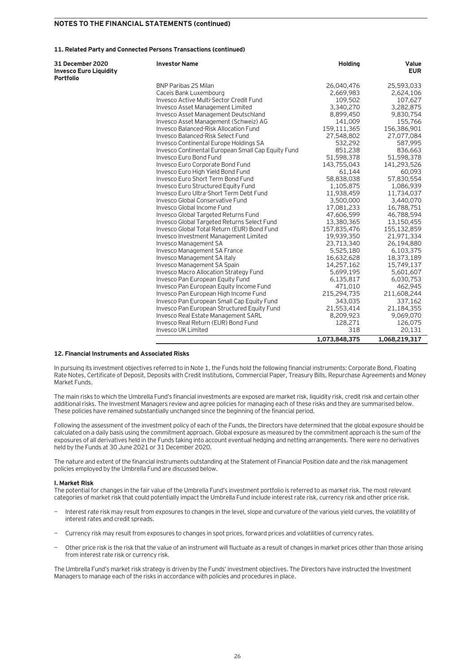### **11. Related Party and Connected Persons Transactions (continued)**

| 31 December 2020<br><b>Invesco Euro Liquidity</b><br><b>Portfolio</b> | <b>Investor Name</b>                               | <b>Holding</b> | Value<br><b>EUR</b> |
|-----------------------------------------------------------------------|----------------------------------------------------|----------------|---------------------|
|                                                                       | <b>BNP Paribas 2S Milan</b>                        | 26,040,476     | 25,593,033          |
|                                                                       | Caceis Bank Luxembourg                             | 2,669,983      | 2,624,106           |
|                                                                       | Invesco Active Multi-Sector Credit Fund            | 109,502        | 107,627             |
|                                                                       | <b>Invesco Asset Management Limited</b>            | 3,340,270      | 3,282,875           |
|                                                                       | <b>Invesco Asset Management Deutschland</b>        | 8,899,450      | 9,830,754           |
|                                                                       | Invesco Asset Management (Schweiz) AG              | 141,009        | 155,766             |
|                                                                       | <b>Invesco Balanced-Risk Allocation Fund</b>       | 159,111,365    | 156,386,901         |
|                                                                       | Invesco Balanced-Risk Select Fund                  | 27,548,802     | 27,077,084          |
|                                                                       | Invesco Continental Europe Holdings SA             | 532,292        | 587,995             |
|                                                                       | Invesco Continental European Small Cap Equity Fund | 851,238        | 836,663             |
|                                                                       | Invesco Euro Bond Fund                             | 51,598,378     | 51,598,378          |
|                                                                       | Invesco Euro Corporate Bond Fund                   | 143,755,043    | 141,293,526         |
|                                                                       | Invesco Euro High Yield Bond Fund                  | 61,144         | 60,093              |
|                                                                       | Invesco Euro Short Term Bond Fund                  | 58,838,038     | 57,830,554          |
|                                                                       | Invesco Euro Structured Equity Fund                | 1,105,875      | 1,086,939           |
|                                                                       | Invesco Euro Ultra-Short Term Debt Fund            | 11,938,459     | 11,734,037          |
|                                                                       | <b>Invesco Global Conservative Fund</b>            | 3,500,000      | 3,440,070           |
|                                                                       | Invesco Global Income Fund                         | 17,081,233     | 16,788,751          |
|                                                                       | <b>Invesco Global Targeted Returns Fund</b>        | 47,606,599     | 46,788,594          |
|                                                                       | Invesco Global Targeted Returns Select Fund        | 13,380,365     | 13,150,455          |
|                                                                       | Invesco Global Total Return (EUR) Bond Fund        | 157,835,476    | 155,132,859         |
|                                                                       | Invesco Investment Management Limited              | 19,939,350     | 21,971,334          |
|                                                                       | <b>Invesco Management SA</b>                       | 23,713,340     | 26,194,880          |
|                                                                       | <b>Invesco Management SA France</b>                | 5,525,180      | 6,103,375           |
|                                                                       | Invesco Management SA Italy                        | 16,632,628     | 18,373,189          |
|                                                                       | Invesco Management SA Spain                        | 14,257,162     | 15,749,137          |
|                                                                       | <b>Invesco Macro Allocation Strategy Fund</b>      | 5,699,195      | 5,601,607           |
|                                                                       | Invesco Pan European Equity Fund                   | 6,135,817      | 6,030,753           |
|                                                                       | Invesco Pan European Equity Income Fund            | 471,010        | 462,945             |
|                                                                       | Invesco Pan European High Income Fund              | 215,294,735    | 211,608,244         |
|                                                                       | Invesco Pan European Small Cap Equity Fund         | 343,035        | 337,162             |
|                                                                       | Invesco Pan European Structured Equity Fund        | 21,553,414     | 21,184,355          |
|                                                                       | <b>Invesco Real Estate Management SARL</b>         | 8,209,923      | 9,069,070           |
|                                                                       | Invesco Real Return (EUR) Bond Fund                | 128,271        | 126,075             |
|                                                                       | <b>Invesco UK Limited</b>                          | 318            | 20,131              |
|                                                                       |                                                    | 1,073,848,375  | 1,068,219,317       |

### **12. Financial Instruments and Associated Risks**

In pursuing its investment objectives referred to in Note 1, the Funds hold the following financial instruments: Corporate Bond, Floating Rate Notes, Certificate of Deposit, Deposits with Credit Institutions, Commercial Paper, Treasury Bills, Repurchase Agreements and Money Market Funds.

The main risks to which the Umbrella Fund's financial investments are exposed are market risk, liquidity risk, credit risk and certain other additional risks. The Investment Managers review and agree policies for managing each of these risks and they are summarised below. These policies have remained substantially unchanged since the beginning of the financial period.

Following the assessment of the investment policy of each of the Funds, the Directors have determined that the global exposure should be calculated on a daily basis using the commitment approach. Global exposure as measured by the commitment approach is the sum of the exposures of all derivatives held in the Funds taking into account eventual hedging and netting arrangements. There were no derivatives held by the Funds at 30 June 2021 or 31 December 2020.

The nature and extent of the financial instruments outstanding at the Statement of Financial Position date and the risk management policies employed by the Umbrella Fund are discussed below.

### **I. Market Risk**

The potential for changes in the fair value of the Umbrella Fund's investment portfolio is referred to as market risk. The most relevant categories of market risk that could potentially impact the Umbrella Fund include interest rate risk, currency risk and other price risk.

- Interest rate risk may result from exposures to changes in the level, slope and curvature of the various yield curves, the volatility of interest rates and credit spreads.
- − Currency risk may result from exposures to changes in spot prices, forward prices and volatilities of currency rates.
- − Other price risk is the risk that the value of an instrument will fluctuate as a result of changes in market prices other than those arising from interest rate risk or currency risk.

The Umbrella Fund's market risk strategy is driven by the Funds' investment objectives. The Directors have instructed the Investment Managers to manage each of the risks in accordance with policies and procedures in place.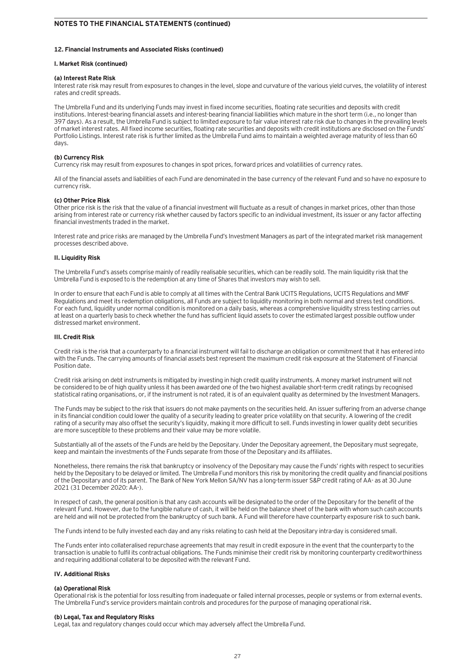### **12. Financial Instruments and Associated Risks (continued)**

### **I. Market Risk (continued)**

### **(a) Interest Rate Risk**

Interest rate risk may result from exposures to changes in the level, slope and curvature of the various yield curves, the volatility of interest rates and credit spreads.

The Umbrella Fund and its underlying Funds may invest in fixed income securities, floating rate securities and deposits with credit institutions. Interest-bearing financial assets and interest-bearing financial liabilities which mature in the short term (i.e., no longer than 397 days). As a result, the Umbrella Fund is subject to limited exposure to fair value interest rate risk due to changes in the prevailing levels of market interest rates. All fixed income securities, floating rate securities and deposits with credit institutions are disclosed on the Funds' Portfolio Listings. Interest rate risk is further limited as the Umbrella Fund aims to maintain a weighted average maturity of less than 60 days.

### **(b) Currency Risk**

Currency risk may result from exposures to changes in spot prices, forward prices and volatilities of currency rates.

All of the financial assets and liabilities of each Fund are denominated in the base currency of the relevant Fund and so have no exposure to currency risk.

### **(c) Other Price Risk**

Other price risk is the risk that the value of a financial investment will fluctuate as a result of changes in market prices, other than those arising from interest rate or currency risk whether caused by factors specific to an individual investment, its issuer or any factor affecting financial investments traded in the market.

Interest rate and price risks are managed by the Umbrella Fund's Investment Managers as part of the integrated market risk management processes described above.

### **II. Liquidity Risk**

The Umbrella Fund's assets comprise mainly of readily realisable securities, which can be readily sold. The main liquidity risk that the Umbrella Fund is exposed to is the redemption at any time of Shares that investors may wish to sell.

In order to ensure that each Fund is able to comply at all times with the Central Bank UCITS Regulations, UCITS Regulations and MMF Regulations and meet its redemption obligations, all Funds are subject to liquidity monitoring in both normal and stress test conditions. For each fund, liquidity under normal condition is monitored on a daily basis, whereas a comprehensive liquidity stress testing carries out at least on a quarterly basis to check whether the fund has sufficient liquid assets to cover the estimated largest possible outflow under distressed market environment.

### **III. Credit Risk**

Credit risk is the risk that a counterparty to a financial instrument will fail to discharge an obligation or commitment that it has entered into with the Funds. The carrying amounts of financial assets best represent the maximum credit risk exposure at the Statement of Financial Position date.

Credit risk arising on debt instruments is mitigated by investing in high credit quality instruments. A money market instrument will not be considered to be of high quality unless it has been awarded one of the two highest available short-term credit ratings by recognised statistical rating organisations, or, if the instrument is not rated, it is of an equivalent quality as determined by the Investment Managers.

The Funds may be subject to the risk that issuers do not make payments on the securities held. An issuer suffering from an adverse change in its financial condition could lower the quality of a security leading to greater price volatility on that security. A lowering of the credit rating of a security may also offset the security's liquidity, making it more difficult to sell. Funds investing in lower quality debt securities are more susceptible to these problems and their value may be more volatile.

Substantially all of the assets of the Funds are held by the Depositary. Under the Depositary agreement, the Depositary must segregate, keep and maintain the investments of the Funds separate from those of the Depositary and its affiliates.

Nonetheless, there remains the risk that bankruptcy or insolvency of the Depositary may cause the Funds' rights with respect to securities held by the Depositary to be delayed or limited. The Umbrella Fund monitors this risk by monitoring the credit quality and financial positions of the Depositary and of its parent. The Bank of New York Mellon SA/NV has a long-term issuer S&P credit rating of AA- as at 30 June 2021 (31 December 2020: AA-).

In respect of cash, the general position is that any cash accounts will be designated to the order of the Depositary for the benefit of the relevant Fund. However, due to the fungible nature of cash, it will be held on the balance sheet of the bank with whom such cash accounts are held and will not be protected from the bankruptcy of such bank. A Fund will therefore have counterparty exposure risk to such bank.

The Funds intend to be fully invested each day and any risks relating to cash held at the Depositary intra-day is considered small.

The Funds enter into collateralised repurchase agreements that may result in credit exposure in the event that the counterparty to the transaction is unable to fulfil its contractual obligations. The Funds minimise their credit risk by monitoring counterparty creditworthiness and requiring additional collateral to be deposited with the relevant Fund.

### **IV. Additional Risks**

### **(a) Operational Risk**

Operational risk is the potential for loss resulting from inadequate or failed internal processes, people or systems or from external events. The Umbrella Fund's service providers maintain controls and procedures for the purpose of managing operational risk.

### **(b) Legal, Tax and Regulatory Risks**

Legal, tax and regulatory changes could occur which may adversely affect the Umbrella Fund.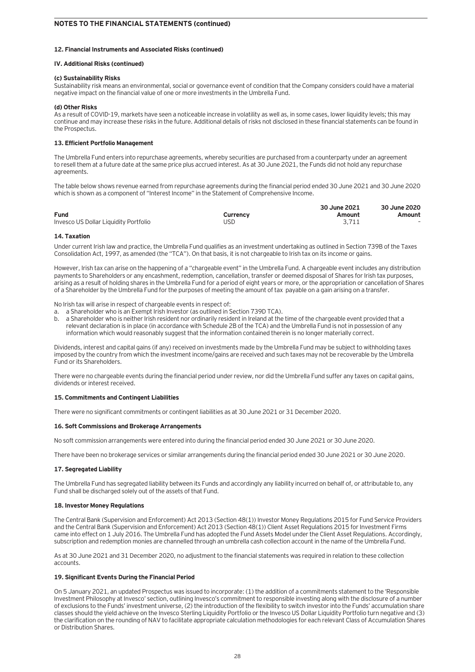### **12. Financial Instruments and Associated Risks (continued)**

### **IV. Additional Risks (continued)**

### **(c) Sustainability Risks**

Sustainability risk means an environmental, social or governance event of condition that the Company considers could have a material negative impact on the financial value of one or more investments in the Umbrella Fund.

### **(d) Other Risks**

As a result of COVID-19, markets have seen a noticeable increase in volatility as well as, in some cases, lower liquidity levels; this may continue and may increase these risks in the future. Additional details of risks not disclosed in these financial statements can be found in the Prospectus.

### **13. Efficient Portfolio Management**

The Umbrella Fund enters into repurchase agreements, whereby securities are purchased from a counterparty under an agreement to resell them at a future date at the same price plus accrued interest. As at 30 June 2021, the Funds did not hold any repurchase agreements.

The table below shows revenue earned from repurchase agreements during the financial period ended 30 June 2021 and 30 June 2020 which is shown as a component of "Interest Income" in the Statement of Comprehensive Income.

|                                       |          | 30 June 2021 | 30 June 2020             |
|---------------------------------------|----------|--------------|--------------------------|
| <b>Fund</b>                           | Currency | Amount       | Amount                   |
| Invesco US Dollar Liquidity Portfolio | JSD      | 3.711        | $\overline{\phantom{0}}$ |

### **14. Taxation**

Under current Irish law and practice, the Umbrella Fund qualifies as an investment undertaking as outlined in Section 739B of the Taxes Consolidation Act, 1997, as amended (the "TCA"). On that basis, it is not chargeable to Irish tax on its income or gains.

However, Irish tax can arise on the happening of a "chargeable event" in the Umbrella Fund. A chargeable event includes any distribution payments to Shareholders or any encashment, redemption, cancellation, transfer or deemed disposal of Shares for Irish tax purposes, arising as a result of holding shares in the Umbrella Fund for a period of eight years or more, or the appropriation or cancellation of Shares of a Shareholder by the Umbrella Fund for the purposes of meeting the amount of tax payable on a gain arising on a transfer.

No Irish tax will arise in respect of chargeable events in respect of:

- a. a Shareholder who is an Exempt Irish Investor (as outlined in Section 739D TCA).
- b. a Shareholder who is neither Irish resident nor ordinarily resident in Ireland at the time of the chargeable event provided that a relevant declaration is in place (in accordance with Schedule 2B of the TCA) and the Umbrella Fund is not in possession of any information which would reasonably suggest that the information contained therein is no longer materially correct.

Dividends, interest and capital gains (if any) received on investments made by the Umbrella Fund may be subject to withholding taxes imposed by the country from which the investment income/gains are received and such taxes may not be recoverable by the Umbrella Fund or its Shareholders.

There were no chargeable events during the financial period under review, nor did the Umbrella Fund suffer any taxes on capital gains, dividends or interest received.

### **15. Commitments and Contingent Liabilities**

There were no significant commitments or contingent liabilities as at 30 June 2021 or 31 December 2020.

### **16. Soft Commissions and Brokerage Arrangements**

No soft commission arrangements were entered into during the financial period ended 30 June 2021 or 30 June 2020.

There have been no brokerage services or similar arrangements during the financial period ended 30 June 2021 or 30 June 2020.

### **17. Segregated Liability**

The Umbrella Fund has segregated liability between its Funds and accordingly any liability incurred on behalf of, or attributable to, any Fund shall be discharged solely out of the assets of that Fund.

### **18. Investor Money Regulations**

The Central Bank (Supervision and Enforcement) Act 2013 (Section 48(1)) Investor Money Regulations 2015 for Fund Service Providers and the Central Bank (Supervision and Enforcement) Act 2013 (Section 48(1)) Client Asset Regulations 2015 for Investment Firms came into effect on 1 July 2016. The Umbrella Fund has adopted the Fund Assets Model under the Client Asset Regulations. Accordingly, subscription and redemption monies are channelled through an umbrella cash collection account in the name of the Umbrella Fund.

As at 30 June 2021 and 31 December 2020, no adjustment to the financial statements was required in relation to these collection accounts.

### **19. Significant Events During the Financial Period**

On 5 January 2021, an updated Prospectus was issued to incorporate: (1) the addition of a commitments statement to the 'Responsible Investment Philosophy at Invesco' section, outlining Invesco's commitment to responsible investing along with the disclosure of a number of exclusions to the Funds' investment universe, (2) the introduction of the flexibility to switch investor into the Funds' accumulation share classes should the yield achieve on the Invesco Sterling Liquidity Portfolio or the Invesco US Dollar Liquidity Portfolio turn negative and (3) the clarification on the rounding of NAV to facilitate appropriate calculation methodologies for each relevant Class of Accumulation Shares or Distribution Shares.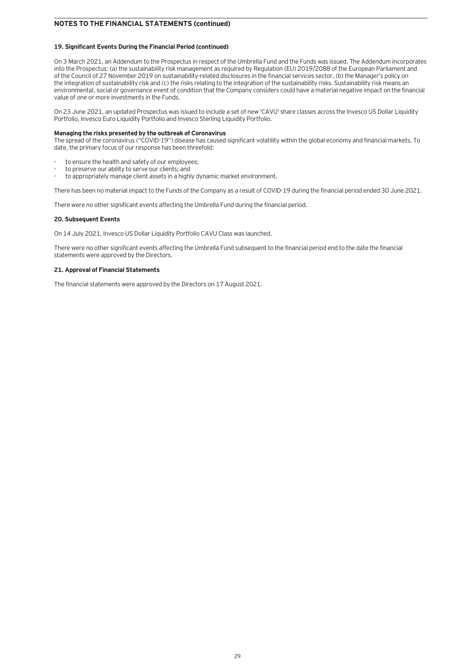### **19. Significant Events During the Financial Period (continued)**

On 3 March 2021, an Addendum to the Prospectus in respect of the Umbrella Fund and the Funds was issued. The Addendum incorporates into the Prospectus: (a) the sustainability risk management as required by Regulation (EU) 2019/2088 of the European Parliament and of the Council of 27 November 2019 on sustainability-related disclosures in the financial services sector, (b) the Manager's policy on the integration of sustainability risk and (c) the risks relating to the integration of the sustainability risks. Sustainability risk means an environmental, social or governance event of condition that the Company considers could have a material negative impact on the financial value of one or more investments in the Funds.

On 23 June 2021, an updated Prospectus was issued to include a set of new 'CAVU' share classes across the Invesco US Dollar Liquidity Portfolio, Invesco Euro Liquidity Portfolio and Invesco Sterling Liquidity Portfolio.

### **Managing the risks presented by the outbreak of Coronavirus**

The spread of the coronavirus ("COVID-19") disease has caused significant volatility within the global economy and financial markets. To date, the primary focus of our response has been threefold:

- to ensure the health and safety of our employees:
- to preserve our ability to serve our clients; and
- to appropriately manage client assets in a highly dynamic market environment.

There has been no material impact to the Funds of the Company as a result of COVID-19 during the financial period ended 30 June 2021.

There were no other significant events affecting the Umbrella Fund during the financial period.

### **20. Subsequent Events**

On 14 July 2021, Invesco US Dollar Liquidity Portfolio CAVU Class was launched.

There were no other significant events affecting the Umbrella Fund subsequent to the financial period end to the date the financial statements were approved by the Directors.

### **21. Approval of Financial Statements**

The financial statements were approved by the Directors on 17 August 2021.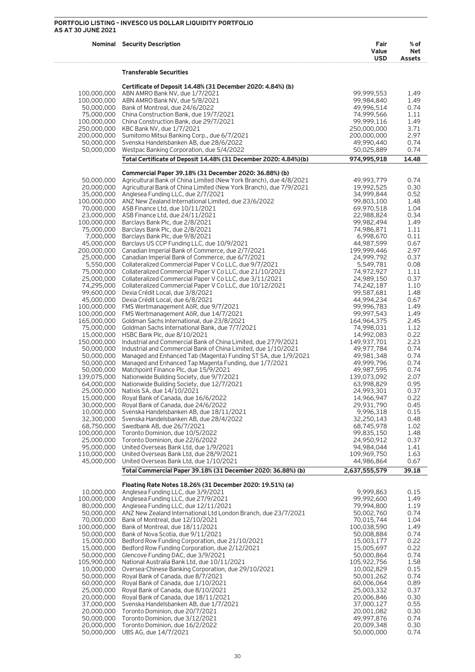### **PORTFOLIO LISTING – INVESCO US DOLLAR LIQUIDITY PORTFOLIO AS AT 30 JUNE 2021**

 $1, 1, 1, 1, 1, 1, 1, 1$ 

|                           | <b>Nominal Security Description</b>                                                                                                       | Fair<br>Value<br><b>USD</b> | $%$ of<br>Net<br><b>Assets</b> |
|---------------------------|-------------------------------------------------------------------------------------------------------------------------------------------|-----------------------------|--------------------------------|
|                           | <b>Transferable Securities</b>                                                                                                            |                             |                                |
|                           | Certificate of Deposit 14.48% (31 December 2020: 4.84%) (b)                                                                               |                             |                                |
| 100,000,000               | ABN AMRO Bank NV, due 1/7/2021                                                                                                            | 99,999,553                  | 1.49                           |
|                           | 100,000,000 ABN AMRO Bank NV, due 5/8/2021                                                                                                | 99,984,840                  | 1.49                           |
|                           | 50,000,000 Bank of Montreal, due 24/6/2022                                                                                                | 49,996,514                  | 0.74                           |
|                           | 75,000,000 China Construction Bank, due 19/7/2021<br>100,000,000 China Construction Bank, due 29/7/2021                                   | 74,999,566<br>99,999,116    | 1.11<br>1.49                   |
|                           | 250,000,000 KBC Bank NV, due 1/7/2021                                                                                                     | 250,000,000                 | 3.71                           |
|                           | 200,000,000 Sumitomo Mitsui Banking Corp., due 6/7/2021                                                                                   | 200,000,000                 | 2.97                           |
|                           | 50,000,000 Svenska Handelsbanken AB, due 28/6/2022                                                                                        | 49,990,440                  | 0.74                           |
| 50,000,000                | Westpac Banking Corporation, due 5/4/2022                                                                                                 | 50,025,889                  | 0.74                           |
|                           | Total Certificate of Deposit 14.48% (31 December 2020: 4.84%)(b)                                                                          | 974,995,918                 | 14.48                          |
|                           | Commercial Paper 39.18% (31 December 2020: 36.88%) (b)                                                                                    |                             |                                |
| 50,000,000                | Agricultural Bank of China Limited (New York Branch), due 4/8/2021                                                                        | 49,993,779                  | 0.74                           |
|                           | 20,000,000 Agricultural Bank of China Limited (New York Branch), due 7/9/2021                                                             | 19,992,525                  | 0.30                           |
|                           | 35,000,000 Anglesea Funding LLC, due 2/7/2021<br>100,000,000 ANZ New Zealand International Limited, due 23/6/2022                         | 34,999,844<br>99,803,100    | 0.52<br>1.48                   |
|                           | 70,000,000 ASB Finance Ltd, due 10/11/2021                                                                                                | 69,970,518                  | 1.04                           |
|                           | 23,000,000 ASB Finance Ltd, due 24/11/2021                                                                                                | 22,988,824                  | 0.34                           |
|                           | 100,000,000 Barclays Bank Plc, due 2/8/2021                                                                                               | 99,982,494                  | 1.49                           |
|                           | 75,000,000 Barclays Bank Plc, due 2/8/2021                                                                                                | 74,986,871                  | 1.11                           |
|                           | 7,000,000 Barclays Bank Plc, due 9/8/2021                                                                                                 | 6,998,670                   | 0.11                           |
|                           | 45,000,000 Barclays US CCP Funding LLC, due 10/9/2021                                                                                     | 44,987,599                  | 0.67                           |
|                           | 200,000,000 Canadian Imperial Bank of Commerce, due 2/7/2021                                                                              | 199,999,446                 | 2.97                           |
|                           | 25,000,000 Canadian Imperial Bank of Commerce, due 6/7/2021                                                                               | 24,999,792                  | 0.37                           |
|                           | 5,550,000 Collateralized Commercial Paper V Co LLC, due 9/7/2021                                                                          | 5,549,781<br>74,972,927     | 0.08                           |
|                           | 75,000,000 Collateralized Commercial Paper V Co LLC, due 21/10/2021<br>25,000,000 Collateralized Commercial Paper V Co LLC, due 3/11/2021 | 24,989,150                  | 1.11<br>0.37                   |
|                           | 74,295,000 Collateralized Commercial Paper V Co LLC, due 10/12/2021                                                                       | 74,242,187                  | 1.10                           |
|                           | 99,600,000 Dexia Crédit Local, due 3/8/2021                                                                                               | 99,587,681                  | 1.48                           |
|                           | 45,000,000 Dexia Crédit Local, due 6/8/2021                                                                                               | 44,994,234                  | 0.67                           |
|                           | 100,000,000 FMS Wertmanagement AöR, due 9/7/2021                                                                                          | 99,996,783                  | 1.49                           |
|                           | 100,000,000 FMS Wertmanagement AöR, due 14/7/2021                                                                                         | 99,997,543                  | 1.49                           |
|                           | 165,000,000 Goldman Sachs International, due 23/8/2021                                                                                    | 164,964,375                 | 2.45                           |
|                           | 75,000,000 Goldman Sachs International Bank, due 7/7/2021                                                                                 | 74,998,031                  | 1.12                           |
|                           | 15,000,000 HSBC Bank Plc, due 8/10/2021<br>150,000,000 Industrial and Commercial Bank of China Limited, due 27/9/2021                     | 14,992,083<br>149,937,701   | 0.22<br>2.23                   |
| 50,000,000                | Industrial and Commercial Bank of China Limited, due 1/10/2021                                                                            | 49,977,784                  | 0.74                           |
| 50,000,000                | Managed and Enhanced Tab (Magenta) Funding ST SA, due 1/9/2021                                                                            | 49,981,348                  | 0.74                           |
|                           | 50,000,000 Managed and Enhanced Tap Magenta Funding, due 1/7/2021                                                                         | 49,999,796                  | 0.74                           |
| 50,000,000                | Matchpoint Finance Plc, due 15/9/2021                                                                                                     | 49,987,595                  | 0.74                           |
|                           | 139,075,000 Nationwide Building Society, due 9/7/2021                                                                                     | 139,073,092                 | 2.07                           |
| 64,000,000                | Nationwide Building Society, due 12/7/2021                                                                                                | 63,998,829                  | 0.95                           |
|                           | 25,000,000 Natixis SA, due 14/10/2021                                                                                                     | 24,993,301                  | 0.37                           |
| 15,000,000                | Royal Bank of Canada, due 16/6/2022                                                                                                       | 14,966,947                  | 0.22                           |
| 30,000,000<br>10,000,000  | Royal Bank of Canada, due 24/6/2022<br>Svenska Handelsbanken AB, due 18/11/2021                                                           | 29,931,790<br>9,996,318     | 0.45<br>0.15                   |
| 32,300,000                | Svenska Handelsbanken AB, due 28/4/2022                                                                                                   | 32,250,143                  | 0.48                           |
| 68,750,000                | Swedbank AB, due 26/7/2021                                                                                                                | 68,745,978                  | 1.02                           |
| 100,000,000               | Toronto Dominion, due 10/5/2022                                                                                                           | 99,835,150                  | 1.48                           |
| 25,000,000                | Toronto Dominion, due 22/6/2022                                                                                                           | 24,950,912                  | 0.37                           |
| 95,000,000                | United Overseas Bank Ltd, due 1/9/2021                                                                                                    | 94,984,044                  | 1.41                           |
| 110,000,000               | United Overseas Bank Ltd, due 28/9/2021                                                                                                   | 109,969,750                 | 1.63                           |
| 45,000,000                | United Overseas Bank Ltd, due 1/10/2021<br>Total Commercial Paper 39.18% (31 December 2020: 36.88%) (b)                                   | 44,986,864<br>2,637,555,579 | 0.67<br>39.18                  |
|                           |                                                                                                                                           |                             |                                |
|                           | Floating Rate Notes 18.26% (31 December 2020: 19.51%) (a)                                                                                 |                             |                                |
| 10,000,000                | Anglesea Funding LLC, due 3/9/2021                                                                                                        | 9,999,863                   | 0.15                           |
| 100,000,000<br>80,000,000 | Anglesea Funding LLC, due 27/9/2021<br>Anglesea Funding LLC, due 12/11/2021                                                               | 99,992,600<br>79,994,800    | 1.49<br>1.19                   |
| 50,000,000                | ANZ New Zealand International Ltd London Branch, due 23/7/2021                                                                            | 50,002,760                  | 0.74                           |
| 70,000,000                | Bank of Montreal, due 12/10/2021                                                                                                          | 70,015,744                  | 1.04                           |
| 100,000,000               | Bank of Montreal, due 18/11/2021                                                                                                          | 100,038,590                 | 1.49                           |
| 50,000,000                | Bank of Nova Scotia, due 9/11/2021                                                                                                        | 50,008,884                  | 0.74                           |
| 15,000,000                | Bedford Row Funding Corporation, due 21/10/2021                                                                                           | 15,003,177                  | 0.22                           |
| 15,000,000                | Bedford Row Funding Corporation, due 2/12/2021                                                                                            | 15,005,697                  | 0.22                           |
| 50,000,000                | Glencove Funding DAC, due 3/9/2021                                                                                                        | 50,000,864                  | 0.74                           |
| 105,900,000               | National Australia Bank Ltd, due 10/11/2021                                                                                               | 105,922,756                 | 1.58                           |
| 10,000,000<br>50,000,000  | Oversea-Chinese Banking Corporation, due 29/10/2021<br>Royal Bank of Canada, due 8/7/2021                                                 | 10,002,829                  | 0.15<br>0.74                   |
| 60,000,000                | Royal Bank of Canada, due 1/10/2021                                                                                                       | 50,001,262<br>60,006,064    | 0.89                           |
| 25,000,000                | Royal Bank of Canada, due 8/10/2021                                                                                                       | 25,003,332                  | 0.37                           |
| 20,000,000                | Royal Bank of Canada, due 18/11/2021                                                                                                      | 20,006,846                  | 0.30                           |
| 37,000,000                | Svenska Handelsbanken AB, due 1/7/2021                                                                                                    | 37,000,127                  | 0.55                           |
| 20,000,000                | Toronto Dominion, due 20/7/2021                                                                                                           | 20,001,082                  | 0.30                           |
| 50,000,000                | Toronto Dominion, due 3/12/2021                                                                                                           | 49,997,876                  | 0.74                           |

 20,000,000 Toronto Dominion, due 16/2/2022 20,009,348 0.30 50,000,000 UBS AG, due 14/7/2021 50,000,000 0.74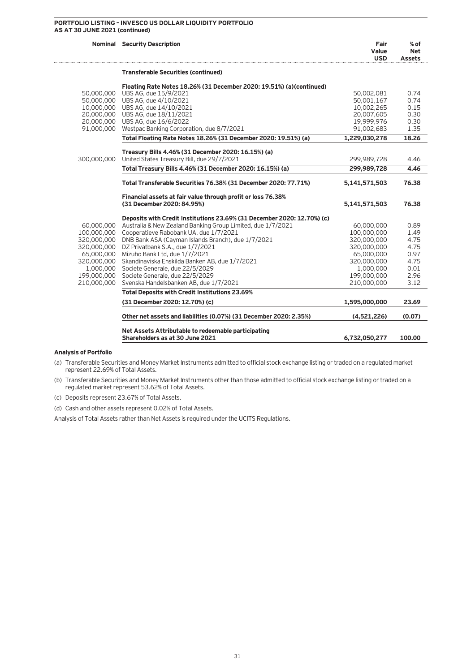### **PORTFOLIO LISTING – INVESCO US DOLLAR LIQUIDITY PORTFOLIO AS AT 30 JUNE 2021 (continued)**

|                          | <b>Nominal Security Description</b>                                     | Fair<br>Value<br><b>USD</b> | $%$ of<br>Net<br><b>Assets</b> |
|--------------------------|-------------------------------------------------------------------------|-----------------------------|--------------------------------|
|                          | <b>Transferable Securities (continued)</b>                              |                             |                                |
|                          | Floating Rate Notes 18.26% (31 December 2020: 19.51%) (a) (continued)   |                             |                                |
| 50,000,000               | UBS AG, due 15/9/2021                                                   | 50.002.081                  | 0.74                           |
| 50,000,000               | UBS AG, due 4/10/2021                                                   | 50,001,167                  | 0.74                           |
|                          | 10,000,000 UBS AG, due 14/10/2021                                       | 10,002,265                  | 0.15                           |
|                          | 20,000,000 UBS AG, due 18/11/2021                                       | 20,007,605                  | 0.30                           |
| 20,000,000<br>91,000,000 | UBS AG, due 16/6/2022<br>Westpac Banking Corporation, due 8/7/2021      | 19.999.976<br>91,002,683    | 0.30<br>1.35                   |
|                          | Total Floating Rate Notes 18.26% (31 December 2020: 19.51%) (a)         | 1,229,030,278               | 18.26                          |
|                          |                                                                         |                             |                                |
|                          | Treasury Bills 4.46% (31 December 2020: 16.15%) (a)                     |                             |                                |
| 300,000,000              | United States Treasury Bill, due 29/7/2021                              | 299,989,728                 | 4.46                           |
|                          | Total Treasury Bills 4.46% (31 December 2020: 16.15%) (a)               | 299,989,728                 | 4.46                           |
|                          | Total Transferable Securities 76.38% (31 December 2020: 77.71%)         | 5,141,571,503               | 76.38                          |
|                          | Financial assets at fair value through profit or loss 76.38%            |                             |                                |
|                          | (31 December 2020: 84.95%)                                              | 5,141,571,503               | 76.38                          |
|                          | Deposits with Credit Institutions 23.69% (31 December 2020: 12.70%) (c) |                             |                                |
| 60,000,000               | Australia & New Zealand Banking Group Limited, due 1/7/2021             | 60,000,000                  | 0.89                           |
| 100,000,000              | Cooperatieve Rabobank UA, due 1/7/2021                                  | 100,000,000                 | 1.49                           |
| 320,000,000              | DNB Bank ASA (Cayman Islands Branch), due 1/7/2021                      | 320,000,000                 | 4.75                           |
| 320,000,000              | DZ Privatbank S.A., due 1/7/2021                                        | 320,000,000                 | 4.75                           |
| 65,000,000               | Mizuho Bank Ltd, due 1/7/2021                                           | 65,000,000                  | 0.97                           |
| 320,000,000              | Skandinaviska Enskilda Banken AB, due 1/7/2021                          | 320,000,000                 | 4.75                           |
| 1,000,000                | Societe Generale, due 22/5/2029                                         | 1,000,000                   | 0.01                           |
| 199,000,000              | Societe Generale, due 22/5/2029                                         | 199,000,000                 | 2.96                           |
| 210,000,000              | Svenska Handelsbanken AB, due 1/7/2021                                  | 210,000,000                 | 3.12                           |
|                          | <b>Total Deposits with Credit Institutions 23.69%</b>                   |                             |                                |
|                          | (31 December 2020: 12.70%) (c)                                          | 1,595,000,000               | 23.69                          |
|                          | Other net assets and liabilities (0.07%) (31 December 2020: 2.35%)      | (4,521,226)                 | (0.07)                         |
|                          | Net Assets Attributable to redeemable participating                     |                             |                                |
|                          | Shareholders as at 30 June 2021                                         | 6,732,050,277               | 100.00                         |

### **Analysis of Portfolio**

(a) Transferable Securities and Money Market Instruments admitted to official stock exchange listing or traded on a regulated market represent 22.69% of Total Assets.

(b) Transferable Securities and Money Market Instruments other than those admitted to official stock exchange listing or traded on a regulated market represent 53.62% of Total Assets.

(c) Deposits represent 23.67% of Total Assets.

(d) Cash and other assets represent 0.02% of Total Assets.

Analysis of Total Assets rather than Net Assets is required under the UCITS Regulations.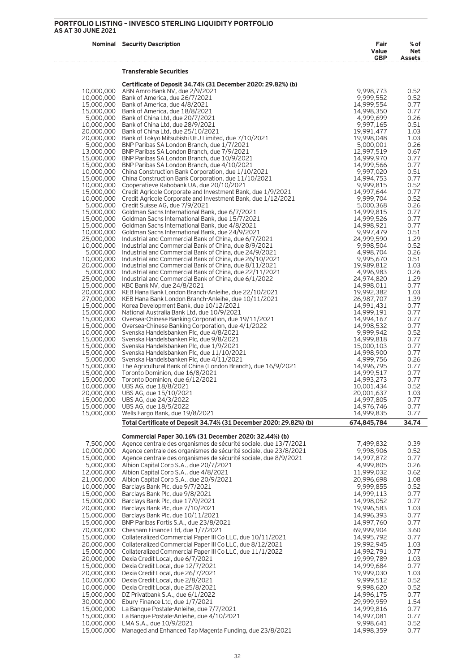|                          | <b>Nominal Security Description</b>                                                                                                   | Fair<br>Value<br><b>GBP</b> | % of<br>Net<br><b>Assets</b> |
|--------------------------|---------------------------------------------------------------------------------------------------------------------------------------|-----------------------------|------------------------------|
|                          | Transferable Securities                                                                                                               |                             |                              |
| 10,000,000               | Certificate of Deposit 34.74% (31 December 2020: 29.82%) (b)<br>ABN Amro Bank NV, due 2/9/2021                                        | 9,998,773                   | 0.52                         |
| 10,000,000<br>15,000,000 | Bank of America, due 26/7/2021<br>Bank of America, due 4/8/2021                                                                       | 9,999,552<br>14,999,554     | 0.52<br>0.77                 |
| 15,000,000               | Bank of America, due 18/8/2021                                                                                                        | 14,998,350                  | 0.77                         |
| 5,000,000<br>10,000,000  | Bank of China Ltd, due 20/7/2021<br>Bank of China Ltd, due 28/9/2021                                                                  | 4,999,699<br>9,997,165      | 0.26<br>0.51                 |
| 20,000,000               | Bank of China Ltd, due 25/10/2021                                                                                                     | 19,991,477<br>19.998.048    | 1.03                         |
| 20,000,000               | Bank of Tokyo Mitsubishi UFJ Limited, due 7/10/2021<br>5,000,000 BNP Paribas SA London Branch, due 1/7/2021                           | 5,000,001                   | 1.03<br>0.26                 |
|                          | 13,000,000 BNP Paribas SA London Branch, due 7/9/2021                                                                                 | 12,997,519                  | 0.67                         |
| 15,000,000<br>15,000,000 | BNP Paribas SA London Branch, due 10/9/2021<br>BNP Paribas SA London Branch, due 4/10/2021                                            | 14,999,970<br>14,999,566    | 0.77<br>0.77                 |
| 10,000,000               | China Construction Bank Corporation, due 1/10/2021                                                                                    | 9,997,020                   | 0.51<br>0.77                 |
| 15,000,000<br>10,000,000 | China Construction Bank Corporation, due 11/10/2021<br>Cooperatieve Rabobank UA, due 20/10/2021                                       | 14,994,753<br>9,999,815     | 0.52                         |
| 15,000,000<br>10,000,000 | Credit Agricole Corporate and Investment Bank, due 1/9/2021                                                                           | 14,997,644<br>9,999,704     | 0.77<br>0.52                 |
| 5,000,000                | Credit Agricole Corporate and Investment Bank, due 1/12/2021<br>Credit Suisse AG, due 7/9/2021                                        | 5,000,368                   | 0.26                         |
| 15,000,000<br>15,000,000 | Goldman Sachs International Bank, due 6/7/2021<br>Goldman Sachs International Bank, due 15/7/2021                                     | 14,999,815<br>14,999,526    | 0.77<br>0.77                 |
| 15,000,000               | Goldman Sachs International Bank, due 4/8/2021                                                                                        | 14,998,921                  | 0.77                         |
| 10,000,000<br>25,000,000 | Goldman Sachs International Bank, due 24/9/2021<br>Industrial and Commercial Bank of China, due 6/7/2021                              | 9,997,479<br>24,999,590     | 0.51<br>1.29                 |
| 10,000,000               | Industrial and Commercial Bank of China, due 8/9/2021                                                                                 | 9,998,504                   | 0.52                         |
| 5,000,000<br>10,000,000  | Industrial and Commercial Bank of China, due 24/9/2021<br>Industrial and Commercial Bank of China, due 26/10/2021                     | 4.998.704<br>9,995,670      | 0.26<br>0.51                 |
| 20,000,000               | Industrial and Commercial Bank of China, due 8/11/2021                                                                                | 19,989,812                  | 1.03                         |
| 5,000,000<br>25,000,000  | Industrial and Commercial Bank of China, due 22/11/2021<br>Industrial and Commercial Bank of China, due 6/1/2022                      | 4,996,983<br>24,974,820     | 0.26<br>1.29                 |
|                          | 15,000,000 KBC Bank NV, due 24/8/2021                                                                                                 | 14,998,011                  | 0.77                         |
| 20,000,000<br>27,000,000 | KEB Hana Bank London Branch-Anleihe, due 22/10/2021<br>KEB Hana Bank London Branch-Anleihe, due 10/11/2021                            | 19,992,382<br>26,987,707    | 1.03<br>1.39                 |
| 15,000,000               | Korea Development Bank, due 10/12/2021                                                                                                | 14,991,431                  | 0.77                         |
| 15,000,000<br>15,000,000 | National Australia Bank Ltd, due 10/9/2021<br>Oversea-Chinese Banking Corporation, due 19/11/2021                                     | 14,999,191<br>14,994,167    | 0.77<br>0.77                 |
| 15,000,000               | Oversea-Chinese Banking Corporation, due 4/1/2022                                                                                     | 14,998,532                  | 0.77                         |
| 10,000,000<br>15,000,000 | Svenska Handelsbanken Plc, due 4/8/2021<br>Svenska Handelsbanken Plc, due 9/8/2021                                                    | 9,999,942<br>14,999,818     | 0.52<br>0.77                 |
|                          | 15,000,000 Svenska Handelsbanken Plc, due 1/9/2021                                                                                    | 15,000,103                  | 0.77                         |
|                          | 15,000,000 Svenska Handelsbanken Plc, due 11/10/2021<br>5,000,000 Svenska Handelsbanken Plc, due 4/11/2021                            | 14,998,900<br>4,999,756     | 0.77<br>0.26                 |
|                          | 15,000,000 The Agricultural Bank of China (London Branch), due 16/9/2021                                                              | 14,996,795                  | 0.77                         |
| 15,000,000<br>15,000,000 | Toronto Dominion, due 16/8/2021<br>Toronto Dominion, due 6/12/2021                                                                    | 14,999,517<br>14,993,273    | 0.77<br>0.77                 |
| 10,000,000               | UBS AG, due 18/8/2021                                                                                                                 | 10,001,434                  | 0.52                         |
| 20,000,000<br>15,000,000 | UBS AG, due 15/10/2021<br>UBS AG, due 24/3/2022                                                                                       | 20,001,637<br>14,997,805    | 1.03<br>0.77                 |
| 15,000,000               | UBS AG, due 18/5/2022                                                                                                                 | 14,976,746                  | 0.77                         |
| 15,000,000               | Wells Fargo Bank, due 19/8/2021<br>Total Certificate of Deposit 34.74% (31 December 2020: 29.82%) (b)                                 | 14,999,835<br>674,845,784   | 0.77<br>34.74                |
|                          | Commercial Paper 30.16% (31 December 2020: 32.44%) (b)                                                                                |                             |                              |
| 7,500,000                | Agence centrale des organismes de sécurité sociale, due 13/7/2021                                                                     | 7,499,832                   | 0.39                         |
| 10,000,000<br>15,000,000 | Agence centrale des organismes de sécurité sociale, due 23/8/2021<br>Agence centrale des organismes de sécurité sociale, due 8/9/2021 | 9,998,906<br>14,997,872     | 0.52<br>0.77                 |
| 5,000,000                | Albion Capital Corp S.A., due 20/7/2021                                                                                               | 4,999,805                   | 0.26                         |
| 12,000,000               | Albion Capital Corp S.A., due 4/8/2021                                                                                                | 11,999,032                  | 0.62                         |
| 21,000,000<br>10,000,000 | Albion Capital Corp S.A., due 20/9/2021<br>Barclays Bank Plc, due 9/7/2021                                                            | 20,996,698<br>9,999,855     | 1.08<br>0.52                 |
| 15,000,000               | Barclays Bank Plc, due 9/8/2021                                                                                                       | 14,999,113                  | 0.77                         |
| 15,000,000<br>20,000,000 | Barclays Bank Plc, due 17/9/2021<br>Barclays Bank Plc, due 7/10/2021                                                                  | 14,998,052<br>19,996,583    | 0.77<br>1.03                 |
| 15,000,000               | Barclays Bank Plc, due 10/11/2021                                                                                                     | 14,996,393                  | 0.77                         |
| 15,000,000               | BNP Paribas Fortis S.A., due 23/8/2021                                                                                                | 14,997,760                  | 0.77                         |
| 70,000,000<br>15,000,000 | Chesham Finance Ltd, due 1/7/2021<br>Collateralized Commercial Paper III Co LLC, due 10/11/2021                                       | 69,999,904<br>14,995,792    | 3.60<br>0.77                 |
| 20,000,000               | Collateralized Commercial Paper III Co LLC, due 8/12/2021                                                                             | 19,992,945                  | 1.03                         |
| 15,000,000<br>20,000,000 | Collateralized Commercial Paper III Co LLC, due 11/1/2022<br>Dexia Credit Local, due 6/7/2021                                         | 14,992,791<br>19,999,789    | 0.77<br>1.03                 |
| 15,000,000               | Dexia Credit Local, due 12/7/2021                                                                                                     | 14,999,684                  | 0.77                         |
| 20,000,000<br>10,000,000 | Dexia Credit Local, due 26/7/2021<br>Dexia Credit Local, due 2/8/2021                                                                 | 19,999,030<br>9,999,512     | 1.03<br>0.52                 |
| 10,000,000               | Dexia Credit Local, due 25/8/2021                                                                                                     | 9,998,620                   | 0.52                         |
| 15,000,000               | DZ Privatbank S.A., due 6/1/2022                                                                                                      | 14,996,175                  | 0.77                         |
| 30,000,000<br>15,000,000 | Ebury Finance Ltd, due 1/7/2021<br>La Banque Postale-Anleihe, due 7/7/2021                                                            | 29,999,959<br>14,999,816    | 1.54<br>0.77                 |
| 15,000,000               | La Banque Postale-Anleihe, due 4/10/2021                                                                                              | 14,997,081                  | 0.77                         |
| 10,000,000               | LMA S.A., due 10/9/2021                                                                                                               | 9,998,641                   | 0.52                         |

15,000,000 Managed and Enhanced Tap Magenta Funding, due 23/8/2021 14,998,359 0.77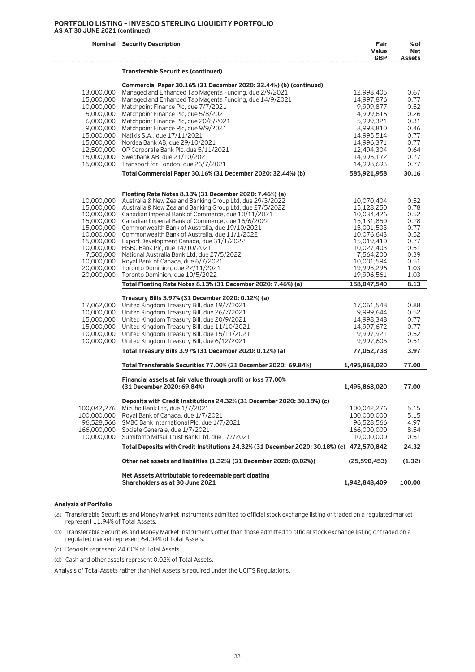### **PORTFOLIO LISTING – INVESCO STERLING LIQUIDITY PORTFOLIO** AS A<sup>\*</sup>

| AS AT 30 JUNE 2021 (continued) |                                                                                                 |                             |                              |
|--------------------------------|-------------------------------------------------------------------------------------------------|-----------------------------|------------------------------|
|                                | <b>Nominal Security Description</b>                                                             | Fair<br>Value<br><b>GBP</b> | % of<br>Net<br><b>Assets</b> |
|                                | <b>Transferable Securities (continued)</b>                                                      |                             |                              |
|                                |                                                                                                 |                             |                              |
|                                | Commercial Paper 30.16% (31 December 2020: 32.44%) (b) (continued)                              |                             |                              |
| 13,000,000                     | Managed and Enhanced Tap Magenta Funding, due 2/9/2021                                          | 12,998,405                  | 0.67                         |
| 15,000,000<br>10,000,000       | Managed and Enhanced Tap Magenta Funding, due 14/9/2021<br>Matchpoint Finance Plc, due 7/7/2021 | 14,997,876<br>9,999,877     | 0.77<br>0.52                 |
| 5,000,000                      | Matchpoint Finance Plc, due 5/8/2021                                                            | 4,999,616                   | 0.26                         |
| 6,000,000                      | Matchpoint Finance Plc, due 20/8/2021                                                           | 5,999,321                   | 0.31                         |
| 9,000,000                      | Matchpoint Finance Plc, due 9/9/2021                                                            | 8,998,810                   | 0.46                         |
| 15,000,000                     | Natixis S.A., due 17/11/2021                                                                    | 14,995,514                  | 0.77                         |
| 15,000,000                     | Nordea Bank AB, due 29/10/2021                                                                  | 14,996,371                  | 0.77                         |
| 12,500,000                     | OP Corporate Bank Plc, due 5/11/2021                                                            | 12,494,304                  | 0.64                         |
| 15,000,000                     | Swedbank AB, due 21/10/2021                                                                     | 14,995,172                  | 0.77                         |
| 15,000,000                     | Transport for London, due 26/7/2021                                                             | 14,998,693                  | 0.77                         |
|                                | Total Commercial Paper 30.16% (31 December 2020: 32.44%) (b)                                    | 585,921,958                 | 30.16                        |
|                                |                                                                                                 |                             |                              |
|                                | Floating Rate Notes 8.13% (31 December 2020: 7.46%) (a)                                         |                             |                              |
| 10,000,000                     | Australia & New Zealand Banking Group Ltd, due 29/3/2022                                        | 10,070,404                  | 0.52                         |
| 15,000,000                     | Australia & New Zealand Banking Group Ltd, due 27/5/2022                                        | 15,128,250                  | 0.78                         |
| 10,000,000                     | Canadian Imperial Bank of Commerce, due 10/11/2021                                              | 10,034,426                  | 0.52                         |
| 15,000,000                     | Canadian Imperial Bank of Commerce, due 16/6/2022                                               | 15,131,850                  | 0.78                         |
|                                | 15,000,000 Commonwealth Bank of Australia, due 19/10/2021                                       | 15,001,503                  | 0.77                         |
|                                | 10,000,000 Commonwealth Bank of Australia, due 11/1/2022                                        | 10,076,643                  | 0.52                         |
| 15,000,000                     | Export Development Canada, due 31/1/2022<br>10,000,000 HSBC Bank Plc, due 14/10/2021            | 15,019,410                  | 0.77                         |
| 7,500,000                      | National Australia Bank Ltd, due 27/5/2022                                                      | 10,027,403<br>7,564,200     | 0.51<br>0.39                 |
| 10,000,000                     | Royal Bank of Canada, due 6/7/2021                                                              | 10,001,594                  | 0.51                         |
| 20,000,000                     | Toronto Dominion, due 22/11/2021                                                                | 19,995,296                  | 1.03                         |
| 20,000,000                     | Toronto Dominion, due 10/5/2022                                                                 | 19,996,561                  | 1.03                         |
|                                | Total Floating Rate Notes 8.13% (31 December 2020: 7.46%) (a)                                   | 158,047,540                 | 8.13                         |
|                                | Treasury Bills 3.97% (31 December 2020: 0.12%) (a)                                              |                             |                              |
| 17,062,000                     | United Kingdom Treasury Bill, due 19/7/2021                                                     | 17,061,548                  | 0.88                         |
| 10,000,000                     | United Kingdom Treasury Bill, due 26/7/2021                                                     | 9,999,644                   | 0.52                         |
| 15,000,000                     | United Kingdom Treasury Bill, due 20/9/2021                                                     | 14,998,348                  | 0.77                         |
| 15,000,000                     | United Kingdom Treasury Bill, due 11/10/2021                                                    | 14,997,672                  | 0.77                         |
| 10,000,000                     | United Kingdom Treasury Bill, due 15/11/2021                                                    | 9,997,921                   | 0.52                         |
| 10,000,000                     | United Kingdom Treasury Bill, due 6/12/2021                                                     | 9,997,605                   | 0.51                         |
|                                | Total Treasury Bills 3.97% (31 December 2020: 0.12%) (a)                                        | 77,052,738                  | 3.97                         |
|                                | Total Transferable Securities 77.00% (31 December 2020: 69.84%)                                 | 1,495,868,020               | 77.00                        |
|                                |                                                                                                 |                             |                              |
|                                | Financial assets at fair value through profit or loss 77.00%<br>(31 December 2020: 69.84%)      | 1,495,868,020               | 77.00                        |
|                                |                                                                                                 |                             |                              |
|                                | Deposits with Credit Institutions 24.32% (31 December 2020: 30.18%) (c)                         |                             |                              |
| 100,042,276                    | Mizuho Bank Ltd, due 1/7/2021                                                                   | 100,042,276                 | 5.15                         |
| 100,000,000                    | Royal Bank of Canada, due 1/7/2021                                                              | 100,000,000<br>96.528.566   | 5.15                         |
| 96,528,566                     | SMBC Bank International Plc, due 1/7/2021<br>Societe Generale, due 1/7/2021                     |                             | 4.97                         |
| 166,000,000<br>10,000,000      | Sumitomo Mitsui Trust Bank Ltd, due 1/7/2021                                                    | 166,000,000<br>10,000,000   | 8.54<br>0.51                 |
|                                | Total Deposits with Credit Institutions 24.32% (31 December 2020: 30.18%) (c) 472,570,842       |                             |                              |
|                                |                                                                                                 |                             | 24.32                        |
|                                | Other net assets and liabilities (1.32%) (31 December 2020: (0.02%))                            | (25,590,453)                | (1.32)                       |
|                                | Net Assets Attributable to redeemable participating                                             |                             |                              |

### **Analysis of Portfolio**

(a) Transferable Securities and Money Market Instruments admitted to official stock exchange listing or traded on a regulated market represent 11.94% of Total Assets.

 **Shareholders as at 30 June 2021 1,942,848,409 100.00** 

- (b) Transferable Securities and Money Market Instruments other than those admitted to official stock exchange listing or traded on a regulated market represent 64.04% of Total Assets.
- (c) Deposits represent 24.00% of Total Assets.
- (d) Cash and other assets represent 0.02% of Total Assets.

Analysis of Total Assets rather than Net Assets is required under the UCITS Regulations.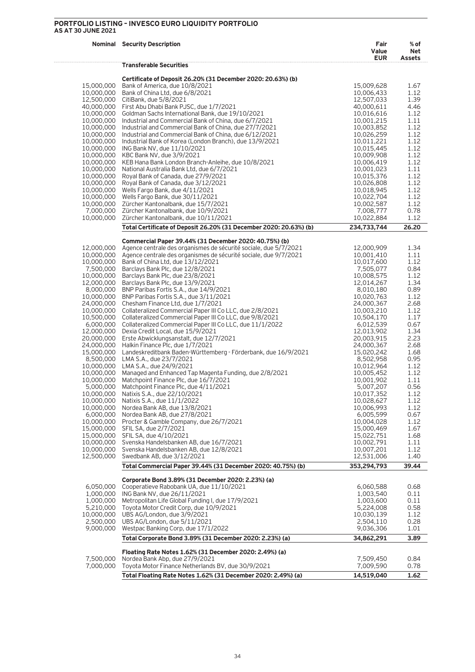### **PORTFOLIO LISTING – INVESCO EURO LIQUIDITY PORTFOLIO AS AT 30 JUNE 2021**

| <b>AS AT 30 JUNE 2021</b> |                                                                                                                                         |                             |                       |
|---------------------------|-----------------------------------------------------------------------------------------------------------------------------------------|-----------------------------|-----------------------|
|                           | <b>Nominal Security Description</b>                                                                                                     | Fair<br>Value<br><b>EUR</b> | % of<br>Net<br>Assets |
|                           | <b>Transferable Securities</b>                                                                                                          |                             |                       |
|                           | Certificate of Deposit 26.20% (31 December 2020: 20.63%) (b)                                                                            |                             |                       |
| 15,000,000                | Bank of America, due 10/8/2021                                                                                                          | 15,009,628                  | 1.67                  |
| 10,000,000                | Bank of China Ltd, due 6/8/2021                                                                                                         | 10,006,433                  | 1.12                  |
|                           | 12,500,000 CitiBank, due 5/8/2021                                                                                                       | 12,507,033                  | 1.39                  |
|                           | 40,000,000 First Abu Dhabi Bank PJSC, due 1/7/2021                                                                                      | 40,000,611                  | 4.46                  |
|                           | 10,000,000 Goldman Sachs International Bank, due 19/10/2021                                                                             | 10,016,616                  | 1.12                  |
|                           | 10,000,000 Industrial and Commercial Bank of China, due 6/7/2021                                                                        | 10,001,215                  | 1.11                  |
| 10,000,000                | Industrial and Commercial Bank of China, due 27/7/2021                                                                                  | 10,003,852                  | 1.12                  |
|                           | 10,000,000 Industrial and Commercial Bank of China, due 6/12/2021<br>10,000,000 Industrial Bank of Korea (London Branch), due 13/9/2021 | 10,026,259                  | 1.12                  |
|                           | 10,000,000 ING Bank NV, due 11/10/2021                                                                                                  | 10,011,221<br>10,015,445    | 1.12<br>1.12          |
|                           | 10,000,000 KBC Bank NV, due 3/9/2021                                                                                                    | 10,009,908                  | 1.12                  |
|                           | 10,000,000 KEB Hana Bank London Branch-Anleihe, due 10/8/2021                                                                           | 10,006,419                  | 1.12                  |
|                           | 10,000,000 National Australia Bank Ltd, due 6/7/2021                                                                                    | 10,001,023                  | 1.11                  |
|                           | 10,000,000 Royal Bank of Canada, due 27/9/2021                                                                                          | 10,015,376                  | 1.12                  |
|                           | 10,000,000 Royal Bank of Canada, due 3/12/2021                                                                                          | 10,026,808                  | 1.12                  |
|                           | 10,000,000 Wells Fargo Bank, due 4/11/2021                                                                                              | 10,018,945                  | 1.12                  |
|                           | 10,000,000 Wells Fargo Bank, due 30/11/2021                                                                                             | 10,022,704                  | 1.12                  |
|                           | 10,000,000 Zürcher Kantonalbank, due 15/7/2021                                                                                          | 10,002,587                  | 1.12                  |
| 7,000,000                 | Zürcher Kantonalbank, due 10/9/2021                                                                                                     | 7,008,777                   | 0.78                  |
| 10,000,000                | Zürcher Kantonalbank, due 10/11/2021                                                                                                    | 10,022,884                  | 1.12                  |
|                           | Total Certificate of Deposit 26.20% (31 December 2020: 20.63%) (b)                                                                      | 234,733,744                 | 26.20                 |
|                           | Commercial Paper 39.44% (31 December 2020: 40.75%) (b)                                                                                  |                             |                       |
|                           | 12,000,000 Agence centrale des organismes de sécurité sociale, due 5/7/2021                                                             | 12,000,909                  | 1.34                  |
|                           | 10,000,000 Agence centrale des organismes de sécurité sociale, due 9/7/2021                                                             | 10,001,410                  | 1.11                  |
|                           | 10,000,000 Bank of China Ltd, due 13/12/2021<br>7,500,000 Barclays Bank Plc, due 12/8/2021                                              | 10,017,600                  | 1.12<br>0.84          |
|                           | 10,000,000 Barclays Bank Plc, due 23/8/2021                                                                                             | 7,505,077<br>10,008,575     | 1.12                  |
|                           | 12,000,000 Barclays Bank Plc, due 13/9/2021                                                                                             | 12,014,267                  | 1.34                  |
|                           | 8,000,000 BNP Paribas Fortis S.A., due 14/9/2021                                                                                        | 8,010,180                   | 0.89                  |
|                           | 10,000,000 BNP Paribas Fortis S.A., due 3/11/2021                                                                                       | 10,020,763                  | 1.12                  |
|                           | 24,000,000 Chesham Finance Ltd, due 1/7/2021                                                                                            | 24,000,367                  | 2.68                  |
|                           | 10,000,000 Collateralized Commercial Paper III Co LLC, due 2/8/2021                                                                     | 10,003,210                  | 1.12                  |
|                           | 10,500,000 Collateralized Commercial Paper III Co LLC, due 9/8/2021                                                                     | 10,504,170                  | 1.17                  |
|                           | 6,000,000 Collateralized Commercial Paper III Co LLC, due 11/1/2022                                                                     | 6,012,539                   | 0.67                  |
|                           | 12,000,000 Dexia Credit Local, due 15/9/2021<br>20,000,000 Erste Abwicklungsanstalt, due 12/7/2021                                      | 12,013,902<br>20,003,915    | 1.34<br>2.23          |
|                           | 24,000,000 Halkin Finance Plc, due 1/7/2021                                                                                             | 24,000,367                  | 2.68                  |
|                           | 15,000,000 Landeskreditbank Baden-Württemberg - Förderbank, due 16/9/2021                                                               | 15,020,242                  | 1.68                  |
|                           | 8,500,000 LMA S.A., due 23/7/2021                                                                                                       | 8,502,958                   | 0.95                  |
|                           | 10,000,000 LMA S.A., due 24/9/2021                                                                                                      | 10,012,964                  | 1.12                  |
|                           | 10,000,000 Managed and Enhanced Tap Magenta Funding, due 2/8/2021                                                                       | 10,005,452                  | 1.12                  |
|                           | 10,000,000 Matchpoint Finance Plc, due 16/7/2021                                                                                        | 10.001.902                  | 1.11                  |
|                           | 5,000,000 Matchpoint Finance Plc, due 4/11/2021                                                                                         | 5,007,207                   | 0.56                  |
|                           | 10,000,000 Natixis S.A., due 22/10/2021                                                                                                 | 10,017,352                  | 1.12                  |
|                           | 10,000,000 Natixis S.A., due 11/1/2022                                                                                                  | 10,028,627                  | 1.12                  |
| 10,000,000<br>6,000,000   | Nordea Bank AB, due 13/8/2021                                                                                                           | 10,006,993<br>6,005,599     | 1.12                  |
| 10,000,000                | Nordea Bank AB, due 27/8/2021<br>Procter & Gamble Company, due 26/7/2021                                                                | 10,004,028                  | 0.67<br>1.12          |
| 15,000,000                | SFIL SA, due 2/7/2021                                                                                                                   | 15,000,469                  | 1.67                  |
|                           | 15,000,000 SFIL SA, due 4/10/2021                                                                                                       | 15,022,751                  | 1.68                  |
|                           | 10,000,000 Svenska Handelsbanken AB, due 16/7/2021                                                                                      | 10,002,791                  | 1.11                  |
| 10,000,000                | Svenska Handelsbanken AB, due 12/8/2021                                                                                                 | 10,007,201                  | 1.12                  |
| 12,500,000                | Swedbank AB, due 3/12/2021                                                                                                              | 12,531,006                  | 1.40                  |
|                           | Total Commercial Paper 39.44% (31 December 2020: 40.75%) (b)                                                                            | 353,294,793                 | 39.44                 |
|                           | Corporate Bond 3.89% (31 December 2020: 2.23%) (a)                                                                                      |                             |                       |
| 6,050,000                 | Cooperatieve Rabobank UA, due 11/10/2021                                                                                                | 6,060,588                   | 0.68                  |
| 1,000,000                 | ING Bank NV, due 26/11/2021                                                                                                             | 1,003,540                   | 0.11                  |
| 1,000,000                 | Metropolitan Life Global Funding I, due 17/9/2021                                                                                       | 1,003,600                   | 0.11                  |
|                           | 5,210,000 Toyota Motor Credit Corp, due 10/9/2021                                                                                       | 5,224,008                   | 0.58                  |
|                           | 10,000,000 UBS AG/London, due 3/9/2021                                                                                                  | 10,030,139                  | 1.12                  |
|                           | 2,500,000 UBS AG/London, due 5/11/2021                                                                                                  | 2,504,110                   | 0.28                  |
| 9,000,000                 | Westpac Banking Corp, due 17/1/2022                                                                                                     | 9,036,306                   | 1.01                  |
|                           | Total Corporate Bond 3.89% (31 December 2020: 2.23%) (a)                                                                                | 34,862,291                  | 3.89                  |
|                           | Floating Rate Notes 1.62% (31 December 2020: 2.49%) (a)                                                                                 |                             |                       |
| 7,500,000                 | Nordea Bank Abp, due 27/9/2021                                                                                                          | 7,509,450                   | 0.84                  |
| 7,000,000                 | Toyota Motor Finance Netherlands BV, due 30/9/2021                                                                                      | 7,009,590                   | 0.78                  |
|                           | Total Floating Rate Notes 1.62% (31 December 2020: 2.49%) (a)                                                                           | 14,519,040                  | 1.62                  |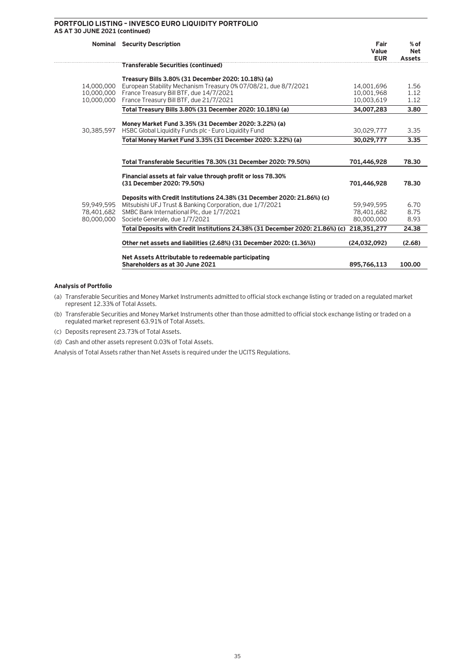### **PORTFOLIO LISTING – INVESCO EURO LIQUIDITY PORTFOLIO AS AT 30 JUNE 2021 (continued)**

|            | <b>Nominal Security Description</b>                                                                            | Fair<br>Value<br><b>EUR</b> | $%$ of<br><b>Net</b><br><b>Assets</b> |
|------------|----------------------------------------------------------------------------------------------------------------|-----------------------------|---------------------------------------|
|            | <b>Transferable Securities (continued)</b>                                                                     |                             |                                       |
|            | Treasury Bills 3.80% (31 December 2020: 10.18%) (a)                                                            |                             |                                       |
| 14,000,000 | European Stability Mechanism Treasury 0% 07/08/21, due 8/7/2021                                                | 14,001,696                  | 1.56                                  |
| 10,000,000 | France Treasury Bill BTF, due 14/7/2021                                                                        | 10.001.968                  | 1.12                                  |
| 10,000,000 | France Treasury Bill BTF, due 21/7/2021                                                                        | 10.003.619                  | 1.12                                  |
|            | Total Treasury Bills 3.80% (31 December 2020: 10.18%) (a)                                                      | 34,007,283                  | 3.80                                  |
|            |                                                                                                                |                             |                                       |
| 30,385,597 | Money Market Fund 3.35% (31 December 2020: 3.22%) (a)<br>HSBC Global Liquidity Funds plc - Euro Liquidity Fund | 30.029.777                  | 3.35                                  |
|            | Total Money Market Fund 3.35% (31 December 2020: 3.22%) (a)                                                    | 30,029,777                  | 3.35                                  |
|            |                                                                                                                |                             |                                       |
|            |                                                                                                                |                             |                                       |
|            | Total Transferable Securities 78.30% (31 December 2020: 79.50%)                                                | 701,446,928                 | 78.30                                 |
|            |                                                                                                                |                             |                                       |
|            | Financial assets at fair value through profit or loss 78.30%<br>(31 December 2020: 79.50%)                     | 701,446,928                 | 78.30                                 |
|            |                                                                                                                |                             |                                       |
|            | Deposits with Credit Institutions 24.38% (31 December 2020: 21.86%) (c)                                        |                             |                                       |
| 59.949.595 | Mitsubishi UFJ Trust & Banking Corporation, due 1/7/2021                                                       | 59.949.595                  | 6.70                                  |
| 78,401,682 | SMBC Bank International Plc. due 1/7/2021                                                                      | 78,401,682                  | 8.75                                  |
| 80,000,000 | Societe Generale, due 1/7/2021                                                                                 | 80,000,000                  | 8.93                                  |
|            | Total Deposits with Credit Institutions 24.38% (31 December 2020: 21.86%) (c) 218,351,277                      |                             | 24.38                                 |
|            | Other net assets and liabilities (2.68%) (31 December 2020: (1.36%))                                           | (24,032,092)                | (2.68)                                |
|            |                                                                                                                |                             |                                       |
|            | Net Assets Attributable to redeemable participating                                                            |                             |                                       |
|            | Shareholders as at 30 June 2021                                                                                | 895,766,113                 | 100.00                                |
|            |                                                                                                                |                             |                                       |

### **Analysis of Portfolio**

(a) Transferable Securities and Money Market Instruments admitted to official stock exchange listing or traded on a regulated market represent 12.33% of Total Assets.

(b) Transferable Securities and Money Market Instruments other than those admitted to official stock exchange listing or traded on a regulated market represent 63.91% of Total Assets.

(c) Deposits represent 23.73% of Total Assets.

(d) Cash and other assets represent 0.03% of Total Assets.

Analysis of Total Assets rather than Net Assets is required under the UCITS Regulations.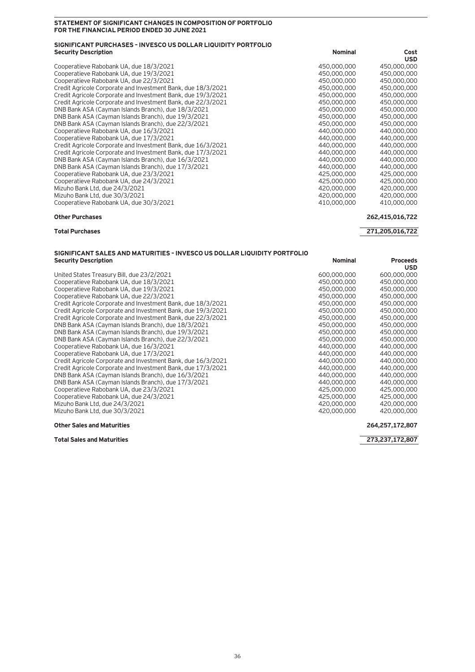### **STATEMENT OF SIGNIFICANT CHANGES IN COMPOSITION OF PORTFOLIO FOR THE FINANCIAL PERIOD ENDED 30 JUNE 2021**

### **SIGNIFICANT PURCHASES – INVESCO US DOLLAR LIQUIDITY PORTFOLIO Security Description Nominal Cost**

|                                                              |             | <b>USD</b>  |
|--------------------------------------------------------------|-------------|-------------|
| Cooperatieve Rabobank UA, due 18/3/2021                      | 450,000,000 | 450,000,000 |
| Cooperatieve Rabobank UA, due 19/3/2021                      | 450,000,000 | 450,000,000 |
| Cooperatieve Rabobank UA, due 22/3/2021                      | 450,000,000 | 450,000,000 |
| Credit Agricole Corporate and Investment Bank, due 18/3/2021 | 450,000,000 | 450,000,000 |
| Credit Agricole Corporate and Investment Bank, due 19/3/2021 | 450,000,000 | 450,000,000 |
| Credit Agricole Corporate and Investment Bank, due 22/3/2021 | 450,000,000 | 450,000,000 |
| DNB Bank ASA (Cayman Islands Branch), due 18/3/2021          | 450,000,000 | 450,000,000 |
| DNB Bank ASA (Cayman Islands Branch), due 19/3/2021          | 450,000,000 | 450,000,000 |
| DNB Bank ASA (Cayman Islands Branch), due 22/3/2021          | 450,000,000 | 450,000,000 |
| Cooperatieve Rabobank UA, due 16/3/2021                      | 440,000,000 | 440,000,000 |
| Cooperatieve Rabobank UA, due 17/3/2021                      | 440,000,000 | 440,000,000 |
| Credit Agricole Corporate and Investment Bank, due 16/3/2021 | 440,000,000 | 440,000,000 |
| Credit Agricole Corporate and Investment Bank, due 17/3/2021 | 440,000,000 | 440,000,000 |
| DNB Bank ASA (Cayman Islands Branch), due 16/3/2021          | 440,000,000 | 440,000,000 |
| DNB Bank ASA (Cayman Islands Branch), due 17/3/2021          | 440,000,000 | 440,000,000 |
| Cooperatieve Rabobank UA, due 23/3/2021                      | 425,000,000 | 425,000,000 |
| Cooperatieve Rabobank UA, due 24/3/2021                      | 425,000,000 | 425,000,000 |
| Mizuho Bank Ltd. due 24/3/2021                               | 420,000,000 | 420,000,000 |
| Mizuho Bank Ltd, due 30/3/2021                               | 420,000,000 | 420,000,000 |
| Cooperatieve Rabobank UA, due 30/3/2021                      | 410,000,000 | 410,000,000 |

### **Other Purchases 262,415,016,722**

### **Total Purchases 271,205,016,722**

### **SIGNIFICANT SALES AND MATURITIES – INVESCO US DOLLAR LIQUIDITY PORTFOLIO Security Description Proceeds** Proceeds **Nominal Proceeds**

| United States Treasury Bill, due 23/2/2021                   | 600,000,000 | 600,000,000 |
|--------------------------------------------------------------|-------------|-------------|
| Cooperatieve Rabobank UA, due 18/3/2021                      | 450,000,000 | 450,000,000 |
| Cooperatieve Rabobank UA, due 19/3/2021                      | 450,000,000 | 450,000,000 |
| Cooperatieve Rabobank UA, due 22/3/2021                      | 450,000,000 | 450,000,000 |
| Credit Agricole Corporate and Investment Bank, due 18/3/2021 | 450,000,000 | 450,000,000 |
| Credit Agricole Corporate and Investment Bank, due 19/3/2021 | 450,000,000 | 450,000,000 |
| Credit Agricole Corporate and Investment Bank, due 22/3/2021 | 450,000,000 | 450,000,000 |
| DNB Bank ASA (Cayman Islands Branch), due 18/3/2021          | 450,000,000 | 450,000,000 |
| DNB Bank ASA (Cayman Islands Branch), due 19/3/2021          | 450,000,000 | 450,000,000 |
| DNB Bank ASA (Cayman Islands Branch), due 22/3/2021          | 450,000,000 | 450,000,000 |
| Cooperatieve Rabobank UA, due 16/3/2021                      | 440,000,000 | 440,000,000 |
| Cooperatieve Rabobank UA, due 17/3/2021                      | 440,000,000 | 440,000,000 |
| Credit Agricole Corporate and Investment Bank, due 16/3/2021 | 440,000,000 | 440,000,000 |
| Credit Agricole Corporate and Investment Bank, due 17/3/2021 | 440,000,000 | 440,000,000 |
| DNB Bank ASA (Cayman Islands Branch), due 16/3/2021          | 440,000,000 | 440,000,000 |
| DNB Bank ASA (Cayman Islands Branch), due 17/3/2021          | 440,000,000 | 440,000,000 |
| Cooperatieve Rabobank UA, due 23/3/2021                      | 425,000,000 | 425,000,000 |
| Cooperatieve Rabobank UA, due 24/3/2021                      | 425,000,000 | 425,000,000 |
| Mizuho Bank Ltd. due 24/3/2021                               | 420,000,000 | 420,000,000 |
| Mizuho Bank Ltd, due 30/3/2021                               | 420,000,000 | 420,000,000 |

# 420,000,000<br>420,000,000

**USD**<br>600,000,000

600,000,000 600,000,000<br>450,000,000 450,000,000 450,000,000 450,000,000<br>450,000,000 450,000,000

**Other Sales and Maturities 264,257,172,807**

**Total Sales and Maturities 273,237,172,807**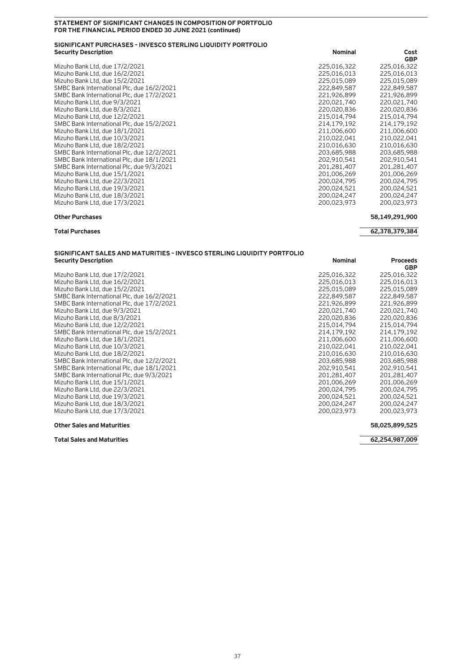### **STATEMENT OF SIGNIFICANT CHANGES IN COMPOSITION OF PORTFOLIO FOR THE FINANCIAL PERIOD ENDED 30 JUNE 2021 (continued)**

### **SIGNIFICANT PURCHASES – INVESCO STERLING LIQUIDITY PORTFOLIO Security Description Cost (2008)** Cost (2009) A Security Description Cost (2008) A Security Description Cost

Mizuho Bank Ltd, due 17/2/2021<br>Mizuho Bank Ltd, due 16/2/2021 225,016,013 225,016,013 225,016,013 225,016,013 Mizuho Bank Ltd, due 16/2/2021<br>Mizuho Bank Ltd, due 15/2/2021 225,015,089 225,015,089 225,015,089 Mizuho Bank Ltd, due 15/2/2021<br>
SMBC Bank International Plc, due 16/2/2021<br>
222,849,587 222,849,587 222,849,587 SMBC Bank International Plc, due 16/2/2021<br>
SMBC Bank International Plc, due 17/2/2021<br>
221,926,899 221,926,899 221,926,899 SMBC Bank International Plc, due 17/2/2021<br>
SMBC Bank International Plc, due 17/2/2021<br>
220,021,740 220,021,740 220,021,740 Mizuho Bank Ltd, due 9/3/2021<br>Mizuho Bank Ltd, due 8/3/2021 220,020,836 220,020,836 220,020,836 220,020,836 Mizuho Bank Ltd, due 8/3/2021<br>Mizuho Bank Ltd, due 12/2/2021 215,014,794 215,014,794 215,014,794 Mizuho Bank Ltd, due 12/2/2021<br>
SMBC Bank International Plc, due 15/2/2021<br>
214.179.192 214.179.192 214.179.192 SMBC Bank International Plc, due 15/2/2021 214,179,192 214,179,192 214,179,192<br>Mizuho Bank Ltd, due 18/1/2021 211,006,600 211,006,600 211,006,600 Mizuho Bank Ltd, due 18/1/2021 211,006,600 211,006,600 Mizuho Bank Ltd, due 10/3/2021 210,022,041 210,022,041 Mizuho Bank Ltd, due 18/2/2021<br>
SMBC Bank International Plc, due 12/2/2021<br>
203,685,988 203,685,988 203,685,988 SMBC Bank International Plc, due 12/2/2021<br>
SMBC Bank International Plc, due 18/1/2021<br>
202.910.541 202.910.541 202.910.541 SMBC Bank International Plc, due 18/1/2021<br>
SMBC Bank International Plc, due 9/3/2021<br>
201,281,407 201,281,407 201,281,407 SMBC Bank International Plc, due 9/3/2021<br>
Mizuho Bank Ltd, due 15/1/2021 201,006,269 201,006,269 201,006,269 Mizuho Bank Ltd, due 15/1/2021<br>Mizuho Bank Ltd, due 22/3/2021 201,006,269 201,006,269 200,024,795 200,024,795 Mizuho Bank Ltd, due 22/3/2021<br>Mizuho Bank Ltd, due 19/3/2021 200,024,521 200,024,521 200,024,521 200,024,521 Mizuho Bank Ltd, due 19/3/2021<br>Mizuho Bank Ltd, due 18/3/2021 200,024,521 200,024,247 200,024,247 200,024,247 Mizuho Bank Ltd, due 18/3/2021 200,024,247 200,024,247 Mizuho Bank Ltd, due 17/3/2021 200,023,973 200,023,973

**GBP**<br>225,016,322 **GBP** 

### **Other Purchases 58,149,291,900**

**Total Purchases 62,378,379,384**

### **SIGNIFICANT SALES AND MATURITIES – INVESCO STERLING LIQUIDITY PORTFOLIO Security Description According to the Contract of Contract According to the Contract According to the Proceeds**

Mizuho Bank Ltd, due 17/2/2021<br>Mizuho Bank Ltd, due 16/2/2021 225,016,013 225,016,013 225,016,013 225,016,013 Mizuho Bank Ltd, due 16/2/2021<br>Mizuho Bank Ltd, due 15/2/2021 225,015,089 225,015,089 225,015,089 Mizuho Bank Ltd, due 15/2/2021<br>
SMBC Bank International Plc. due 16/2/2021<br>
222.849.587 222.849.587 222.849.587 SMBC Bank International Plc, due 16/2/2021<br>
SMBC Bank International Plc, due 17/2/2021<br>
221,926,899 221,926,899 221,926,899 SMBC Bank International Plc, due 17/2/2021<br>
Mizuho Bank Ltd, due 9/3/2021<br>
220,021,740 220,021,740 Mizuho Bank Ltd, due 9/3/2021<br>Mizuho Bank Ltd, due 8/3/2021 220,020,836 220,020,836 220,020,836 220,020,836 Mizuho Bank Ltd, due 8/3/2021<br>Mizuho Bank Ltd, due 12/2/2021 215,014,794 215,014,794 215,014,794 Mizuho Bank Ltd, due 12/2/2021<br>
SMBC Bank International Plc, due 15/2/2021<br>
214.179.192 214.179.192 214.179.192 SMBC Bank International Plc, due 15/2/2021<br>
Mizuho Bank Ltd, due 18/1/2021<br>
211,006,600 211,006,600 211,006,600 Mizuho Bank Ltd, due 18/1/2021<br>Mizuho Bank Ltd, due 10/3/2021 210,022,041 210,022,041 210,022,041 210,022,041 Mizuho Bank Ltd, due 10/3/2021 210,022,041 210,022,041 Mizuho Bank Ltd, due 18/2/2021<br>
SMBC Bank International Plc, due 12/2/2021<br>
203,685,988 203,685,988 203,685,988 SMBC Bank International Plc, due 12/2/2021<br>
SMBC Bank International Plc, due 18/1/2021<br>
202.910.541 202.910.541 202.910.541 SMBC Bank International Plc, due 18/1/2021<br>
SMBC Bank International Plc, due 9/3/2021<br>
201,281,407 201,281,407 201,281,407 SMBC Bank International Plc, due 9/3/2021<br>
Mizuho Bank Ltd, due 15/1/2021<br>
201,006,269 201,006,269 201,006,269 Mizuho Bank Ltd, due 15/1/2021<br>Mizuho Bank Ltd, due 22/3/2021 201,006,269 201,006,269 200,024,795 200,024,795 Mizuho Bank Ltd, due 22/3/2021<br>Mizuho Bank Ltd, due 19/3/2021 200,024,521 200,024,521 200,024,521 200,024,521 Mizuho Bank Ltd, due 19/3/2021<br>Mizuho Bank Ltd, due 18/3/2021 200,024,521 200,024,521 200,024,247 200,024,247 Mizuho Bank Ltd, due 18/3/2021 Mizuho Bank Ltd, due 17/3/2021 200,023,973 200,023,973

# **GBP**<br>225,016,322 **GBP**

### **Other Sales and Maturities 58,025,899,525**

**Total Sales and Maturities 62,254,987,009**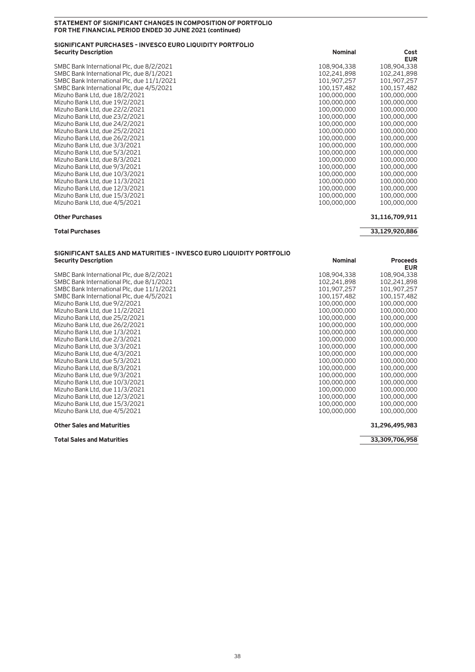### **STATEMENT OF SIGNIFICANT CHANGES IN COMPOSITION OF PORTFOLIO FOR THE FINANCIAL PERIOD ENDED 30 JUNE 2021 (continued)**

### **SIGNIFICANT PURCHASES – INVESCO EURO LIQUIDITY PORTFOLIO Security Description** Cost

SMBC Bank International Plc, due 8/2/2021 SMBC Bank International Plc, due 8/1/2021 SMBC Bank International Plc, due 11/1/2021 SMBC Bank International Plc, due 4/5/2021 Mizuho Bank Ltd, due 18/2/2021 Mizuho Bank Ltd, due 19/2/2021 Mizuho Bank Ltd, due 22/2/2021 Mizuho Bank Ltd, due 23/2/2021 Mizuho Bank Ltd, due 24/2/2021 Mizuho Bank Ltd, due 25/2/2021 Mizuho Bank Ltd, due 26/2/2021 Mizuho Bank Ltd, due 3/3/2021 Mizuho Bank Ltd, due 5/3/2021 Mizuho Bank Ltd, due 8/3/2021 Mizuho Bank Ltd, due 9/3/2021 Mizuho Bank Ltd, due 10/3/2021 Mizuho Bank Ltd, due 11/3/2021 Mizuho Bank Ltd, due 12/3/2021 Mizuho Bank Ltd, due 15/3/2021 Mizuho Bank Ltd, due 4/5/2021 **100,000, 100,000, 100,000, 100,000, 100,000**, 100,000, 100,000, 100,000, 100,000, 100,000, 100,000, 100,000, 100,000, 100,000, 100,000, 100,000, 100,000, 100,000, 100,000, 100,000, 100,000, 1

| NOMMA       | LUSL        |
|-------------|-------------|
|             | EUR         |
| 108,904,338 | 108,904,338 |
| 102,241,898 | 102,241,898 |
| 101,907,257 | 101,907,257 |
| 100.157.482 | 100.157.482 |
| 100.000.000 | 100,000,000 |
| 100.000.000 | 100,000,000 |
| 100,000,000 | 100,000,000 |
| 100.000.000 | 100,000,000 |
| 100.000.000 | 100,000,000 |
| 100.000.000 | 100,000,000 |
| 100,000,000 | 100,000,000 |
| 100.000.000 | 100,000,000 |
| 100.000.000 | 100,000,000 |
| 100.000.000 | 100,000,000 |
| 100.000.000 | 100,000,000 |
| 100.000.000 | 100,000,000 |
| 100.000.000 | 100,000,000 |
| 100.000.000 | 100,000,000 |
| 100.000.000 | 100,000,000 |
| 100.000.000 | 100.000.000 |

### **Other Purchases 31,116,709,911**

### **SIGNIFICANT SALES AND MATURITIES – INVESCO EURO LIQUIDITY PORTFOLIO Security Description**

SMBC Bank International Plc, due 8/2/2021 SMBC Bank International Plc, due 8/1/2021 SMBC Bank International Plc, due 11/1/2021 SMBC Bank International Plc, due 4/5/2021 Mizuho Bank Ltd, due 9/2/2021 Mizuho Bank Ltd, due 11/2/2021 Mizuho Bank Ltd, due 25/2/2021 Mizuho Bank Ltd, due 26/2/2021 Mizuho Bank Ltd, due  $1/3/2021$ Mizuho Bank Ltd, due 2/3/2021 Mizuho Bank Ltd, due 3/3/2021 Mizuho Bank Ltd, due 4/3/2021 Mizuho Bank Ltd, due 5/3/2021 Mizuho Bank Ltd, due 8/3/2021 Mizuho Bank Ltd, due 9/3/2021 Mizuho Bank Ltd, due 10/3/2021 Mizuho Bank Ltd, due  $11/3/2021$ Mizuho Bank Ltd, due 12/3/2021 Mizuho Bank Ltd, due 15/3/2021 Mizuho Bank Ltd, due 4/5/2021

### **Other Sales and Maturities 31,296,495,983**

**Total Sales and Maturities 33,309,706,958**

### **Total Purchases 33,129,920,886**

| <b>Nominal</b> | <b>Proceeds</b><br><b>EUR</b> |
|----------------|-------------------------------|
|                |                               |
| 108,904,338    | 108,904,338                   |
| 102,241,898    | 102,241,898                   |
| 101,907,257    | 101.907.257                   |
| 00.157.482     | 100.157.482                   |
| 00,000,000     | 100,000,000                   |
| 00.000.000     | 100,000,000                   |
| 100,000,000    | 100,000,000                   |
| 00.000.000     | 100,000,000                   |
| 00,000,000     | 100,000,000                   |
| 00.000.000     | 100,000,000                   |
| 00.000.000     | 100,000,000                   |
| 00.000.000     | 100,000,000                   |
| 00.000.000     | 100,000,000                   |
| 00.000.000     | 100,000,000                   |
| 00.000.000     | 100,000,000                   |
| 00,000,000     | 100,000,000                   |
| 00.000.000     | 100,000,000                   |
| 00,000,000     | 100,000,000                   |
| 00,000,000     | 100,000,000                   |
| 00,000,000     | 100,000,000                   |